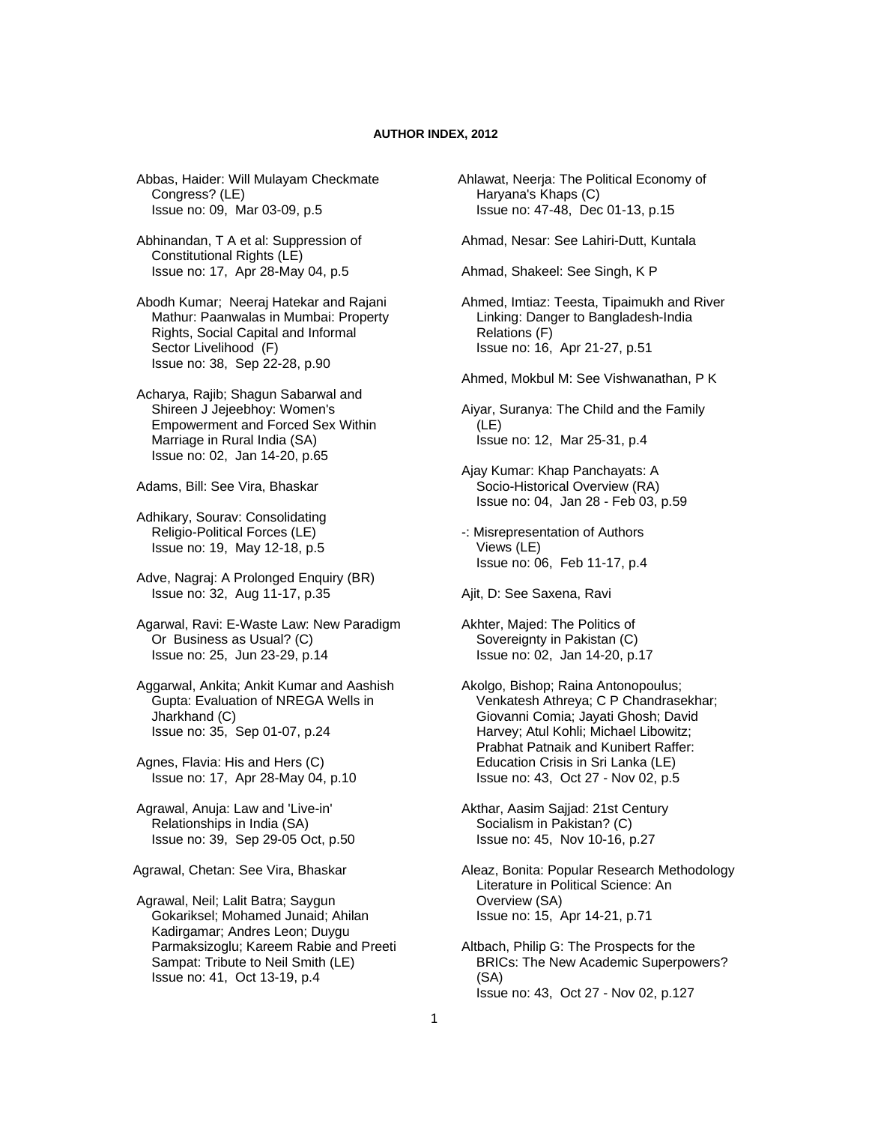## **AUTHOR INDEX, 2012**

 Abbas, Haider: Will Mulayam Checkmate Congress? (LE) Issue no: 09, Mar 03-09, p.5

 Abhinandan, T A et al: Suppression of Constitutional Rights (LE) Issue no: 17, Apr 28-May 04, p.5

 Abodh Kumar; Neeraj Hatekar and Rajani Mathur: Paanwalas in Mumbai: Property Rights, Social Capital and Informal Sector Livelihood (F) Issue no: 38, Sep 22-28, p.90

 Acharya, Rajib; Shagun Sabarwal and Shireen J Jejeebhoy: Women's Empowerment and Forced Sex Within Marriage in Rural India (SA) Issue no: 02, Jan 14-20, p.65

Adams, Bill: See Vira, Bhaskar

 Adhikary, Sourav: Consolidating Religio-Political Forces (LE) Issue no: 19, May 12-18, p.5

 Adve, Nagraj: A Prolonged Enquiry (BR) Issue no: 32, Aug 11-17, p.35

 Agarwal, Ravi: E-Waste Law: New Paradigm Or Business as Usual? (C) Issue no: 25, Jun 23-29, p.14

 Aggarwal, Ankita; Ankit Kumar and Aashish Gupta: Evaluation of NREGA Wells in Jharkhand (C) Issue no: 35, Sep 01-07, p.24

 Agnes, Flavia: His and Hers (C) Issue no: 17, Apr 28-May 04, p.10

 Agrawal, Anuja: Law and 'Live-in' Relationships in India (SA) Issue no: 39, Sep 29-05 Oct, p.50

Agrawal, Chetan: See Vira, Bhaskar

 Agrawal, Neil; Lalit Batra; Saygun Gokariksel; Mohamed Junaid; Ahilan Kadirgamar; Andres Leon; Duygu Parmaksizoglu; Kareem Rabie and Preeti Sampat: Tribute to Neil Smith (LE) Issue no: 41, Oct 13-19, p.4

Ahlawat, Neerja: The Political Economy of Haryana's Khaps (C) Issue no: 47-48, Dec 01-13, p.15

Ahmad, Nesar: See Lahiri-Dutt, Kuntala

Ahmad, Shakeel: See Singh, K P

 Ahmed, Imtiaz: Teesta, Tipaimukh and River Linking: Danger to Bangladesh-India Relations (F) Issue no: 16, Apr 21-27, p.51

Ahmed, Mokbul M: See Vishwanathan, P K

 Aiyar, Suranya: The Child and the Family (LE) Issue no: 12, Mar 25-31, p.4

 Ajay Kumar: Khap Panchayats: A Socio-Historical Overview (RA) Issue no: 04, Jan 28 - Feb 03, p.59

 -: Misrepresentation of Authors Views (LE) Issue no: 06, Feb 11-17, p.4

Ajit, D: See Saxena, Ravi

 Akhter, Majed: The Politics of Sovereignty in Pakistan (C) Issue no: 02, Jan 14-20, p.17

 Akolgo, Bishop; Raina Antonopoulus; Venkatesh Athreya; C P Chandrasekhar; Giovanni Comia; Jayati Ghosh; David Harvey; Atul Kohli; Michael Libowitz; Prabhat Patnaik and Kunibert Raffer: Education Crisis in Sri Lanka (LE) Issue no: 43, Oct 27 - Nov 02, p.5

 Akthar, Aasim Sajjad: 21st Century Socialism in Pakistan? (C) Issue no: 45, Nov 10-16, p.27

 Aleaz, Bonita: Popular Research Methodology Literature in Political Science: An Overview (SA) Issue no: 15, Apr 14-21, p.71

 Altbach, Philip G: The Prospects for the BRICs: The New Academic Superpowers? (SA) Issue no: 43, Oct 27 - Nov 02, p.127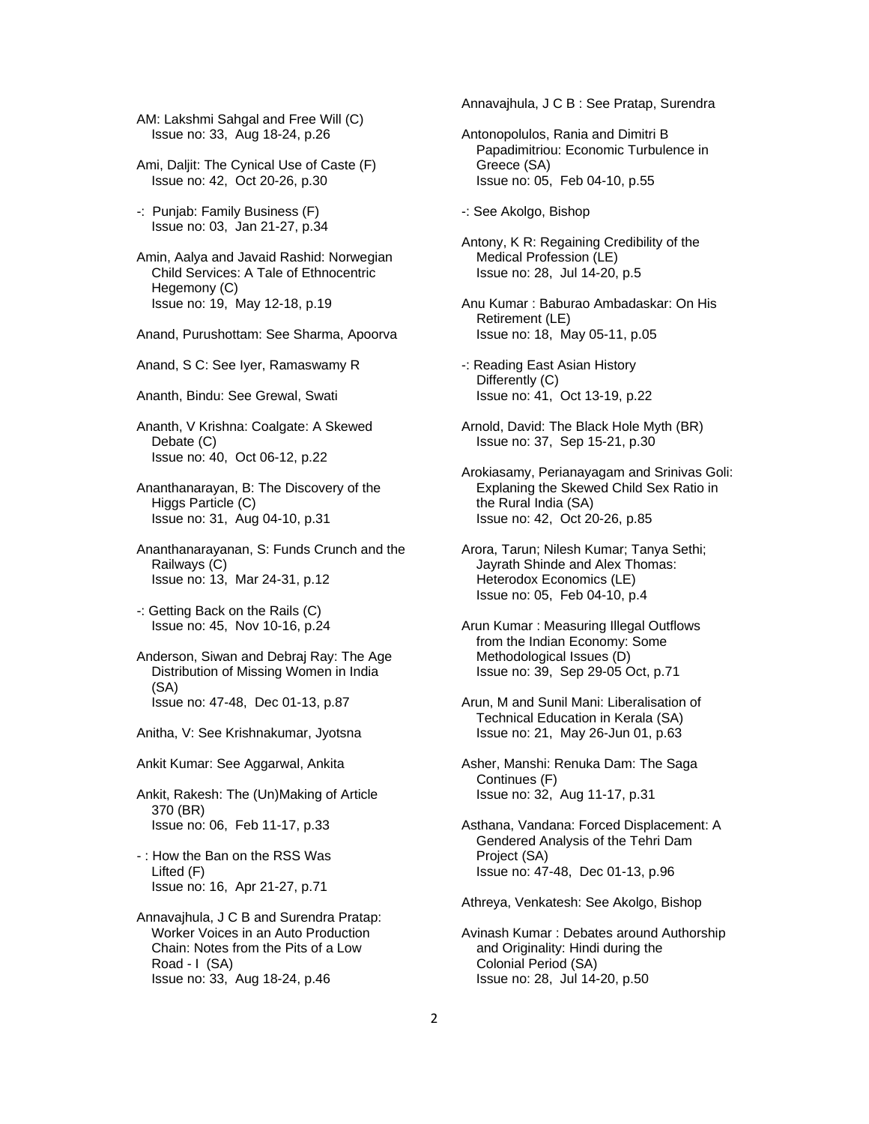AM: Lakshmi Sahgal and Free Will (C) Issue no: 33, Aug 18-24, p.26

 Ami, Daljit: The Cynical Use of Caste (F) Issue no: 42, Oct 20-26, p.30

 -: Punjab: Family Business (F) Issue no: 03, Jan 21-27, p.34

 Amin, Aalya and Javaid Rashid: Norwegian Child Services: A Tale of Ethnocentric Hegemony (C) Issue no: 19, May 12-18, p.19

Anand, Purushottam: See Sharma, Apoorva

Anand, S C: See Iyer, Ramaswamy R

Ananth, Bindu: See Grewal, Swati

 Ananth, V Krishna: Coalgate: A Skewed Debate (C) Issue no: 40, Oct 06-12, p.22

 Ananthanarayan, B: The Discovery of the Higgs Particle (C) Issue no: 31, Aug 04-10, p.31

 Ananthanarayanan, S: Funds Crunch and the Railways (C) Issue no: 13, Mar 24-31, p.12

 -: Getting Back on the Rails (C) Issue no: 45, Nov 10-16, p.24

 Anderson, Siwan and Debraj Ray: The Age Distribution of Missing Women in India (SA) Issue no: 47-48, Dec 01-13, p.87

Anitha, V: See Krishnakumar, Jyotsna

Ankit Kumar: See Aggarwal, Ankita

 Ankit, Rakesh: The (Un)Making of Article 370 (BR) Issue no: 06, Feb 11-17, p.33

 - : How the Ban on the RSS Was Lifted (F) Issue no: 16, Apr 21-27, p.71

 Annavajhula, J C B and Surendra Pratap: Worker Voices in an Auto Production Chain: Notes from the Pits of a Low Road - I (SA) Issue no: 33, Aug 18-24, p.46

Annavajhula, J C B : See Pratap, Surendra

 Antonopolulos, Rania and Dimitri B Papadimitriou: Economic Turbulence in Greece (SA) Issue no: 05, Feb 04-10, p.55

-: See Akolgo, Bishop

 Antony, K R: Regaining Credibility of the Medical Profession (LE) Issue no: 28, Jul 14-20, p.5

 Anu Kumar : Baburao Ambadaskar: On His Retirement (LE) Issue no: 18, May 05-11, p.05

 -: Reading East Asian History Differently (C) Issue no: 41, Oct 13-19, p.22

 Arnold, David: The Black Hole Myth (BR) Issue no: 37, Sep 15-21, p.30

 Arokiasamy, Perianayagam and Srinivas Goli: Explaning the Skewed Child Sex Ratio in the Rural India (SA) Issue no: 42, Oct 20-26, p.85

 Arora, Tarun; Nilesh Kumar; Tanya Sethi; Jayrath Shinde and Alex Thomas: Heterodox Economics (LE) Issue no: 05, Feb 04-10, p.4

 Arun Kumar : Measuring Illegal Outflows from the Indian Economy: Some Methodological Issues (D) Issue no: 39, Sep 29-05 Oct, p.71

 Arun, M and Sunil Mani: Liberalisation of Technical Education in Kerala (SA) Issue no: 21, May 26-Jun 01, p.63

 Asher, Manshi: Renuka Dam: The Saga Continues (F) Issue no: 32, Aug 11-17, p.31

 Asthana, Vandana: Forced Displacement: A Gendered Analysis of the Tehri Dam Project (SA) Issue no: 47-48, Dec 01-13, p.96

Athreya, Venkatesh: See Akolgo, Bishop

 Avinash Kumar : Debates around Authorship and Originality: Hindi during the Colonial Period (SA) Issue no: 28, Jul 14-20, p.50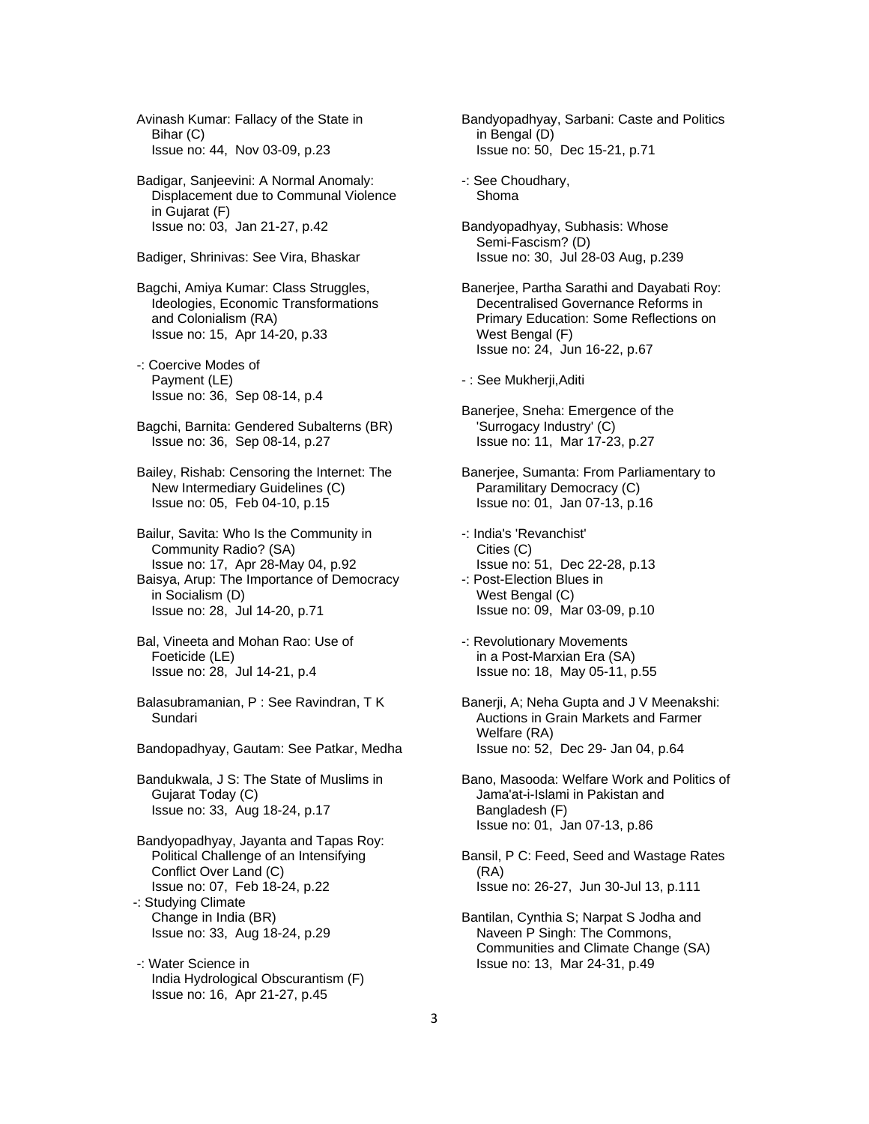Avinash Kumar: Fallacy of the State in Bihar (C) Issue no: 44, Nov 03-09, p.23

 Badigar, Sanjeevini: A Normal Anomaly: Displacement due to Communal Violence in Gujarat (F) Issue no: 03, Jan 21-27, p.42

Badiger, Shrinivas: See Vira, Bhaskar

 Bagchi, Amiya Kumar: Class Struggles, Ideologies, Economic Transformations and Colonialism (RA) Issue no: 15, Apr 14-20, p.33

 -: Coercive Modes of Payment (LE) Issue no: 36, Sep 08-14, p.4

- Bagchi, Barnita: Gendered Subalterns (BR) Issue no: 36, Sep 08-14, p.27
- Bailey, Rishab: Censoring the Internet: The New Intermediary Guidelines (C) Issue no: 05, Feb 04-10, p.15

 Bailur, Savita: Who Is the Community in Community Radio? (SA) Issue no: 17, Apr 28-May 04, p.92 Baisya, Arup: The Importance of Democracy in Socialism (D) Issue no: 28, Jul 14-20, p.71

- Bal, Vineeta and Mohan Rao: Use of Foeticide (LE) Issue no: 28, Jul 14-21, p.4
- Balasubramanian, P : See Ravindran, T K Sundari
- Bandopadhyay, Gautam: See Patkar, Medha

 Bandukwala, J S: The State of Muslims in Gujarat Today (C) Issue no: 33, Aug 18-24, p.17

 Bandyopadhyay, Jayanta and Tapas Roy: Political Challenge of an Intensifying Conflict Over Land (C) Issue no: 07, Feb 18-24, p.22 -: Studying Climate Change in India (BR) Issue no: 33, Aug 18-24, p.29

 -: Water Science in India Hydrological Obscurantism (F) Issue no: 16, Apr 21-27, p.45

 Bandyopadhyay, Sarbani: Caste and Politics in Bengal (D) Issue no: 50, Dec 15-21, p.71

 -: See Choudhary, Shoma

 Bandyopadhyay, Subhasis: Whose Semi-Fascism? (D) Issue no: 30, Jul 28-03 Aug, p.239

 Banerjee, Partha Sarathi and Dayabati Roy: Decentralised Governance Reforms in Primary Education: Some Reflections on West Bengal (F) Issue no: 24, Jun 16-22, p.67

- : See Mukherji,Aditi
- Banerjee, Sneha: Emergence of the 'Surrogacy Industry' (C) Issue no: 11, Mar 17-23, p.27
- Banerjee, Sumanta: From Parliamentary to Paramilitary Democracy (C) Issue no: 01, Jan 07-13, p.16
- -: India's 'Revanchist' Cities (C) Issue no: 51, Dec 22-28, p.13 -: Post-Election Blues in West Bengal (C) Issue no: 09, Mar 03-09, p.10
- -: Revolutionary Movements in a Post-Marxian Era (SA) Issue no: 18, May 05-11, p.55
- Banerji, A; Neha Gupta and J V Meenakshi: Auctions in Grain Markets and Farmer Welfare (RA) Issue no: 52, Dec 29- Jan 04, p.64
- Bano, Masooda: Welfare Work and Politics of Jama'at-i-Islami in Pakistan and Bangladesh (F) Issue no: 01, Jan 07-13, p.86
- Bansil, P C: Feed, Seed and Wastage Rates (RA) Issue no: 26-27, Jun 30-Jul 13, p.111
- Bantilan, Cynthia S; Narpat S Jodha and Naveen P Singh: The Commons, Communities and Climate Change (SA) Issue no: 13, Mar 24-31, p.49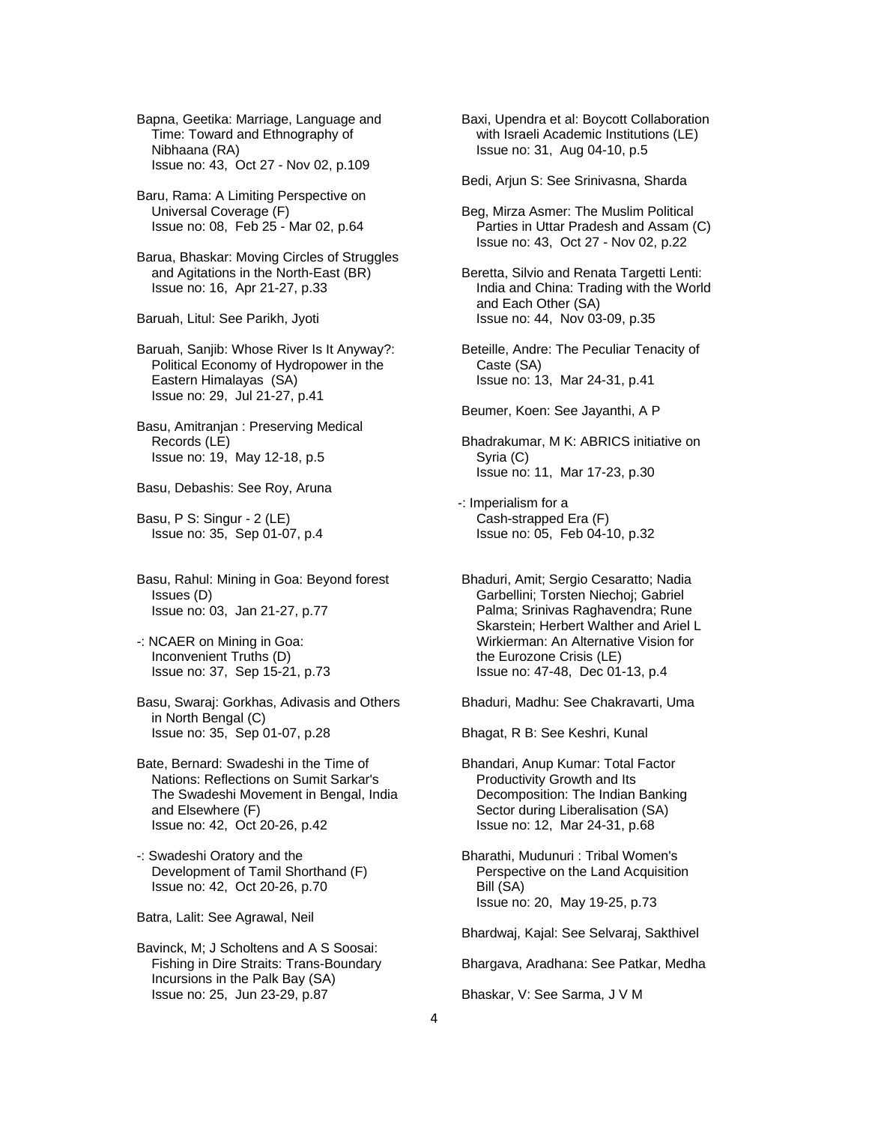Bapna, Geetika: Marriage, Language and Time: Toward and Ethnography of Nibhaana (RA) Issue no: 43, Oct 27 - Nov 02, p.109

- Baru, Rama: A Limiting Perspective on Universal Coverage (F) Issue no: 08, Feb 25 - Mar 02, p.64
- Barua, Bhaskar: Moving Circles of Struggles and Agitations in the North-East (BR) Issue no: 16, Apr 21-27, p.33

Baruah, Litul: See Parikh, Jyoti

 Baruah, Sanjib: Whose River Is It Anyway?: Political Economy of Hydropower in the Eastern Himalayas (SA) Issue no: 29, Jul 21-27, p.41

 Basu, Amitranjan : Preserving Medical Records (LE) Issue no: 19, May 12-18, p.5

Basu, Debashis: See Roy, Aruna

 Basu, P S: Singur - 2 (LE) Issue no: 35, Sep 01-07, p.4

 Basu, Rahul: Mining in Goa: Beyond forest Issues (D) Issue no: 03, Jan 21-27, p.77

 -: NCAER on Mining in Goa: Inconvenient Truths (D) Issue no: 37, Sep 15-21, p.73

 Basu, Swaraj: Gorkhas, Adivasis and Others in North Bengal (C) Issue no: 35, Sep 01-07, p.28

 Bate, Bernard: Swadeshi in the Time of Nations: Reflections on Sumit Sarkar's The Swadeshi Movement in Bengal, India and Elsewhere (F) Issue no: 42, Oct 20-26, p.42

 -: Swadeshi Oratory and the Development of Tamil Shorthand (F) Issue no: 42, Oct 20-26, p.70

Batra, Lalit: See Agrawal, Neil

 Bavinck, M; J Scholtens and A S Soosai: Fishing in Dire Straits: Trans-Boundary Incursions in the Palk Bay (SA) Issue no: 25, Jun 23-29, p.87

 Baxi, Upendra et al: Boycott Collaboration with Israeli Academic Institutions (LE) Issue no: 31, Aug 04-10, p.5

Bedi, Arjun S: See Srinivasna, Sharda

- Beg, Mirza Asmer: The Muslim Political Parties in Uttar Pradesh and Assam (C) Issue no: 43, Oct 27 - Nov 02, p.22
- Beretta, Silvio and Renata Targetti Lenti: India and China: Trading with the World and Each Other (SA) Issue no: 44, Nov 03-09, p.35

 Beteille, Andre: The Peculiar Tenacity of Caste (SA) Issue no: 13, Mar 24-31, p.41

Beumer, Koen: See Jayanthi, A P

 Bhadrakumar, M K: ABRICS initiative on Syria (C) Issue no: 11, Mar 17-23, p.30

- -: Imperialism for a Cash-strapped Era (F) Issue no: 05, Feb 04-10, p.32
- Bhaduri, Amit; Sergio Cesaratto; Nadia Garbellini; Torsten Niechoj; Gabriel Palma; Srinivas Raghavendra; Rune Skarstein; Herbert Walther and Ariel L Wirkierman: An Alternative Vision for the Eurozone Crisis (LE) Issue no: 47-48, Dec 01-13, p.4

Bhaduri, Madhu: See Chakravarti, Uma

Bhagat, R B: See Keshri, Kunal

- Bhandari, Anup Kumar: Total Factor Productivity Growth and Its Decomposition: The Indian Banking Sector during Liberalisation (SA) Issue no: 12, Mar 24-31, p.68
- Bharathi, Mudunuri : Tribal Women's Perspective on the Land Acquisition Bill (SA) Issue no: 20, May 19-25, p.73

Bhardwaj, Kajal: See Selvaraj, Sakthivel

Bhargava, Aradhana: See Patkar, Medha

Bhaskar, V: See Sarma, J V M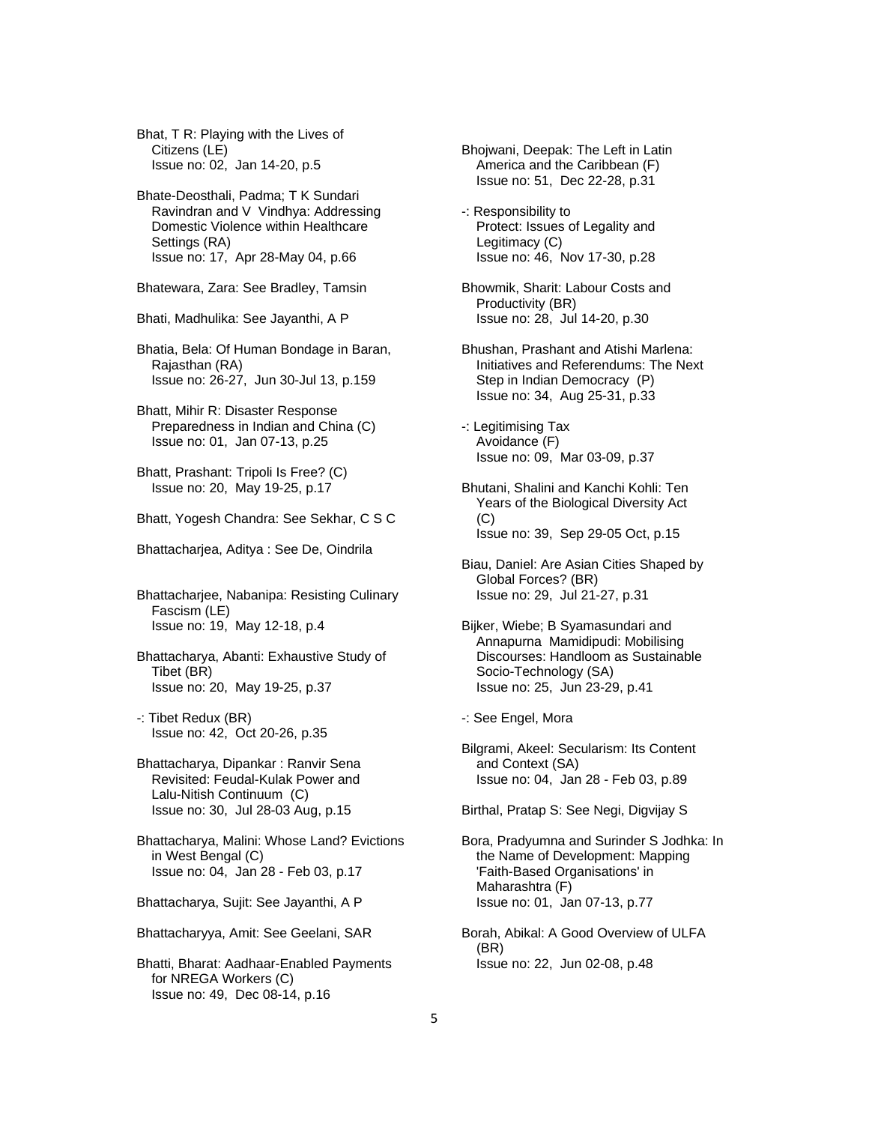Bhat, T R: Playing with the Lives of Citizens (LE) Issue no: 02, Jan 14-20, p.5

 Bhate-Deosthali, Padma; T K Sundari Ravindran and V Vindhya: Addressing Domestic Violence within Healthcare Settings (RA) Issue no: 17, Apr 28-May 04, p.66

Bhatewara, Zara: See Bradley, Tamsin

- Bhati, Madhulika: See Jayanthi, A P
- Bhatia, Bela: Of Human Bondage in Baran, Rajasthan (RA) Issue no: 26-27, Jun 30-Jul 13, p.159
- Bhatt, Mihir R: Disaster Response Preparedness in Indian and China (C) Issue no: 01, Jan 07-13, p.25
- Bhatt, Prashant: Tripoli Is Free? (C) Issue no: 20, May 19-25, p.17
- Bhatt, Yogesh Chandra: See Sekhar, C S C
- Bhattacharjea, Aditya : See De, Oindrila

 Bhattacharjee, Nabanipa: Resisting Culinary Fascism (LE) Issue no: 19, May 12-18, p.4

- Bhattacharya, Abanti: Exhaustive Study of Tibet (BR) Issue no: 20, May 19-25, p.37
- -: Tibet Redux (BR) Issue no: 42, Oct 20-26, p.35
- Bhattacharya, Dipankar : Ranvir Sena Revisited: Feudal-Kulak Power and Lalu-Nitish Continuum (C) Issue no: 30, Jul 28-03 Aug, p.15
- Bhattacharya, Malini: Whose Land? Evictions in West Bengal (C) Issue no: 04, Jan 28 - Feb 03, p.17
- Bhattacharya, Sujit: See Jayanthi, A P
- Bhattacharyya, Amit: See Geelani, SAR
- Bhatti, Bharat: Aadhaar-Enabled Payments for NREGA Workers (C) Issue no: 49, Dec 08-14, p.16
- Bhojwani, Deepak: The Left in Latin America and the Caribbean (F) Issue no: 51, Dec 22-28, p.31
- -: Responsibility to Protect: Issues of Legality and Legitimacy (C) Issue no: 46, Nov 17-30, p.28
- Bhowmik, Sharit: Labour Costs and Productivity (BR) Issue no: 28, Jul 14-20, p.30
- Bhushan, Prashant and Atishi Marlena: Initiatives and Referendums: The Next Step in Indian Democracy (P) Issue no: 34, Aug 25-31, p.33
- -: Legitimising Tax Avoidance (F) Issue no: 09, Mar 03-09, p.37
- Bhutani, Shalini and Kanchi Kohli: Ten Years of the Biological Diversity Act (C) Issue no: 39, Sep 29-05 Oct, p.15
- Biau, Daniel: Are Asian Cities Shaped by Global Forces? (BR) Issue no: 29, Jul 21-27, p.31
- Bijker, Wiebe; B Syamasundari and Annapurna Mamidipudi: Mobilising Discourses: Handloom as Sustainable Socio-Technology (SA) Issue no: 25, Jun 23-29, p.41
- -: See Engel, Mora
- Bilgrami, Akeel: Secularism: Its Content and Context (SA) Issue no: 04, Jan 28 - Feb 03, p.89
- Birthal, Pratap S: See Negi, Digvijay S
- Bora, Pradyumna and Surinder S Jodhka: In the Name of Development: Mapping 'Faith-Based Organisations' in Maharashtra (F) Issue no: 01, Jan 07-13, p.77
- Borah, Abikal: A Good Overview of ULFA (BR) Issue no: 22, Jun 02-08, p.48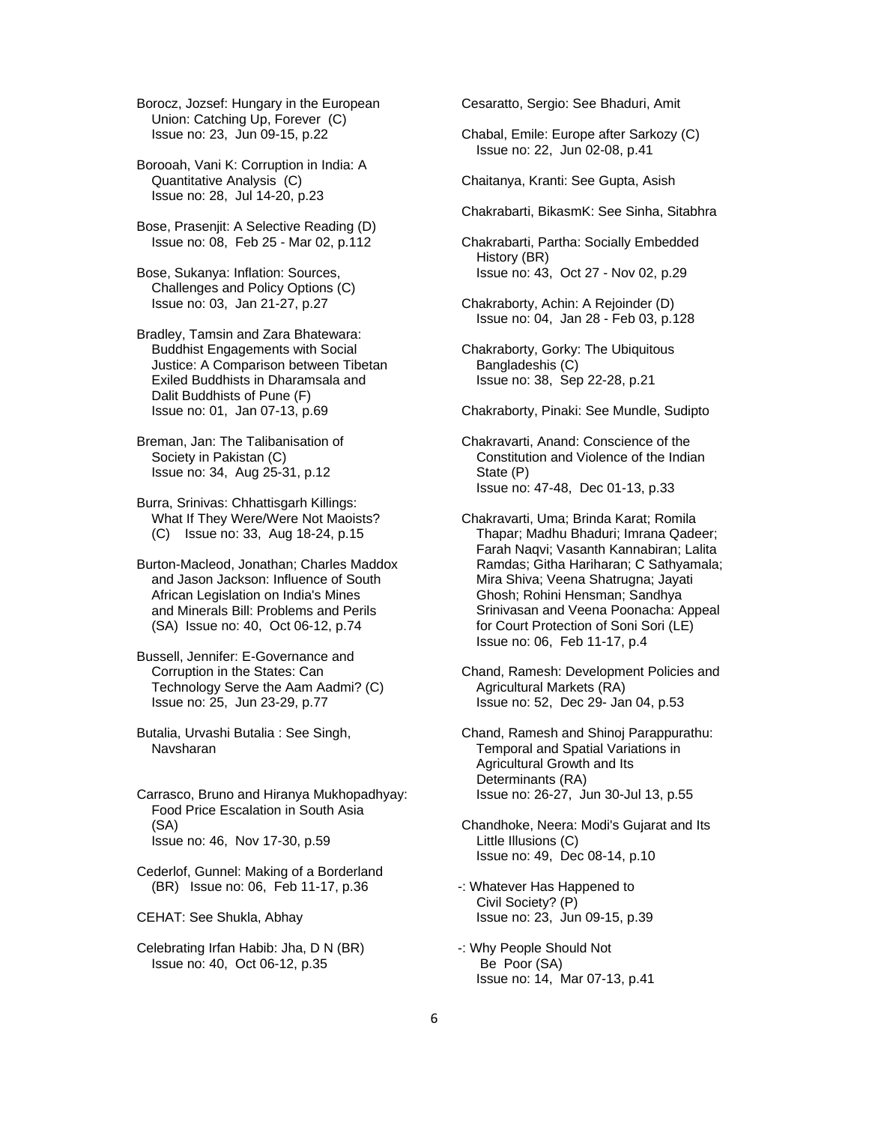Borocz, Jozsef: Hungary in the European Union: Catching Up, Forever (C) Issue no: 23, Jun 09-15, p.22

 Borooah, Vani K: Corruption in India: A Quantitative Analysis (C) Issue no: 28, Jul 14-20, p.23

 Bose, Prasenjit: A Selective Reading (D) Issue no: 08, Feb 25 - Mar 02, p.112

 Bose, Sukanya: Inflation: Sources, Challenges and Policy Options (C) Issue no: 03, Jan 21-27, p.27

 Bradley, Tamsin and Zara Bhatewara: Buddhist Engagements with Social Justice: A Comparison between Tibetan Exiled Buddhists in Dharamsala and Dalit Buddhists of Pune (F) Issue no: 01, Jan 07-13, p.69

 Breman, Jan: The Talibanisation of Society in Pakistan (C) Issue no: 34, Aug 25-31, p.12

 Burra, Srinivas: Chhattisgarh Killings: What If They Were/Were Not Maoists? (C) Issue no: 33, Aug 18-24, p.15

 Burton-Macleod, Jonathan; Charles Maddox and Jason Jackson: Influence of South African Legislation on India's Mines and Minerals Bill: Problems and Perils (SA) Issue no: 40, Oct 06-12, p.74

 Bussell, Jennifer: E-Governance and Corruption in the States: Can Technology Serve the Aam Aadmi? (C) Issue no: 25, Jun 23-29, p.77

 Butalia, Urvashi Butalia : See Singh, Navsharan

 Carrasco, Bruno and Hiranya Mukhopadhyay: Food Price Escalation in South Asia (SA) Issue no: 46, Nov 17-30, p.59

 Cederlof, Gunnel: Making of a Borderland (BR) Issue no: 06, Feb 11-17, p.36

CEHAT: See Shukla, Abhay

 Celebrating Irfan Habib: Jha, D N (BR) Issue no: 40, Oct 06-12, p.35

Cesaratto, Sergio: See Bhaduri, Amit

 Chabal, Emile: Europe after Sarkozy (C) Issue no: 22, Jun 02-08, p.41

Chaitanya, Kranti: See Gupta, Asish

Chakrabarti, BikasmK: See Sinha, Sitabhra

 Chakrabarti, Partha: Socially Embedded History (BR) Issue no: 43, Oct 27 - Nov 02, p.29

 Chakraborty, Achin: A Rejoinder (D) Issue no: 04, Jan 28 - Feb 03, p.128

 Chakraborty, Gorky: The Ubiquitous Bangladeshis (C) Issue no: 38, Sep 22-28, p.21

Chakraborty, Pinaki: See Mundle, Sudipto

 Chakravarti, Anand: Conscience of the Constitution and Violence of the Indian State (P) Issue no: 47-48, Dec 01-13, p.33

 Chakravarti, Uma; Brinda Karat; Romila Thapar; Madhu Bhaduri; Imrana Qadeer; Farah Naqvi; Vasanth Kannabiran; Lalita Ramdas; Githa Hariharan; C Sathyamala; Mira Shiva; Veena Shatrugna; Jayati Ghosh; Rohini Hensman; Sandhya Srinivasan and Veena Poonacha: Appeal for Court Protection of Soni Sori (LE) Issue no: 06, Feb 11-17, p.4

 Chand, Ramesh: Development Policies and Agricultural Markets (RA) Issue no: 52, Dec 29- Jan 04, p.53

 Chand, Ramesh and Shinoj Parappurathu: Temporal and Spatial Variations in Agricultural Growth and Its Determinants (RA) Issue no: 26-27, Jun 30-Jul 13, p.55

 Chandhoke, Neera: Modi's Gujarat and Its Little Illusions (C) Issue no: 49, Dec 08-14, p.10

-: Whatever Has Happened to Civil Society? (P) Issue no: 23, Jun 09-15, p.39

-: Why People Should Not Be Poor (SA) Issue no: 14, Mar 07-13, p.41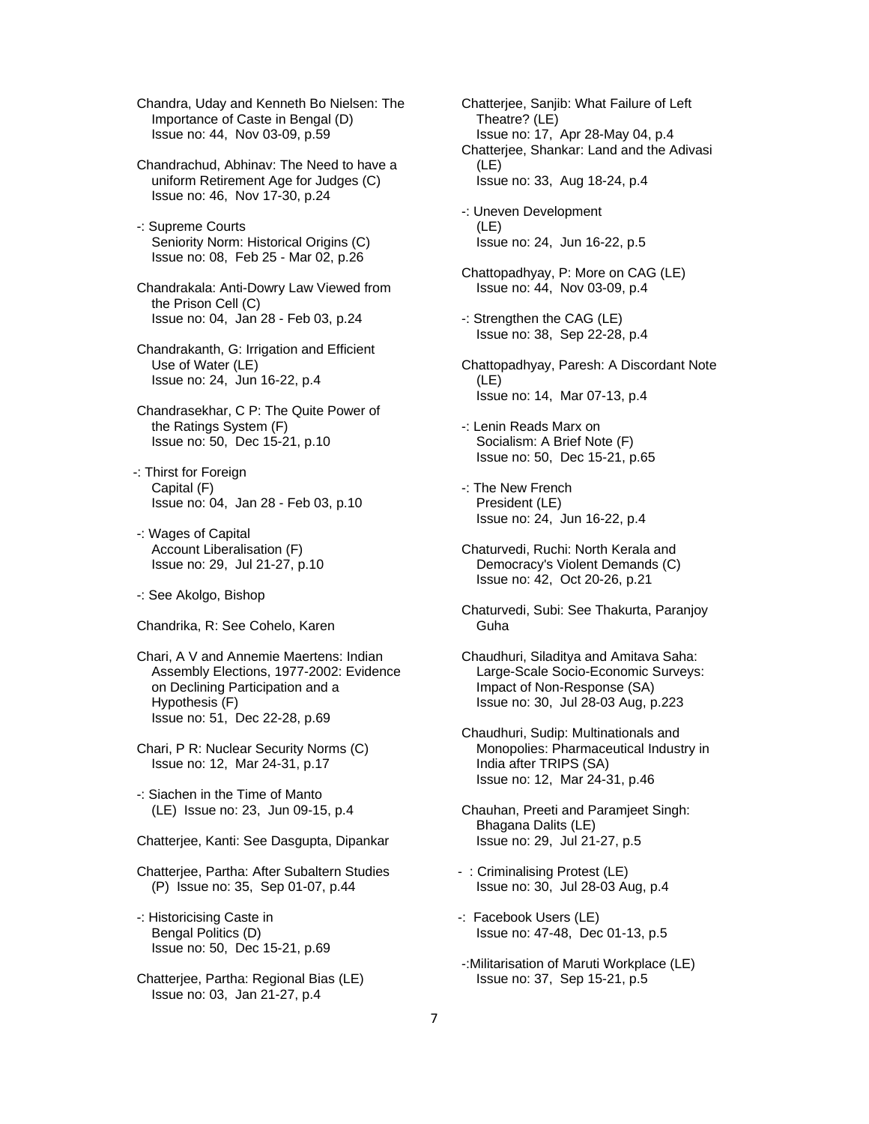Chandra, Uday and Kenneth Bo Nielsen: The Importance of Caste in Bengal (D) Issue no: 44, Nov 03-09, p.59

 Chandrachud, Abhinav: The Need to have a uniform Retirement Age for Judges (C) Issue no: 46, Nov 17-30, p.24

 -: Supreme Courts Seniority Norm: Historical Origins (C) Issue no: 08, Feb 25 - Mar 02, p.26

 Chandrakala: Anti-Dowry Law Viewed from the Prison Cell (C) Issue no: 04, Jan 28 - Feb 03, p.24

 Chandrakanth, G: Irrigation and Efficient Use of Water (LE) Issue no: 24, Jun 16-22, p.4

 Chandrasekhar, C P: The Quite Power of the Ratings System (F) Issue no: 50, Dec 15-21, p.10

-: Thirst for Foreign Capital (F) Issue no: 04, Jan 28 - Feb 03, p.10

 -: Wages of Capital Account Liberalisation (F) Issue no: 29, Jul 21-27, p.10

-: See Akolgo, Bishop

Chandrika, R: See Cohelo, Karen

 Chari, A V and Annemie Maertens: Indian Assembly Elections, 1977-2002: Evidence on Declining Participation and a Hypothesis (F) Issue no: 51, Dec 22-28, p.69

 Chari, P R: Nuclear Security Norms (C) Issue no: 12, Mar 24-31, p.17

 -: Siachen in the Time of Manto (LE) Issue no: 23, Jun 09-15, p.4

Chatterjee, Kanti: See Dasgupta, Dipankar

 Chatterjee, Partha: After Subaltern Studies (P) Issue no: 35, Sep 01-07, p.44

 -: Historicising Caste in Bengal Politics (D) Issue no: 50, Dec 15-21, p.69

 Chatterjee, Partha: Regional Bias (LE) Issue no: 03, Jan 21-27, p.4

 Chatterjee, Sanjib: What Failure of Left Theatre? (LE) Issue no: 17, Apr 28-May 04, p.4 Chatterjee, Shankar: Land and the Adivasi (LE) Issue no: 33, Aug 18-24, p.4 -: Uneven Development (LE) Issue no: 24, Jun 16-22, p.5 Chattopadhyay, P: More on CAG (LE) Issue no: 44, Nov 03-09, p.4 -: Strengthen the CAG (LE) Issue no: 38, Sep 22-28, p.4 Chattopadhyay, Paresh: A Discordant Note (LE) Issue no: 14, Mar 07-13, p.4 -: Lenin Reads Marx on

 Socialism: A Brief Note (F) Issue no: 50, Dec 15-21, p.65

 -: The New French President (LE) Issue no: 24, Jun 16-22, p.4

 Chaturvedi, Ruchi: North Kerala and Democracy's Violent Demands (C) Issue no: 42, Oct 20-26, p.21

 Chaturvedi, Subi: See Thakurta, Paranjoy Guha

 Chaudhuri, Siladitya and Amitava Saha: Large-Scale Socio-Economic Surveys: Impact of Non-Response (SA) Issue no: 30, Jul 28-03 Aug, p.223

 Chaudhuri, Sudip: Multinationals and Monopolies: Pharmaceutical Industry in India after TRIPS (SA) Issue no: 12, Mar 24-31, p.46

 Chauhan, Preeti and Paramjeet Singh: Bhagana Dalits (LE) Issue no: 29, Jul 21-27, p.5

- : Criminalising Protest (LE) Issue no: 30, Jul 28-03 Aug, p.4

-: Facebook Users (LE) Issue no: 47-48, Dec 01-13, p.5

 -:Militarisation of Maruti Workplace (LE) Issue no: 37, Sep 15-21, p.5

7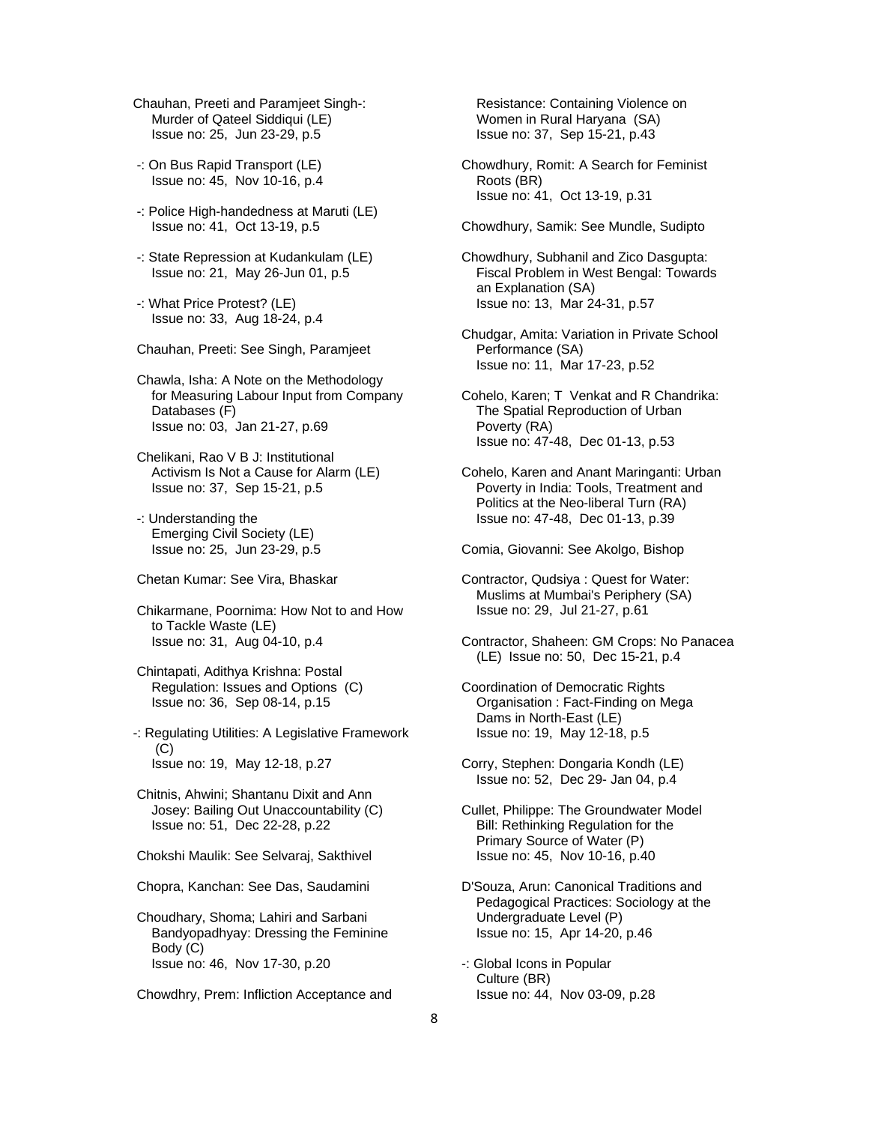Chauhan, Preeti and Paramjeet Singh-: Murder of Qateel Siddiqui (LE) Issue no: 25, Jun 23-29, p.5

- -: On Bus Rapid Transport (LE) Issue no: 45, Nov 10-16, p.4
- -: Police High-handedness at Maruti (LE) Issue no: 41, Oct 13-19, p.5
- -: State Repression at Kudankulam (LE) Issue no: 21, May 26-Jun 01, p.5
- -: What Price Protest? (LE) Issue no: 33, Aug 18-24, p.4
- Chauhan, Preeti: See Singh, Paramjeet

 Chawla, Isha: A Note on the Methodology for Measuring Labour Input from Company Databases (F) Issue no: 03, Jan 21-27, p.69

 Chelikani, Rao V B J: Institutional Activism Is Not a Cause for Alarm (LE) Issue no: 37, Sep 15-21, p.5

- -: Understanding the Emerging Civil Society (LE) Issue no: 25, Jun 23-29, p.5
- Chetan Kumar: See Vira, Bhaskar

 Chikarmane, Poornima: How Not to and How to Tackle Waste (LE) Issue no: 31, Aug 04-10, p.4

 Chintapati, Adithya Krishna: Postal Regulation: Issues and Options (C) Issue no: 36, Sep 08-14, p.15

-: Regulating Utilities: A Legislative Framework (C) Issue no: 19, May 12-18, p.27

 Chitnis, Ahwini; Shantanu Dixit and Ann Josey: Bailing Out Unaccountability (C) Issue no: 51, Dec 22-28, p.22

Chokshi Maulik: See Selvaraj, Sakthivel

Chopra, Kanchan: See Das, Saudamini

 Choudhary, Shoma; Lahiri and Sarbani Bandyopadhyay: Dressing the Feminine Body (C) Issue no: 46, Nov 17-30, p.20

Chowdhry, Prem: Infliction Acceptance and

 Resistance: Containing Violence on Women in Rural Haryana (SA) Issue no: 37, Sep 15-21, p.43

- Chowdhury, Romit: A Search for Feminist Roots (BR) Issue no: 41, Oct 13-19, p.31
- Chowdhury, Samik: See Mundle, Sudipto
- Chowdhury, Subhanil and Zico Dasgupta: Fiscal Problem in West Bengal: Towards an Explanation (SA) Issue no: 13, Mar 24-31, p.57
- Chudgar, Amita: Variation in Private School Performance (SA) Issue no: 11, Mar 17-23, p.52
- Cohelo, Karen; T Venkat and R Chandrika: The Spatial Reproduction of Urban Poverty (RA) Issue no: 47-48, Dec 01-13, p.53
- Cohelo, Karen and Anant Maringanti: Urban Poverty in India: Tools, Treatment and Politics at the Neo-liberal Turn (RA) Issue no: 47-48, Dec 01-13, p.39

Comia, Giovanni: See Akolgo, Bishop

- Contractor, Qudsiya : Quest for Water: Muslims at Mumbai's Periphery (SA) Issue no: 29, Jul 21-27, p.61
- Contractor, Shaheen: GM Crops: No Panacea (LE) Issue no: 50, Dec 15-21, p.4
- Coordination of Democratic Rights Organisation : Fact-Finding on Mega Dams in North-East (LE) Issue no: 19, May 12-18, p.5
- Corry, Stephen: Dongaria Kondh (LE) Issue no: 52, Dec 29- Jan 04, p.4
- Cullet, Philippe: The Groundwater Model Bill: Rethinking Regulation for the Primary Source of Water (P) Issue no: 45, Nov 10-16, p.40
- D'Souza, Arun: Canonical Traditions and Pedagogical Practices: Sociology at the Undergraduate Level (P) Issue no: 15, Apr 14-20, p.46
- -: Global Icons in Popular Culture (BR) Issue no: 44, Nov 03-09, p.28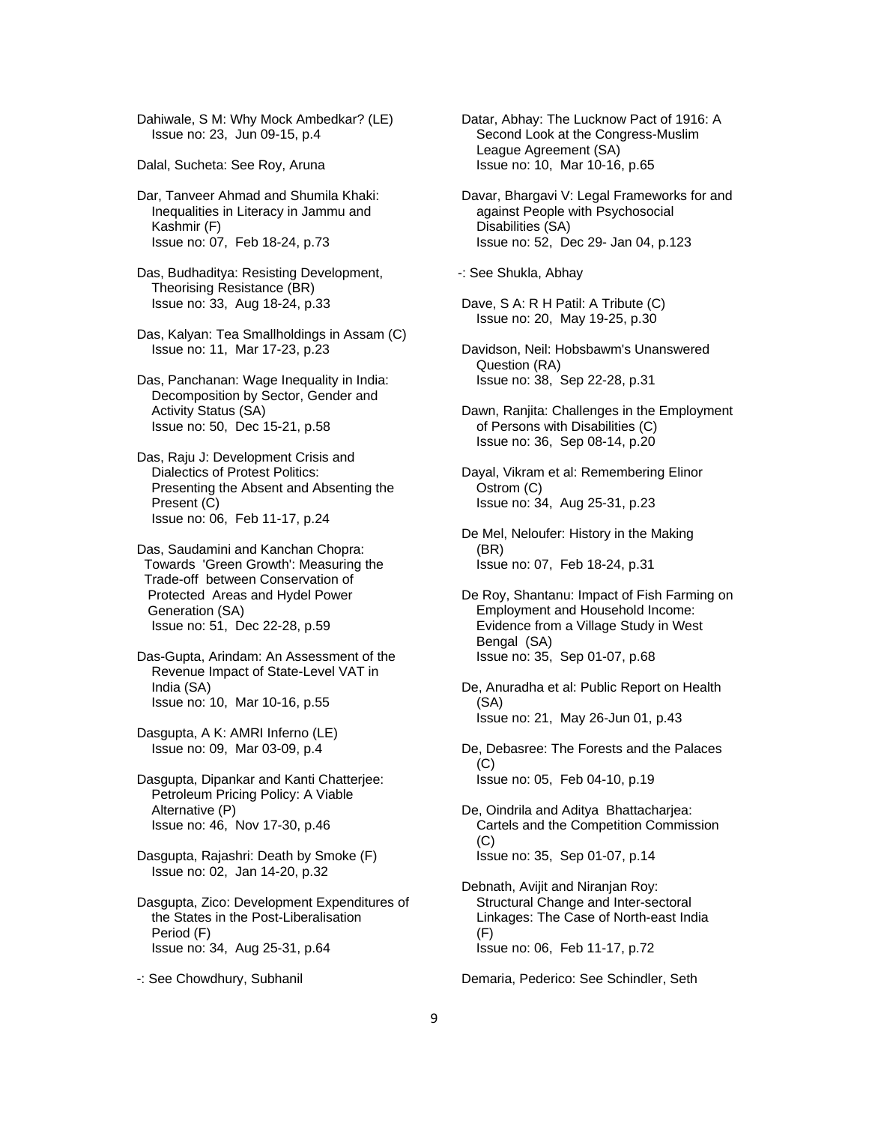Dahiwale, S M: Why Mock Ambedkar? (LE) Issue no: 23, Jun 09-15, p.4

Dalal, Sucheta: See Roy, Aruna

 Dar, Tanveer Ahmad and Shumila Khaki: Inequalities in Literacy in Jammu and Kashmir (F) Issue no: 07, Feb 18-24, p.73

 Das, Budhaditya: Resisting Development, Theorising Resistance (BR) Issue no: 33, Aug 18-24, p.33

 Das, Kalyan: Tea Smallholdings in Assam (C) Issue no: 11, Mar 17-23, p.23

 Das, Panchanan: Wage Inequality in India: Decomposition by Sector, Gender and Activity Status (SA) Issue no: 50, Dec 15-21, p.58

 Das, Raju J: Development Crisis and Dialectics of Protest Politics: Presenting the Absent and Absenting the Present (C) Issue no: 06, Feb 11-17, p.24

 Das, Saudamini and Kanchan Chopra: Towards 'Green Growth': Measuring the Trade-off between Conservation of Protected Areas and Hydel Power Generation (SA) Issue no: 51, Dec 22-28, p.59

 Das-Gupta, Arindam: An Assessment of the Revenue Impact of State-Level VAT in India (SA) Issue no: 10, Mar 10-16, p.55

 Dasgupta, A K: AMRI Inferno (LE) Issue no: 09, Mar 03-09, p.4

 Dasgupta, Dipankar and Kanti Chatterjee: Petroleum Pricing Policy: A Viable Alternative (P) Issue no: 46, Nov 17-30, p.46

 Dasgupta, Rajashri: Death by Smoke (F) Issue no: 02, Jan 14-20, p.32

 Dasgupta, Zico: Development Expenditures of the States in the Post-Liberalisation Period (F) Issue no: 34, Aug 25-31, p.64

-: See Chowdhury, Subhanil

 Datar, Abhay: The Lucknow Pact of 1916: A Second Look at the Congress-Muslim League Agreement (SA) Issue no: 10, Mar 10-16, p.65

 Davar, Bhargavi V: Legal Frameworks for and against People with Psychosocial Disabilities (SA) Issue no: 52, Dec 29- Jan 04, p.123

-: See Shukla, Abhay

 Dave, S A: R H Patil: A Tribute (C) Issue no: 20, May 19-25, p.30

 Davidson, Neil: Hobsbawm's Unanswered Question (RA) Issue no: 38, Sep 22-28, p.31

 Dawn, Ranjita: Challenges in the Employment of Persons with Disabilities (C) Issue no: 36, Sep 08-14, p.20

 Dayal, Vikram et al: Remembering Elinor Ostrom (C) Issue no: 34, Aug 25-31, p.23

 De Mel, Neloufer: History in the Making (BR) Issue no: 07, Feb 18-24, p.31

 De Roy, Shantanu: Impact of Fish Farming on Employment and Household Income: Evidence from a Village Study in West Bengal (SA) Issue no: 35, Sep 01-07, p.68

 De, Anuradha et al: Public Report on Health (SA) Issue no: 21, May 26-Jun 01, p.43

 De, Debasree: The Forests and the Palaces (C) Issue no: 05, Feb 04-10, p.19

 De, Oindrila and Aditya Bhattacharjea: Cartels and the Competition Commission (C) Issue no: 35, Sep 01-07, p.14

 Debnath, Avijit and Niranjan Roy: Structural Change and Inter-sectoral Linkages: The Case of North-east India  $(F)$ Issue no: 06, Feb 11-17, p.72

Demaria, Pederico: See Schindler, Seth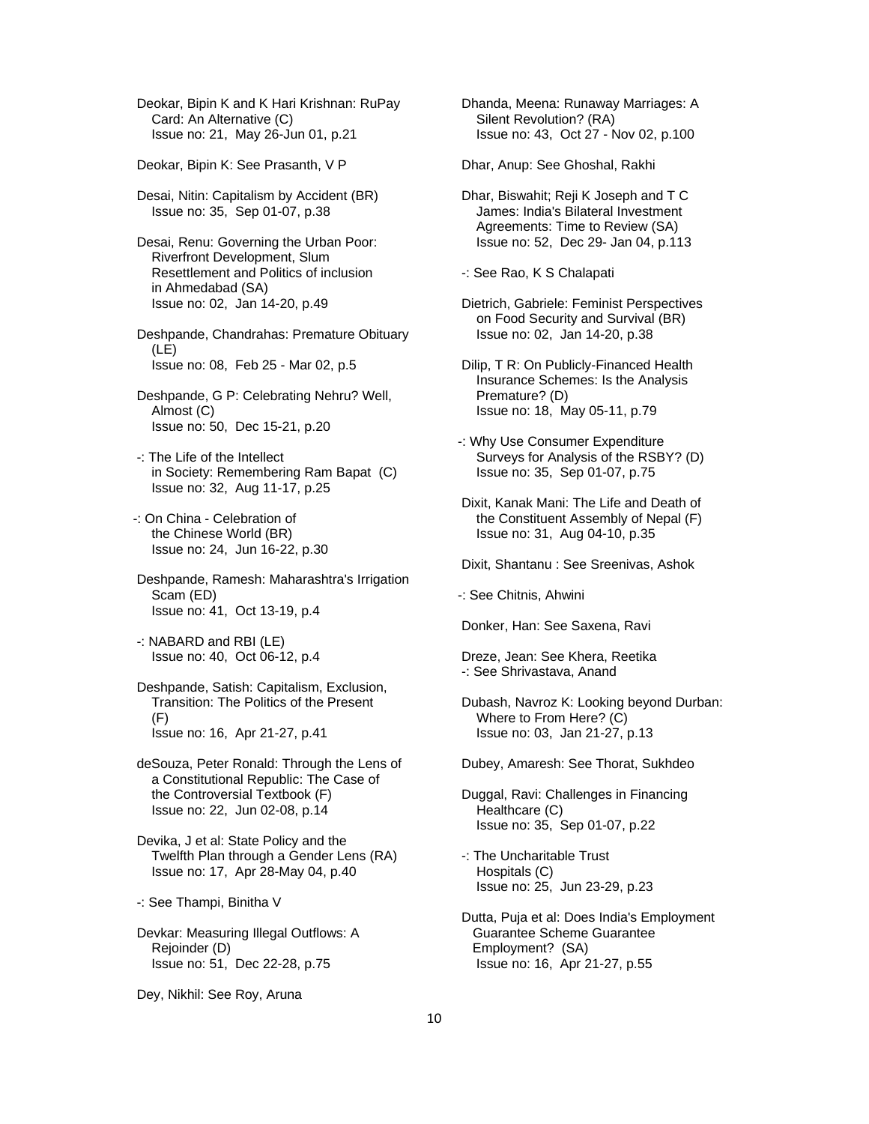Deokar, Bipin K and K Hari Krishnan: RuPay Card: An Alternative (C) Issue no: 21, May 26-Jun 01, p.21

Deokar, Bipin K: See Prasanth, V P

 Desai, Nitin: Capitalism by Accident (BR) Issue no: 35, Sep 01-07, p.38

 Desai, Renu: Governing the Urban Poor: Riverfront Development, Slum Resettlement and Politics of inclusion in Ahmedabad (SA) Issue no: 02, Jan 14-20, p.49

 Deshpande, Chandrahas: Premature Obituary (LE) Issue no: 08, Feb 25 - Mar 02, p.5

 Deshpande, G P: Celebrating Nehru? Well, Almost (C) Issue no: 50, Dec 15-21, p.20

 -: The Life of the Intellect in Society: Remembering Ram Bapat (C) Issue no: 32, Aug 11-17, p.25

-: On China - Celebration of the Chinese World (BR) Issue no: 24, Jun 16-22, p.30

 Deshpande, Ramesh: Maharashtra's Irrigation Scam (ED) Issue no: 41, Oct 13-19, p.4

 -: NABARD and RBI (LE) Issue no: 40, Oct 06-12, p.4

 Deshpande, Satish: Capitalism, Exclusion, Transition: The Politics of the Present (F) Issue no: 16, Apr 21-27, p.41

 deSouza, Peter Ronald: Through the Lens of a Constitutional Republic: The Case of the Controversial Textbook (F) Issue no: 22, Jun 02-08, p.14

 Devika, J et al: State Policy and the Twelfth Plan through a Gender Lens (RA) Issue no: 17, Apr 28-May 04, p.40

-: See Thampi, Binitha V

 Devkar: Measuring Illegal Outflows: A Rejoinder (D) Issue no: 51, Dec 22-28, p.75

Dey, Nikhil: See Roy, Aruna

 Dhanda, Meena: Runaway Marriages: A Silent Revolution? (RA) Issue no: 43, Oct 27 - Nov 02, p.100

Dhar, Anup: See Ghoshal, Rakhi

 Dhar, Biswahit; Reji K Joseph and T C James: India's Bilateral Investment Agreements: Time to Review (SA) Issue no: 52, Dec 29- Jan 04, p.113

-: See Rao, K S Chalapati

 Dietrich, Gabriele: Feminist Perspectives on Food Security and Survival (BR) Issue no: 02, Jan 14-20, p.38

 Dilip, T R: On Publicly-Financed Health Insurance Schemes: Is the Analysis Premature? (D) Issue no: 18, May 05-11, p.79

- -: Why Use Consumer Expenditure Surveys for Analysis of the RSBY? (D) Issue no: 35, Sep 01-07, p.75
- Dixit, Kanak Mani: The Life and Death of the Constituent Assembly of Nepal (F) Issue no: 31, Aug 04-10, p.35
- Dixit, Shantanu : See Sreenivas, Ashok

-: See Chitnis, Ahwini

Donker, Han: See Saxena, Ravi

 Dreze, Jean: See Khera, Reetika -: See Shrivastava, Anand

 Dubash, Navroz K: Looking beyond Durban: Where to From Here? (C) Issue no: 03, Jan 21-27, p.13

Dubey, Amaresh: See Thorat, Sukhdeo

 Duggal, Ravi: Challenges in Financing Healthcare (C) Issue no: 35, Sep 01-07, p.22

 -: The Uncharitable Trust Hospitals (C) Issue no: 25, Jun 23-29, p.23

 Dutta, Puja et al: Does India's Employment Guarantee Scheme Guarantee Employment? (SA) Issue no: 16, Apr 21-27, p.55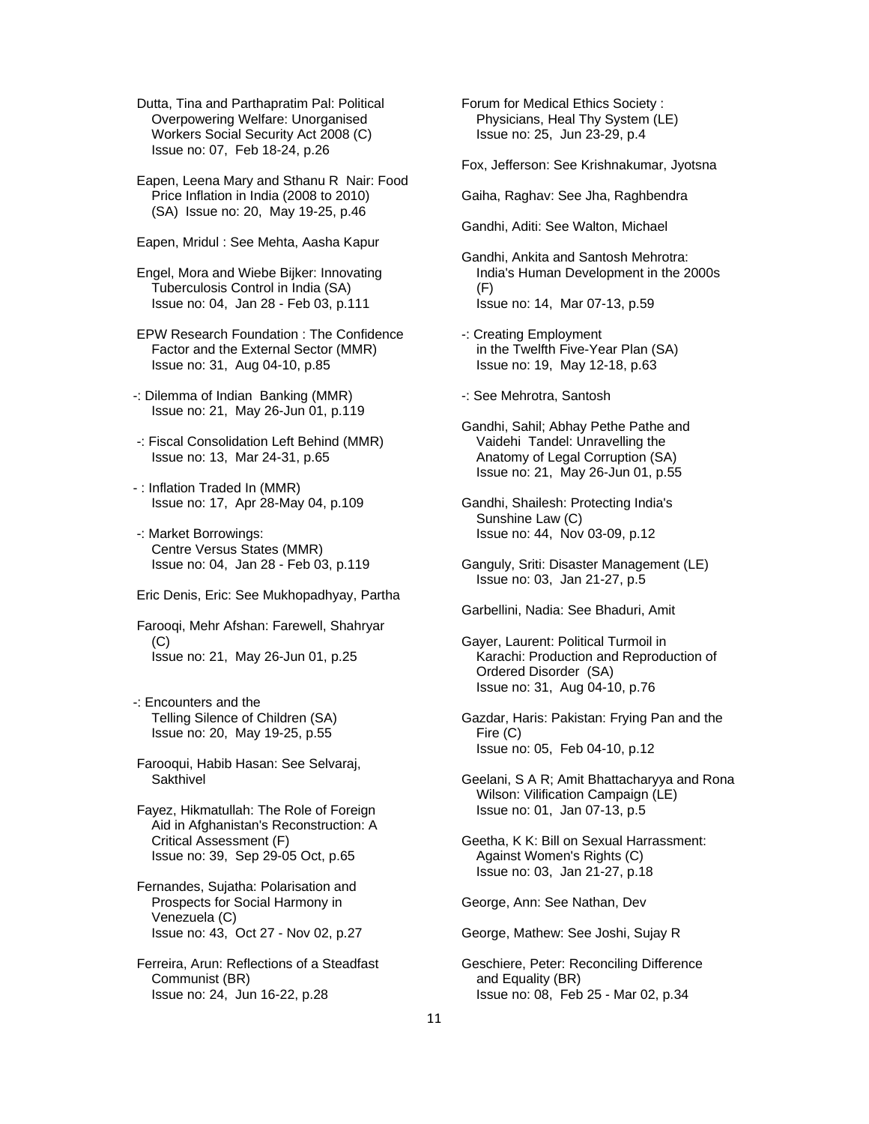Dutta, Tina and Parthapratim Pal: Political Overpowering Welfare: Unorganised Workers Social Security Act 2008 (C) Issue no: 07, Feb 18-24, p.26

 Eapen, Leena Mary and Sthanu R Nair: Food Price Inflation in India (2008 to 2010) (SA) Issue no: 20, May 19-25, p.46

Eapen, Mridul : See Mehta, Aasha Kapur

 Engel, Mora and Wiebe Bijker: Innovating Tuberculosis Control in India (SA) Issue no: 04, Jan 28 - Feb 03, p.111

 EPW Research Foundation : The Confidence Factor and the External Sector (MMR) Issue no: 31, Aug 04-10, p.85

- -: Dilemma of Indian Banking (MMR) Issue no: 21, May 26-Jun 01, p.119
- -: Fiscal Consolidation Left Behind (MMR) Issue no: 13, Mar 24-31, p.65
- : Inflation Traded In (MMR) Issue no: 17, Apr 28-May 04, p.109
- -: Market Borrowings: Centre Versus States (MMR) Issue no: 04, Jan 28 - Feb 03, p.119

Eric Denis, Eric: See Mukhopadhyay, Partha

 Farooqi, Mehr Afshan: Farewell, Shahryar (C) Issue no: 21, May 26-Jun 01, p.25

- -: Encounters and the Telling Silence of Children (SA) Issue no: 20, May 19-25, p.55
- Farooqui, Habib Hasan: See Selvaraj, **Sakthivel**
- Fayez, Hikmatullah: The Role of Foreign Aid in Afghanistan's Reconstruction: A Critical Assessment (F) Issue no: 39, Sep 29-05 Oct, p.65
- Fernandes, Sujatha: Polarisation and Prospects for Social Harmony in Venezuela (C) Issue no: 43, Oct 27 - Nov 02, p.27

 Ferreira, Arun: Reflections of a Steadfast Communist (BR) Issue no: 24, Jun 16-22, p.28

 Forum for Medical Ethics Society : Physicians, Heal Thy System (LE) Issue no: 25, Jun 23-29, p.4

Fox, Jefferson: See Krishnakumar, Jyotsna

Gaiha, Raghav: See Jha, Raghbendra

Gandhi, Aditi: See Walton, Michael

- Gandhi, Ankita and Santosh Mehrotra: India's Human Development in the 2000s (F) Issue no: 14, Mar 07-13, p.59
- -: Creating Employment in the Twelfth Five-Year Plan (SA) Issue no: 19, May 12-18, p.63
- -: See Mehrotra, Santosh
- Gandhi, Sahil; Abhay Pethe Pathe and Vaidehi Tandel: Unravelling the Anatomy of Legal Corruption (SA) Issue no: 21, May 26-Jun 01, p.55
- Gandhi, Shailesh: Protecting India's Sunshine Law (C) Issue no: 44, Nov 03-09, p.12
- Ganguly, Sriti: Disaster Management (LE) Issue no: 03, Jan 21-27, p.5

Garbellini, Nadia: See Bhaduri, Amit

- Gayer, Laurent: Political Turmoil in Karachi: Production and Reproduction of Ordered Disorder (SA) Issue no: 31, Aug 04-10, p.76
- Gazdar, Haris: Pakistan: Frying Pan and the Fire (C) Issue no: 05, Feb 04-10, p.12
- Geelani, S A R; Amit Bhattacharyya and Rona Wilson: Vilification Campaign (LE) Issue no: 01, Jan 07-13, p.5
- Geetha, K K: Bill on Sexual Harrassment: Against Women's Rights (C) Issue no: 03, Jan 21-27, p.18

George, Ann: See Nathan, Dev

- George, Mathew: See Joshi, Sujay R
- Geschiere, Peter: Reconciling Difference and Equality (BR) Issue no: 08, Feb 25 - Mar 02, p.34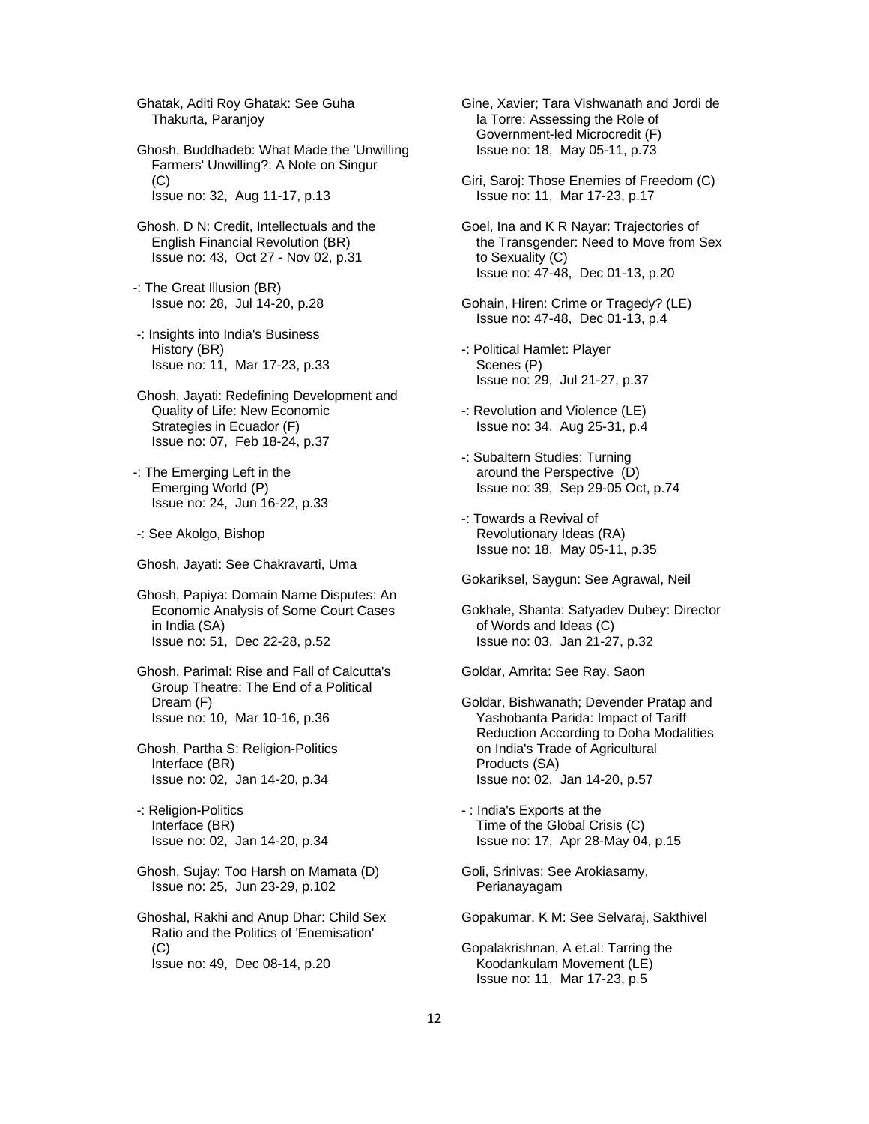Ghatak, Aditi Roy Ghatak: See Guha Thakurta, Paranjoy

- Ghosh, Buddhadeb: What Made the 'Unwilling Farmers' Unwilling?: A Note on Singur (C) Issue no: 32, Aug 11-17, p.13
- Ghosh, D N: Credit, Intellectuals and the English Financial Revolution (BR) Issue no: 43, Oct 27 - Nov 02, p.31
- -: The Great Illusion (BR) Issue no: 28, Jul 14-20, p.28
- -: Insights into India's Business History (BR) Issue no: 11, Mar 17-23, p.33
- Ghosh, Jayati: Redefining Development and Quality of Life: New Economic Strategies in Ecuador (F) Issue no: 07, Feb 18-24, p.37
- -: The Emerging Left in the Emerging World (P) Issue no: 24, Jun 16-22, p.33
- -: See Akolgo, Bishop
- Ghosh, Jayati: See Chakravarti, Uma

 Ghosh, Papiya: Domain Name Disputes: An Economic Analysis of Some Court Cases in India (SA) Issue no: 51, Dec 22-28, p.52

- Ghosh, Parimal: Rise and Fall of Calcutta's Group Theatre: The End of a Political Dream (F) Issue no: 10, Mar 10-16, p.36
- Ghosh, Partha S: Religion-Politics Interface (BR) Issue no: 02, Jan 14-20, p.34
- -: Religion-Politics Interface (BR) Issue no: 02, Jan 14-20, p.34
- Ghosh, Sujay: Too Harsh on Mamata (D) Issue no: 25, Jun 23-29, p.102
- Ghoshal, Rakhi and Anup Dhar: Child Sex Ratio and the Politics of 'Enemisation'  $(C)$ Issue no: 49, Dec 08-14, p.20
- Gine, Xavier; Tara Vishwanath and Jordi de la Torre: Assessing the Role of Government-led Microcredit (F) Issue no: 18, May 05-11, p.73
- Giri, Saroj: Those Enemies of Freedom (C) Issue no: 11, Mar 17-23, p.17
- Goel, Ina and K R Nayar: Trajectories of the Transgender: Need to Move from Sex to Sexuality (C) Issue no: 47-48, Dec 01-13, p.20
- Gohain, Hiren: Crime or Tragedy? (LE) Issue no: 47-48, Dec 01-13, p.4
- -: Political Hamlet: Player Scenes (P) Issue no: 29, Jul 21-27, p.37
- -: Revolution and Violence (LE) Issue no: 34, Aug 25-31, p.4
- -: Subaltern Studies: Turning around the Perspective (D) Issue no: 39, Sep 29-05 Oct, p.74
- -: Towards a Revival of Revolutionary Ideas (RA) Issue no: 18, May 05-11, p.35

Gokariksel, Saygun: See Agrawal, Neil

 Gokhale, Shanta: Satyadev Dubey: Director of Words and Ideas (C) Issue no: 03, Jan 21-27, p.32

Goldar, Amrita: See Ray, Saon

- Goldar, Bishwanath; Devender Pratap and Yashobanta Parida: Impact of Tariff Reduction According to Doha Modalities on India's Trade of Agricultural Products (SA) Issue no: 02, Jan 14-20, p.57
- : India's Exports at the Time of the Global Crisis (C) Issue no: 17, Apr 28-May 04, p.15
- Goli, Srinivas: See Arokiasamy, Perianayagam

Gopakumar, K M: See Selvaraj, Sakthivel

 Gopalakrishnan, A et.al: Tarring the Koodankulam Movement (LE) Issue no: 11, Mar 17-23, p.5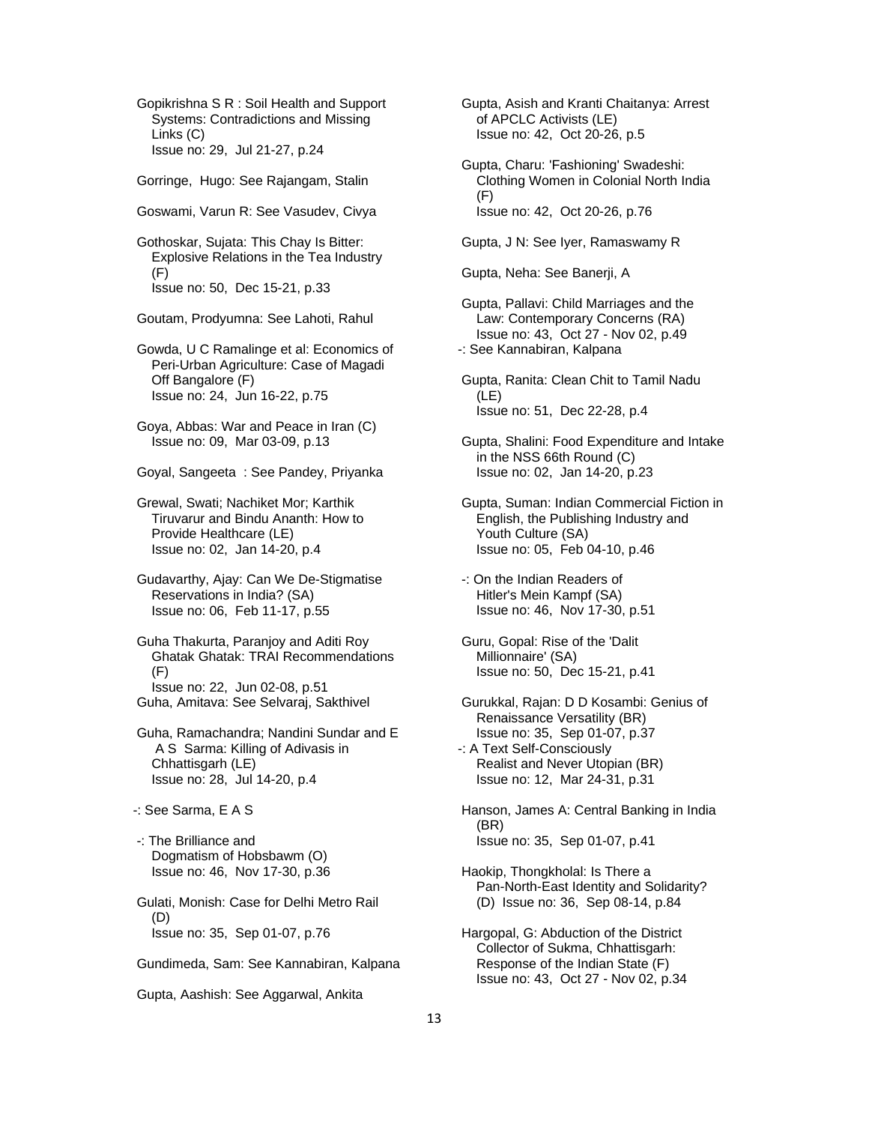Gopikrishna S R : Soil Health and Support Systems: Contradictions and Missing Links (C) Issue no: 29, Jul 21-27, p.24

- Gorringe, Hugo: See Rajangam, Stalin
- Goswami, Varun R: See Vasudev, Civya

 Gothoskar, Sujata: This Chay Is Bitter: Explosive Relations in the Tea Industry (F) Issue no: 50, Dec 15-21, p.33

Goutam, Prodyumna: See Lahoti, Rahul

 Gowda, U C Ramalinge et al: Economics of Peri-Urban Agriculture: Case of Magadi Off Bangalore (F) Issue no: 24, Jun 16-22, p.75

 Goya, Abbas: War and Peace in Iran (C) Issue no: 09, Mar 03-09, p.13

Goyal, Sangeeta : See Pandey, Priyanka

 Grewal, Swati; Nachiket Mor; Karthik Tiruvarur and Bindu Ananth: How to Provide Healthcare (LE) Issue no: 02, Jan 14-20, p.4

 Gudavarthy, Ajay: Can We De-Stigmatise Reservations in India? (SA) Issue no: 06, Feb 11-17, p.55

 Guha Thakurta, Paranjoy and Aditi Roy Ghatak Ghatak: TRAI Recommendations (F) Issue no: 22, Jun 02-08, p.51 Guha, Amitava: See Selvaraj, Sakthivel

 Guha, Ramachandra; Nandini Sundar and E A S Sarma: Killing of Adivasis in Chhattisgarh (LE) Issue no: 28, Jul 14-20, p.4

- -: See Sarma, E A S
- -: The Brilliance and Dogmatism of Hobsbawm (O) Issue no: 46, Nov 17-30, p.36

 Gulati, Monish: Case for Delhi Metro Rail (D) Issue no: 35, Sep 01-07, p.76

Gundimeda, Sam: See Kannabiran, Kalpana

Gupta, Aashish: See Aggarwal, Ankita

 Gupta, Asish and Kranti Chaitanya: Arrest of APCLC Activists (LE) Issue no: 42, Oct 20-26, p.5

- Gupta, Charu: 'Fashioning' Swadeshi: Clothing Women in Colonial North India (F) Issue no: 42, Oct 20-26, p.76
- Gupta, J N: See Iyer, Ramaswamy R

Gupta, Neha: See Banerji, A

 Gupta, Pallavi: Child Marriages and the Law: Contemporary Concerns (RA) Issue no: 43, Oct 27 - Nov 02, p.49 -: See Kannabiran, Kalpana

 Gupta, Ranita: Clean Chit to Tamil Nadu (LE) Issue no: 51, Dec 22-28, p.4

 Gupta, Shalini: Food Expenditure and Intake in the NSS 66th Round (C) Issue no: 02, Jan 14-20, p.23

 Gupta, Suman: Indian Commercial Fiction in English, the Publishing Industry and Youth Culture (SA) Issue no: 05, Feb 04-10, p.46

 -: On the Indian Readers of Hitler's Mein Kampf (SA) Issue no: 46, Nov 17-30, p.51

 Guru, Gopal: Rise of the 'Dalit Millionnaire' (SA) Issue no: 50, Dec 15-21, p.41

 Gurukkal, Rajan: D D Kosambi: Genius of Renaissance Versatility (BR) Issue no: 35, Sep 01-07, p.37

- -: A Text Self-Consciously Realist and Never Utopian (BR) Issue no: 12, Mar 24-31, p.31
- Hanson, James A: Central Banking in India (BR) Issue no: 35, Sep 01-07, p.41
- Haokip, Thongkholal: Is There a Pan-North-East Identity and Solidarity? (D) Issue no: 36, Sep 08-14, p.84
- Hargopal, G: Abduction of the District Collector of Sukma, Chhattisgarh: Response of the Indian State (F) Issue no: 43, Oct 27 - Nov 02, p.34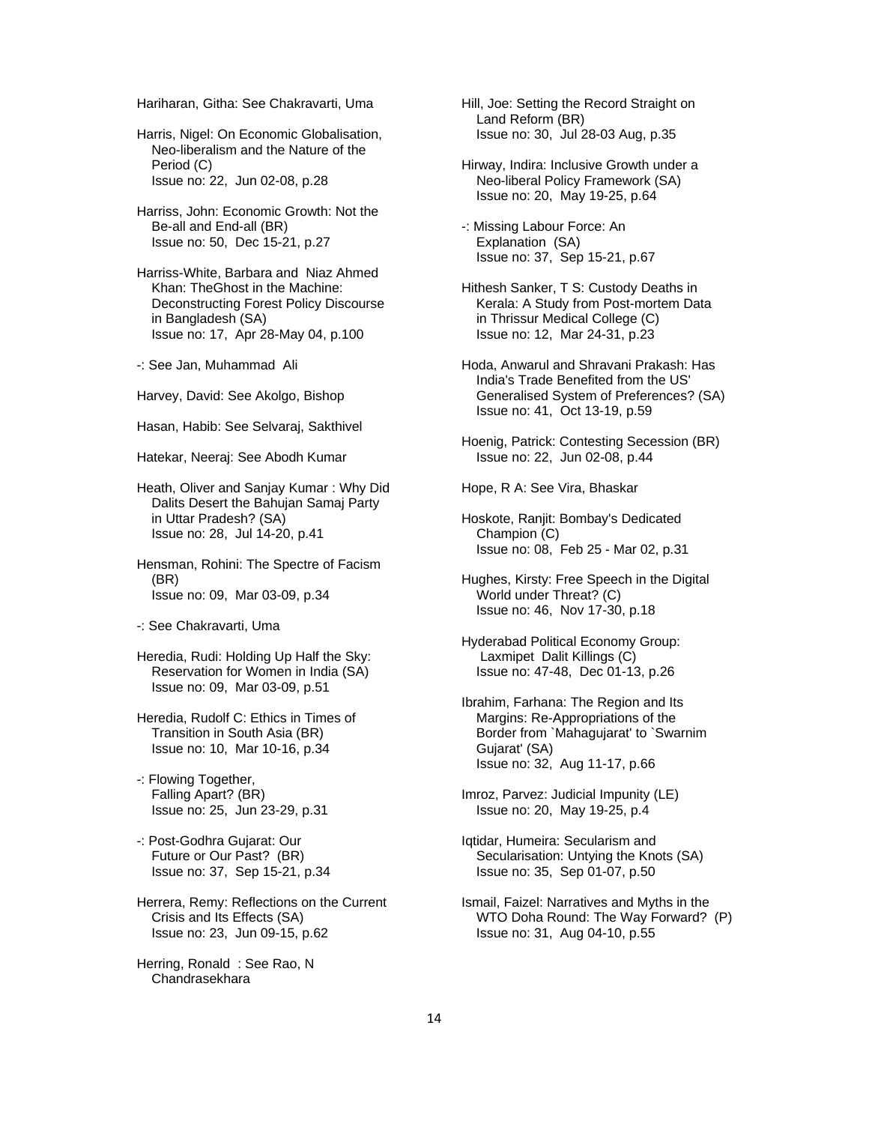Hariharan, Githa: See Chakravarti, Uma

 Harris, Nigel: On Economic Globalisation, Neo-liberalism and the Nature of the Period (C) Issue no: 22, Jun 02-08, p.28

 Harriss, John: Economic Growth: Not the Be-all and End-all (BR) Issue no: 50, Dec 15-21, p.27

- Harriss-White, Barbara and Niaz Ahmed Khan: TheGhost in the Machine: Deconstructing Forest Policy Discourse in Bangladesh (SA) Issue no: 17, Apr 28-May 04, p.100
- -: See Jan, Muhammad Ali
- Harvey, David: See Akolgo, Bishop

Hasan, Habib: See Selvaraj, Sakthivel

Hatekar, Neeraj: See Abodh Kumar

- Heath, Oliver and Sanjay Kumar : Why Did Dalits Desert the Bahujan Samaj Party in Uttar Pradesh? (SA) Issue no: 28, Jul 14-20, p.41
- Hensman, Rohini: The Spectre of Facism (BR) Issue no: 09, Mar 03-09, p.34
- -: See Chakravarti, Uma
- Heredia, Rudi: Holding Up Half the Sky: Reservation for Women in India (SA) Issue no: 09, Mar 03-09, p.51
- Heredia, Rudolf C: Ethics in Times of Transition in South Asia (BR) Issue no: 10, Mar 10-16, p.34
- -: Flowing Together, Falling Apart? (BR) Issue no: 25, Jun 23-29, p.31
- -: Post-Godhra Gujarat: Our Future or Our Past? (BR) Issue no: 37, Sep 15-21, p.34
- Herrera, Remy: Reflections on the Current Crisis and Its Effects (SA) Issue no: 23, Jun 09-15, p.62

 Herring, Ronald : See Rao, N Chandrasekhara

- Hill, Joe: Setting the Record Straight on Land Reform (BR) Issue no: 30, Jul 28-03 Aug, p.35
- Hirway, Indira: Inclusive Growth under a Neo-liberal Policy Framework (SA) Issue no: 20, May 19-25, p.64
- -: Missing Labour Force: An Explanation (SA) Issue no: 37, Sep 15-21, p.67
- Hithesh Sanker, T S: Custody Deaths in Kerala: A Study from Post-mortem Data in Thrissur Medical College (C) Issue no: 12, Mar 24-31, p.23
- Hoda, Anwarul and Shravani Prakash: Has India's Trade Benefited from the US' Generalised System of Preferences? (SA) Issue no: 41, Oct 13-19, p.59
- Hoenig, Patrick: Contesting Secession (BR) Issue no: 22, Jun 02-08, p.44

Hope, R A: See Vira, Bhaskar

- Hoskote, Ranjit: Bombay's Dedicated Champion (C) Issue no: 08, Feb 25 - Mar 02, p.31
- Hughes, Kirsty: Free Speech in the Digital World under Threat? (C) Issue no: 46, Nov 17-30, p.18
- Hyderabad Political Economy Group: Laxmipet Dalit Killings (C) Issue no: 47-48, Dec 01-13, p.26
- Ibrahim, Farhana: The Region and Its Margins: Re-Appropriations of the Border from `Mahagujarat' to `Swarnim Gujarat' (SA) Issue no: 32, Aug 11-17, p.66
- Imroz, Parvez: Judicial Impunity (LE) Issue no: 20, May 19-25, p.4
- Iqtidar, Humeira: Secularism and Secularisation: Untying the Knots (SA) Issue no: 35, Sep 01-07, p.50
- Ismail, Faizel: Narratives and Myths in the WTO Doha Round: The Way Forward? (P) Issue no: 31, Aug 04-10, p.55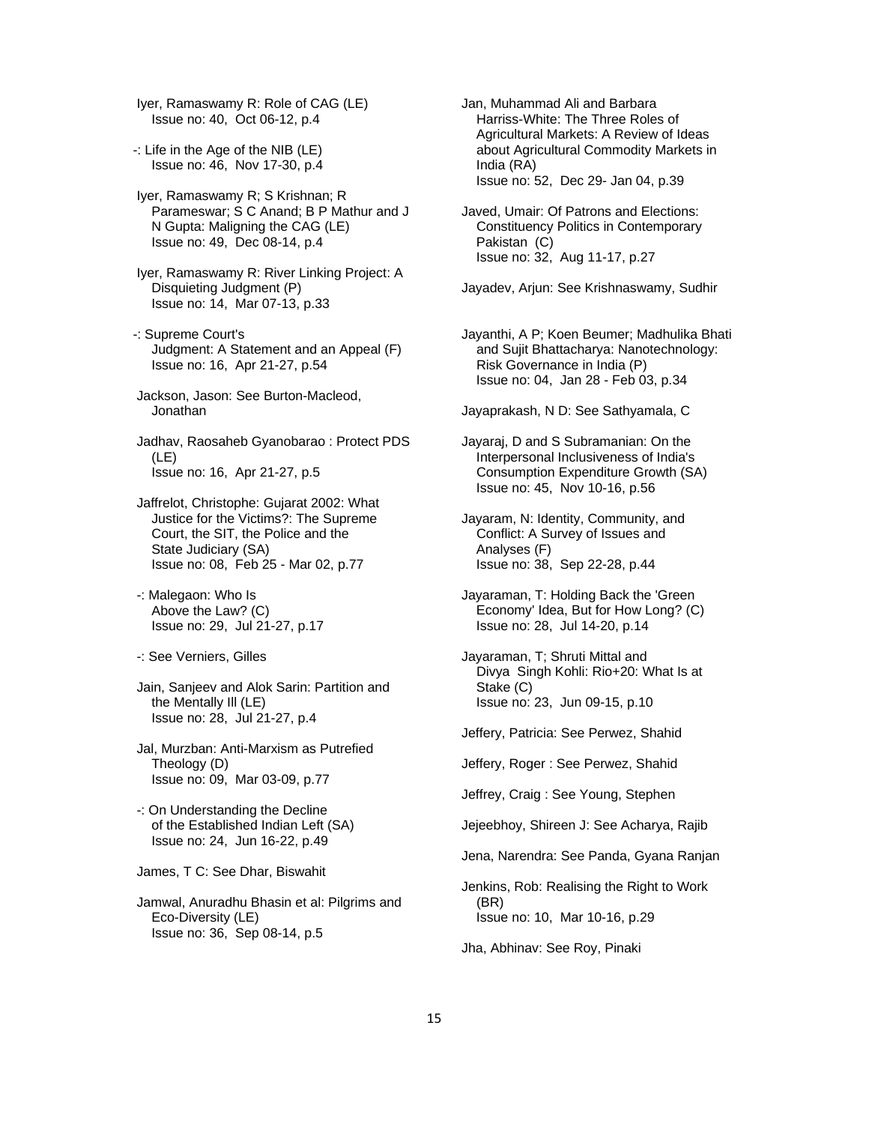Iyer, Ramaswamy R: Role of CAG (LE) Issue no: 40, Oct 06-12, p.4

- -: Life in the Age of the NIB (LE) Issue no: 46, Nov 17-30, p.4
- Iyer, Ramaswamy R; S Krishnan; R Parameswar; S C Anand; B P Mathur and J N Gupta: Maligning the CAG (LE) Issue no: 49, Dec 08-14, p.4
- Iyer, Ramaswamy R: River Linking Project: A Disquieting Judgment (P) Issue no: 14, Mar 07-13, p.33
- -: Supreme Court's Judgment: A Statement and an Appeal (F) Issue no: 16, Apr 21-27, p.54
- Jackson, Jason: See Burton-Macleod, Jonathan
- Jadhav, Raosaheb Gyanobarao : Protect PDS (LE) Issue no: 16, Apr 21-27, p.5
- Jaffrelot, Christophe: Gujarat 2002: What Justice for the Victims?: The Supreme Court, the SIT, the Police and the State Judiciary (SA) Issue no: 08, Feb 25 - Mar 02, p.77
- -: Malegaon: Who Is Above the Law? (C) Issue no: 29, Jul 21-27, p.17
- -: See Verniers, Gilles
- Jain, Sanjeev and Alok Sarin: Partition and the Mentally Ill (LE) Issue no: 28, Jul 21-27, p.4
- Jal, Murzban: Anti-Marxism as Putrefied Theology (D) Issue no: 09, Mar 03-09, p.77
- -: On Understanding the Decline of the Established Indian Left (SA) Issue no: 24, Jun 16-22, p.49

James, T C: See Dhar, Biswahit

 Jamwal, Anuradhu Bhasin et al: Pilgrims and Eco-Diversity (LE) Issue no: 36, Sep 08-14, p.5

- Jan, Muhammad Ali and Barbara Harriss-White: The Three Roles of Agricultural Markets: A Review of Ideas about Agricultural Commodity Markets in India (RA) Issue no: 52, Dec 29- Jan 04, p.39
- Javed, Umair: Of Patrons and Elections: Constituency Politics in Contemporary Pakistan (C) Issue no: 32, Aug 11-17, p.27

Jayadev, Arjun: See Krishnaswamy, Sudhir

 Jayanthi, A P; Koen Beumer; Madhulika Bhati and Sujit Bhattacharya: Nanotechnology: Risk Governance in India (P) Issue no: 04, Jan 28 - Feb 03, p.34

Jayaprakash, N D: See Sathyamala, C

- Jayaraj, D and S Subramanian: On the Interpersonal Inclusiveness of India's Consumption Expenditure Growth (SA) Issue no: 45, Nov 10-16, p.56
- Jayaram, N: Identity, Community, and Conflict: A Survey of Issues and Analyses (F) Issue no: 38, Sep 22-28, p.44
- Jayaraman, T: Holding Back the 'Green Economy' Idea, But for How Long? (C) Issue no: 28, Jul 14-20, p.14
- Jayaraman, T; Shruti Mittal and Divya Singh Kohli: Rio+20: What Is at Stake (C) Issue no: 23, Jun 09-15, p.10
- Jeffery, Patricia: See Perwez, Shahid
- Jeffery, Roger : See Perwez, Shahid

Jeffrey, Craig : See Young, Stephen

- Jejeebhoy, Shireen J: See Acharya, Rajib
- Jena, Narendra: See Panda, Gyana Ranjan
- Jenkins, Rob: Realising the Right to Work (BR) Issue no: 10, Mar 10-16, p.29

Jha, Abhinav: See Roy, Pinaki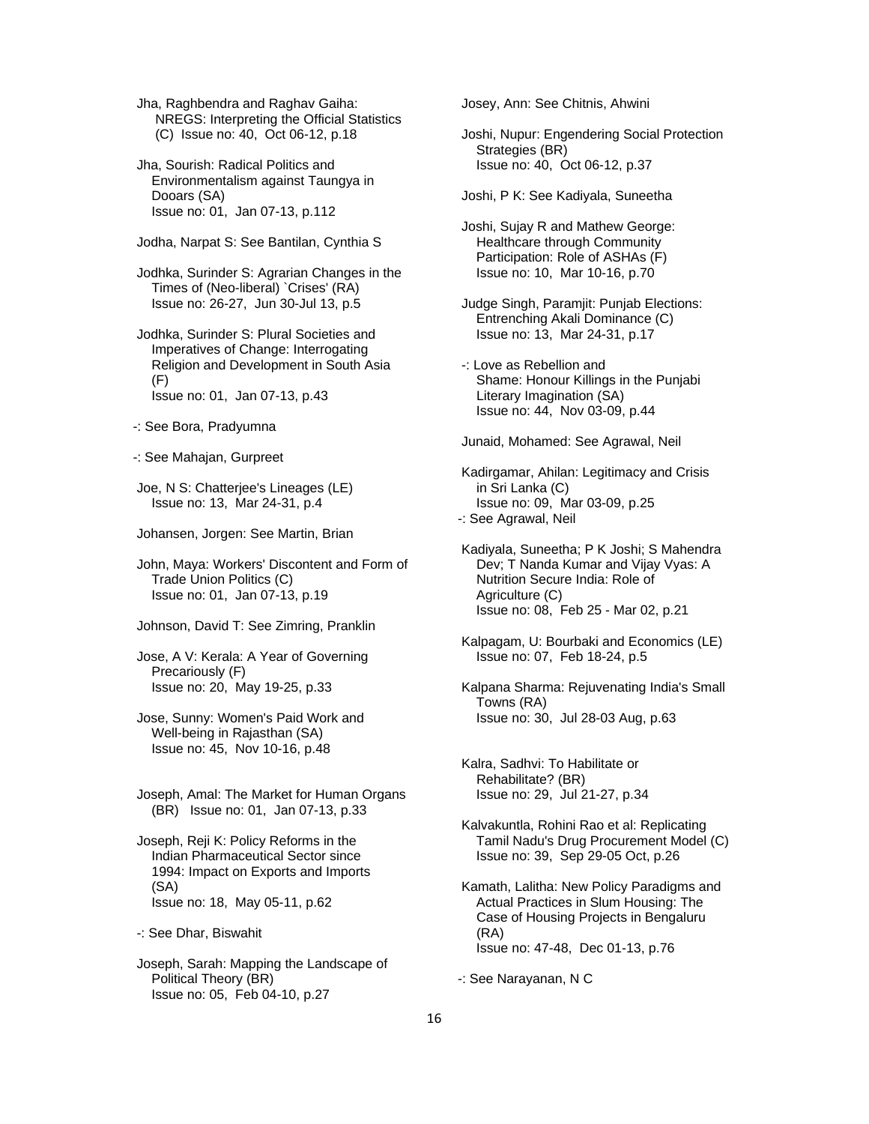Jha, Raghbendra and Raghav Gaiha: NREGS: Interpreting the Official Statistics (C) Issue no: 40, Oct 06-12, p.18

 Jha, Sourish: Radical Politics and Environmentalism against Taungya in Dooars (SA) Issue no: 01, Jan 07-13, p.112

Jodha, Narpat S: See Bantilan, Cynthia S

 Jodhka, Surinder S: Agrarian Changes in the Times of (Neo-liberal) `Crises' (RA) Issue no: 26-27, Jun 30-Jul 13, p.5

 Jodhka, Surinder S: Plural Societies and Imperatives of Change: Interrogating Religion and Development in South Asia (F) Issue no: 01, Jan 07-13, p.43

-: See Bora, Pradyumna

-: See Mahajan, Gurpreet

 Joe, N S: Chatterjee's Lineages (LE) Issue no: 13, Mar 24-31, p.4

Johansen, Jorgen: See Martin, Brian

 John, Maya: Workers' Discontent and Form of Trade Union Politics (C) Issue no: 01, Jan 07-13, p.19

Johnson, David T: See Zimring, Pranklin

 Jose, A V: Kerala: A Year of Governing Precariously (F) Issue no: 20, May 19-25, p.33

 Jose, Sunny: Women's Paid Work and Well-being in Rajasthan (SA) Issue no: 45, Nov 10-16, p.48

 Joseph, Amal: The Market for Human Organs (BR) Issue no: 01, Jan 07-13, p.33

 Joseph, Reji K: Policy Reforms in the Indian Pharmaceutical Sector since 1994: Impact on Exports and Imports (SA) Issue no: 18, May 05-11, p.62

-: See Dhar, Biswahit

 Joseph, Sarah: Mapping the Landscape of Political Theory (BR) Issue no: 05, Feb 04-10, p.27

Josey, Ann: See Chitnis, Ahwini

 Joshi, Nupur: Engendering Social Protection Strategies (BR) Issue no: 40, Oct 06-12, p.37

Joshi, P K: See Kadiyala, Suneetha

 Joshi, Sujay R and Mathew George: Healthcare through Community Participation: Role of ASHAs (F) Issue no: 10, Mar 10-16, p.70

 Judge Singh, Paramjit: Punjab Elections: Entrenching Akali Dominance (C) Issue no: 13, Mar 24-31, p.17

 -: Love as Rebellion and Shame: Honour Killings in the Punjabi Literary Imagination (SA) Issue no: 44, Nov 03-09, p.44

Junaid, Mohamed: See Agrawal, Neil

 Kadirgamar, Ahilan: Legitimacy and Crisis in Sri Lanka (C) Issue no: 09, Mar 03-09, p.25 -: See Agrawal, Neil

 Kadiyala, Suneetha; P K Joshi; S Mahendra Dev; T Nanda Kumar and Vijay Vyas: A Nutrition Secure India: Role of Agriculture (C) Issue no: 08, Feb 25 - Mar 02, p.21

 Kalpagam, U: Bourbaki and Economics (LE) Issue no: 07, Feb 18-24, p.5

 Kalpana Sharma: Rejuvenating India's Small Towns (RA) Issue no: 30, Jul 28-03 Aug, p.63

 Kalra, Sadhvi: To Habilitate or Rehabilitate? (BR) Issue no: 29, Jul 21-27, p.34

 Kalvakuntla, Rohini Rao et al: Replicating Tamil Nadu's Drug Procurement Model (C) Issue no: 39, Sep 29-05 Oct, p.26

 Kamath, Lalitha: New Policy Paradigms and Actual Practices in Slum Housing: The Case of Housing Projects in Bengaluru (RA) Issue no: 47-48, Dec 01-13, p.76

-: See Narayanan, N C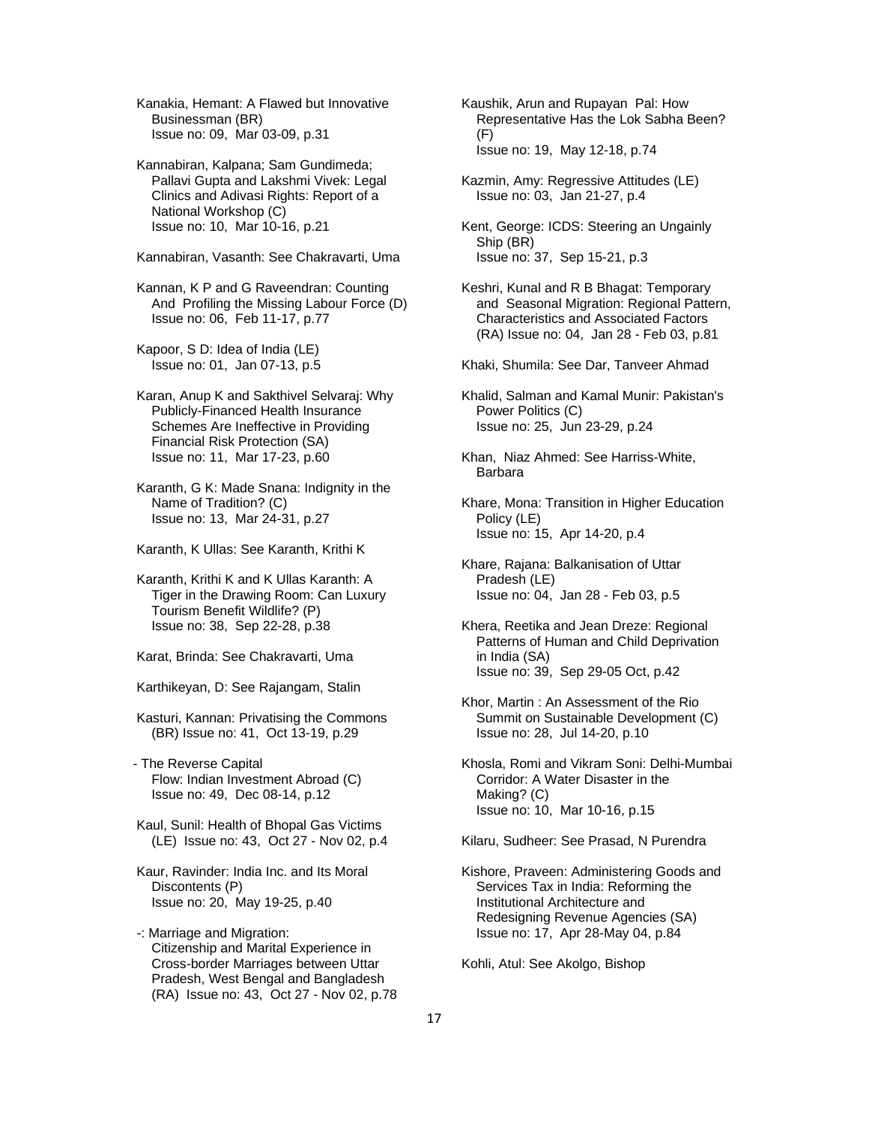Kanakia, Hemant: A Flawed but Innovative Businessman (BR) Issue no: 09, Mar 03-09, p.31

 Kannabiran, Kalpana; Sam Gundimeda; Pallavi Gupta and Lakshmi Vivek: Legal Clinics and Adivasi Rights: Report of a National Workshop (C) Issue no: 10, Mar 10-16, p.21

Kannabiran, Vasanth: See Chakravarti, Uma

 Kannan, K P and G Raveendran: Counting And Profiling the Missing Labour Force (D) Issue no: 06, Feb 11-17, p.77

 Kapoor, S D: Idea of India (LE) Issue no: 01, Jan 07-13, p.5

 Karan, Anup K and Sakthivel Selvaraj: Why Publicly-Financed Health Insurance Schemes Are Ineffective in Providing Financial Risk Protection (SA) Issue no: 11, Mar 17-23, p.60

 Karanth, G K: Made Snana: Indignity in the Name of Tradition? (C) Issue no: 13, Mar 24-31, p.27

Karanth, K Ullas: See Karanth, Krithi K

 Karanth, Krithi K and K Ullas Karanth: A Tiger in the Drawing Room: Can Luxury Tourism Benefit Wildlife? (P) Issue no: 38, Sep 22-28, p.38

Karat, Brinda: See Chakravarti, Uma

Karthikeyan, D: See Rajangam, Stalin

 Kasturi, Kannan: Privatising the Commons (BR) Issue no: 41, Oct 13-19, p.29

- The Reverse Capital Flow: Indian Investment Abroad (C) Issue no: 49, Dec 08-14, p.12

 Kaul, Sunil: Health of Bhopal Gas Victims (LE) Issue no: 43, Oct 27 - Nov 02, p.4

- Kaur, Ravinder: India Inc. and Its Moral Discontents (P) Issue no: 20, May 19-25, p.40
- -: Marriage and Migration: Citizenship and Marital Experience in Cross-border Marriages between Uttar Pradesh, West Bengal and Bangladesh (RA) Issue no: 43, Oct 27 - Nov 02, p.78
- Kaushik, Arun and Rupayan Pal: How Representative Has the Lok Sabha Been? (F) Issue no: 19, May 12-18, p.74
- Kazmin, Amy: Regressive Attitudes (LE) Issue no: 03, Jan 21-27, p.4

 Kent, George: ICDS: Steering an Ungainly Ship (BR) Issue no: 37, Sep 15-21, p.3

- Keshri, Kunal and R B Bhagat: Temporary and Seasonal Migration: Regional Pattern, Characteristics and Associated Factors (RA) Issue no: 04, Jan 28 - Feb 03, p.81
- Khaki, Shumila: See Dar, Tanveer Ahmad
- Khalid, Salman and Kamal Munir: Pakistan's Power Politics (C) Issue no: 25, Jun 23-29, p.24
- Khan, Niaz Ahmed: See Harriss-White, Barbara

 Khare, Mona: Transition in Higher Education Policy (LE) Issue no: 15, Apr 14-20, p.4

- Khare, Rajana: Balkanisation of Uttar Pradesh (LE) Issue no: 04, Jan 28 - Feb 03, p.5
- Khera, Reetika and Jean Dreze: Regional Patterns of Human and Child Deprivation in India (SA) Issue no: 39, Sep 29-05 Oct, p.42
- Khor, Martin : An Assessment of the Rio Summit on Sustainable Development (C) Issue no: 28, Jul 14-20, p.10
- Khosla, Romi and Vikram Soni: Delhi-Mumbai Corridor: A Water Disaster in the Making? (C) Issue no: 10, Mar 10-16, p.15

Kilaru, Sudheer: See Prasad, N Purendra

 Kishore, Praveen: Administering Goods and Services Tax in India: Reforming the Institutional Architecture and Redesigning Revenue Agencies (SA) Issue no: 17, Apr 28-May 04, p.84

Kohli, Atul: See Akolgo, Bishop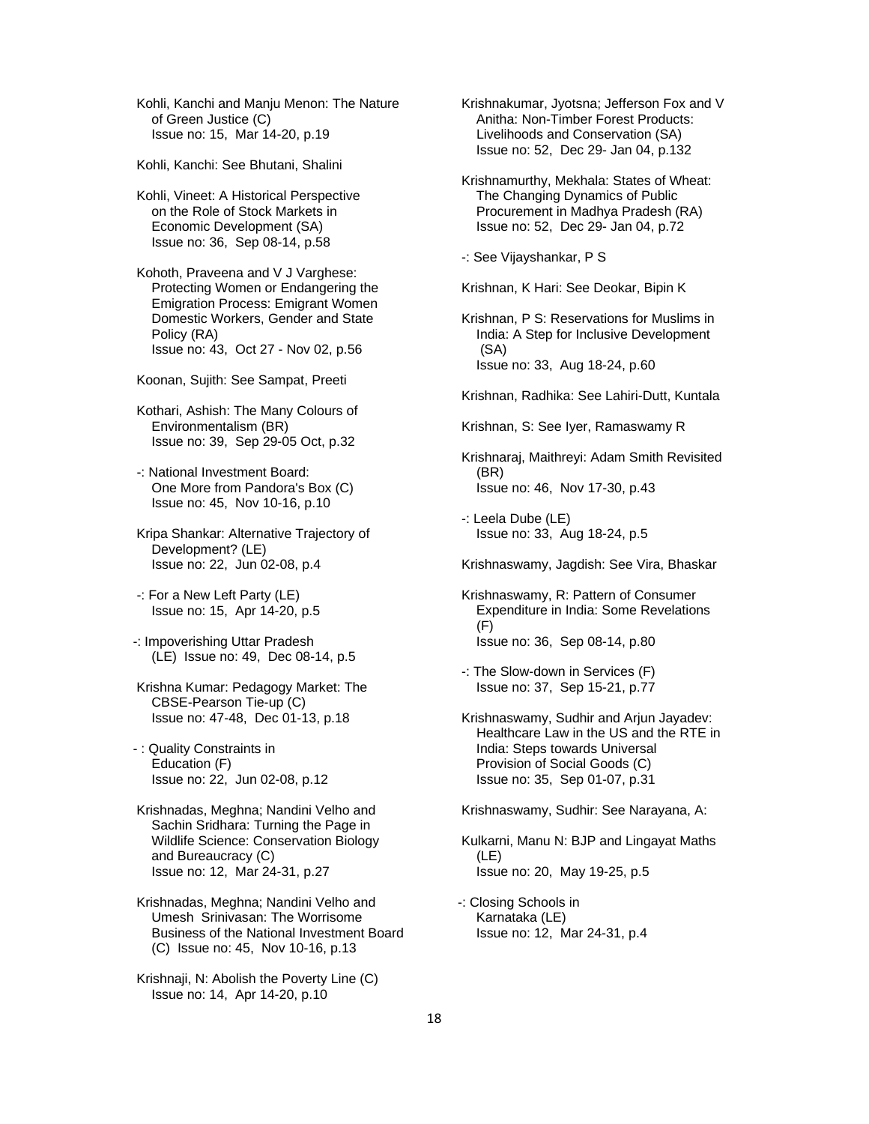Kohli, Kanchi and Manju Menon: The Nature of Green Justice (C) Issue no: 15, Mar 14-20, p.19

Kohli, Kanchi: See Bhutani, Shalini

 Kohli, Vineet: A Historical Perspective on the Role of Stock Markets in Economic Development (SA) Issue no: 36, Sep 08-14, p.58

 Kohoth, Praveena and V J Varghese: Protecting Women or Endangering the Emigration Process: Emigrant Women Domestic Workers, Gender and State Policy (RA) Issue no: 43, Oct 27 - Nov 02, p.56

Koonan, Sujith: See Sampat, Preeti

 Kothari, Ashish: The Many Colours of Environmentalism (BR) Issue no: 39, Sep 29-05 Oct, p.32

 -: National Investment Board: One More from Pandora's Box (C) Issue no: 45, Nov 10-16, p.10

 Kripa Shankar: Alternative Trajectory of Development? (LE) Issue no: 22, Jun 02-08, p.4

 -: For a New Left Party (LE) Issue no: 15, Apr 14-20, p.5

-: Impoverishing Uttar Pradesh (LE) Issue no: 49, Dec 08-14, p.5

 Krishna Kumar: Pedagogy Market: The CBSE-Pearson Tie-up (C) Issue no: 47-48, Dec 01-13, p.18

- : Quality Constraints in Education (F) Issue no: 22, Jun 02-08, p.12

 Krishnadas, Meghna; Nandini Velho and Sachin Sridhara: Turning the Page in Wildlife Science: Conservation Biology and Bureaucracy (C) Issue no: 12, Mar 24-31, p.27

 Krishnadas, Meghna; Nandini Velho and Umesh Srinivasan: The Worrisome Business of the National Investment Board (C) Issue no: 45, Nov 10-16, p.13

 Krishnaji, N: Abolish the Poverty Line (C) Issue no: 14, Apr 14-20, p.10

 Krishnakumar, Jyotsna; Jefferson Fox and V Anitha: Non-Timber Forest Products: Livelihoods and Conservation (SA) Issue no: 52, Dec 29- Jan 04, p.132

 Krishnamurthy, Mekhala: States of Wheat: The Changing Dynamics of Public Procurement in Madhya Pradesh (RA) Issue no: 52, Dec 29- Jan 04, p.72

-: See Vijayshankar, P S

Krishnan, K Hari: See Deokar, Bipin K

 Krishnan, P S: Reservations for Muslims in India: A Step for Inclusive Development (SA) Issue no: 33, Aug 18-24, p.60

Krishnan, Radhika: See Lahiri-Dutt, Kuntala

Krishnan, S: See Iyer, Ramaswamy R

 Krishnaraj, Maithreyi: Adam Smith Revisited (BR) Issue no: 46, Nov 17-30, p.43

 -: Leela Dube (LE) Issue no: 33, Aug 18-24, p.5

Krishnaswamy, Jagdish: See Vira, Bhaskar

 Krishnaswamy, R: Pattern of Consumer Expenditure in India: Some Revelations  $(F)$ Issue no: 36, Sep 08-14, p.80

 -: The Slow-down in Services (F) Issue no: 37, Sep 15-21, p.77

 Krishnaswamy, Sudhir and Arjun Jayadev: Healthcare Law in the US and the RTE in India: Steps towards Universal Provision of Social Goods (C) Issue no: 35, Sep 01-07, p.31

Krishnaswamy, Sudhir: See Narayana, A:

 Kulkarni, Manu N: BJP and Lingayat Maths (LE) Issue no: 20, May 19-25, p.5

-: Closing Schools in Karnataka (LE) Issue no: 12, Mar 24-31, p.4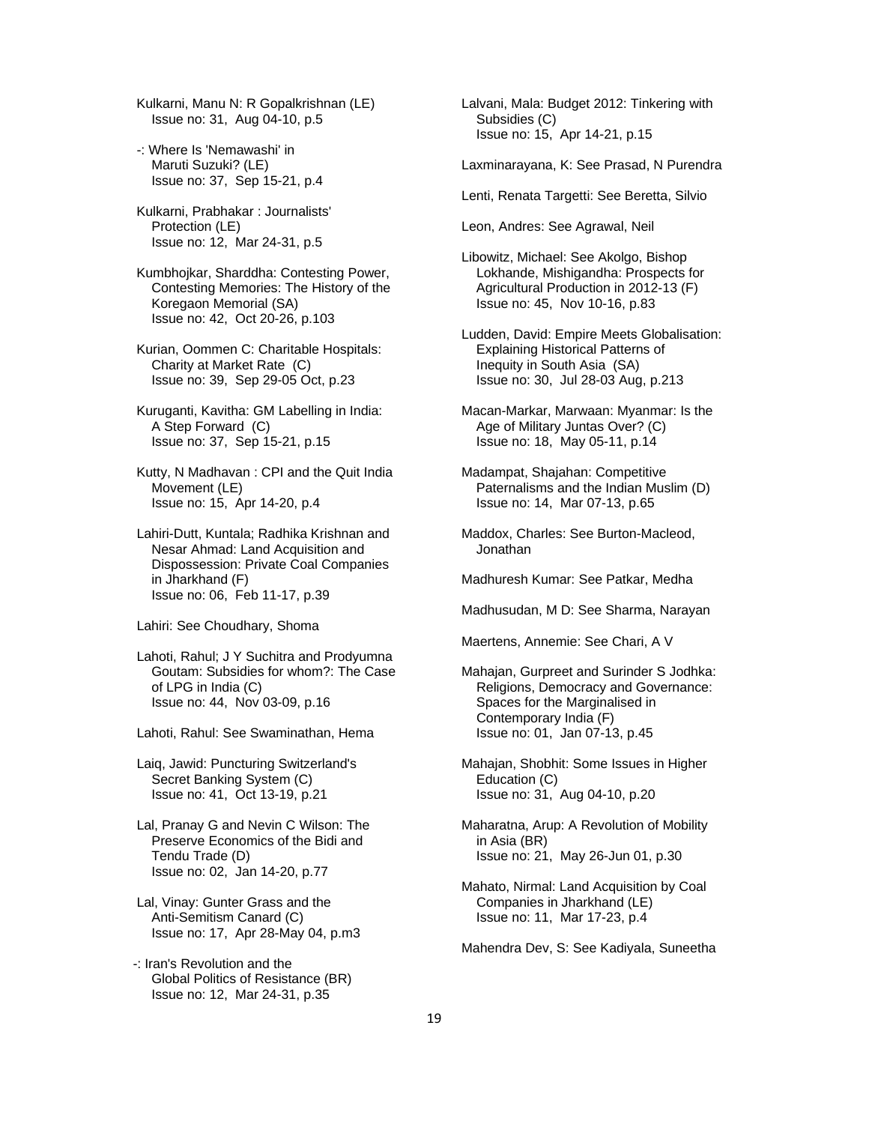Kulkarni, Manu N: R Gopalkrishnan (LE) Issue no: 31, Aug 04-10, p.5

- -: Where Is 'Nemawashi' in Maruti Suzuki? (LE) Issue no: 37, Sep 15-21, p.4
- Kulkarni, Prabhakar : Journalists' Protection (LE) Issue no: 12, Mar 24-31, p.5
- Kumbhojkar, Sharddha: Contesting Power, Contesting Memories: The History of the Koregaon Memorial (SA) Issue no: 42, Oct 20-26, p.103
- Kurian, Oommen C: Charitable Hospitals: Charity at Market Rate (C) Issue no: 39, Sep 29-05 Oct, p.23
- Kuruganti, Kavitha: GM Labelling in India: A Step Forward (C) Issue no: 37, Sep 15-21, p.15
- Kutty, N Madhavan : CPI and the Quit India Movement (LE) Issue no: 15, Apr 14-20, p.4
- Lahiri-Dutt, Kuntala; Radhika Krishnan and Nesar Ahmad: Land Acquisition and Dispossession: Private Coal Companies in Jharkhand (F) Issue no: 06, Feb 11-17, p.39

Lahiri: See Choudhary, Shoma

- Lahoti, Rahul; J Y Suchitra and Prodyumna Goutam: Subsidies for whom?: The Case of LPG in India (C) Issue no: 44, Nov 03-09, p.16
- Lahoti, Rahul: See Swaminathan, Hema
- Laiq, Jawid: Puncturing Switzerland's Secret Banking System (C) Issue no: 41, Oct 13-19, p.21
- Lal, Pranay G and Nevin C Wilson: The Preserve Economics of the Bidi and Tendu Trade (D) Issue no: 02, Jan 14-20, p.77
- Lal, Vinay: Gunter Grass and the Anti-Semitism Canard (C) Issue no: 17, Apr 28-May 04, p.m3
- -: Iran's Revolution and the Global Politics of Resistance (BR) Issue no: 12, Mar 24-31, p.35
- Lalvani, Mala: Budget 2012: Tinkering with Subsidies (C) Issue no: 15, Apr 14-21, p.15
- Laxminarayana, K: See Prasad, N Purendra
- Lenti, Renata Targetti: See Beretta, Silvio
- Leon, Andres: See Agrawal, Neil
- Libowitz, Michael: See Akolgo, Bishop Lokhande, Mishigandha: Prospects for Agricultural Production in 2012-13 (F) Issue no: 45, Nov 10-16, p.83
- Ludden, David: Empire Meets Globalisation: Explaining Historical Patterns of Inequity in South Asia (SA) Issue no: 30, Jul 28-03 Aug, p.213
- Macan-Markar, Marwaan: Myanmar: Is the Age of Military Juntas Over? (C) Issue no: 18, May 05-11, p.14
- Madampat, Shajahan: Competitive Paternalisms and the Indian Muslim (D) Issue no: 14, Mar 07-13, p.65
- Maddox, Charles: See Burton-Macleod, Jonathan
- Madhuresh Kumar: See Patkar, Medha
- Madhusudan, M D: See Sharma, Narayan

Maertens, Annemie: See Chari, A V

- Mahajan, Gurpreet and Surinder S Jodhka: Religions, Democracy and Governance: Spaces for the Marginalised in Contemporary India (F) Issue no: 01, Jan 07-13, p.45
- Mahajan, Shobhit: Some Issues in Higher Education (C) Issue no: 31, Aug 04-10, p.20
- Maharatna, Arup: A Revolution of Mobility in Asia (BR) Issue no: 21, May 26-Jun 01, p.30
- Mahato, Nirmal: Land Acquisition by Coal Companies in Jharkhand (LE) Issue no: 11, Mar 17-23, p.4

Mahendra Dev, S: See Kadiyala, Suneetha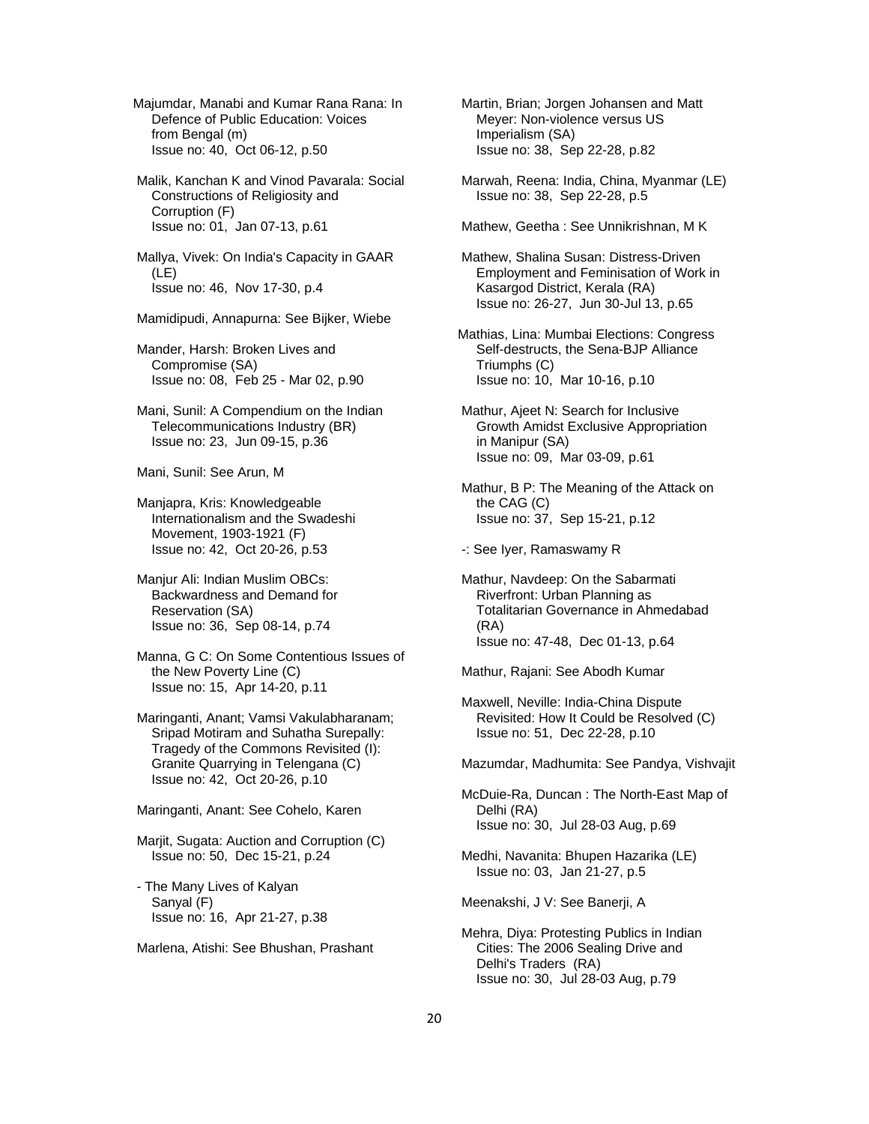Majumdar, Manabi and Kumar Rana Rana: In Defence of Public Education: Voices from Bengal (m) Issue no: 40, Oct 06-12, p.50

 Malik, Kanchan K and Vinod Pavarala: Social Constructions of Religiosity and Corruption (F) Issue no: 01, Jan 07-13, p.61

 Mallya, Vivek: On India's Capacity in GAAR (LE) Issue no: 46, Nov 17-30, p.4

Mamidipudi, Annapurna: See Bijker, Wiebe

 Mander, Harsh: Broken Lives and Compromise (SA) Issue no: 08, Feb 25 - Mar 02, p.90

 Mani, Sunil: A Compendium on the Indian Telecommunications Industry (BR) Issue no: 23, Jun 09-15, p.36

Mani, Sunil: See Arun, M

 Manjapra, Kris: Knowledgeable Internationalism and the Swadeshi Movement, 1903-1921 (F) Issue no: 42, Oct 20-26, p.53

 Manjur Ali: Indian Muslim OBCs: Backwardness and Demand for Reservation (SA) Issue no: 36, Sep 08-14, p.74

 Manna, G C: On Some Contentious Issues of the New Poverty Line (C) Issue no: 15, Apr 14-20, p.11

 Maringanti, Anant; Vamsi Vakulabharanam; Sripad Motiram and Suhatha Surepally: Tragedy of the Commons Revisited (I): Granite Quarrying in Telengana (C) Issue no: 42, Oct 20-26, p.10

Maringanti, Anant: See Cohelo, Karen

 Marjit, Sugata: Auction and Corruption (C) Issue no: 50, Dec 15-21, p.24

 - The Many Lives of Kalyan Sanyal (F) Issue no: 16, Apr 21-27, p.38

Marlena, Atishi: See Bhushan, Prashant

 Martin, Brian; Jorgen Johansen and Matt Meyer: Non-violence versus US Imperialism (SA) Issue no: 38, Sep 22-28, p.82

 Marwah, Reena: India, China, Myanmar (LE) Issue no: 38, Sep 22-28, p.5

Mathew, Geetha : See Unnikrishnan, M K

 Mathew, Shalina Susan: Distress-Driven Employment and Feminisation of Work in Kasargod District, Kerala (RA) Issue no: 26-27, Jun 30-Jul 13, p.65

Mathias, Lina: Mumbai Elections: Congress Self-destructs, the Sena-BJP Alliance Triumphs (C) Issue no: 10, Mar 10-16, p.10

 Mathur, Ajeet N: Search for Inclusive Growth Amidst Exclusive Appropriation in Manipur (SA) Issue no: 09, Mar 03-09, p.61

 Mathur, B P: The Meaning of the Attack on the CAG (C) Issue no: 37, Sep 15-21, p.12

-: See Iyer, Ramaswamy R

 Mathur, Navdeep: On the Sabarmati Riverfront: Urban Planning as Totalitarian Governance in Ahmedabad (RA) Issue no: 47-48, Dec 01-13, p.64

Mathur, Rajani: See Abodh Kumar

 Maxwell, Neville: India-China Dispute Revisited: How It Could be Resolved (C) Issue no: 51, Dec 22-28, p.10

Mazumdar, Madhumita: See Pandya, Vishvajit

 McDuie-Ra, Duncan : The North-East Map of Delhi (RA) Issue no: 30, Jul 28-03 Aug, p.69

 Medhi, Navanita: Bhupen Hazarika (LE) Issue no: 03, Jan 21-27, p.5

Meenakshi, J V: See Banerji, A

 Mehra, Diya: Protesting Publics in Indian Cities: The 2006 Sealing Drive and Delhi's Traders (RA) Issue no: 30, Jul 28-03 Aug, p.79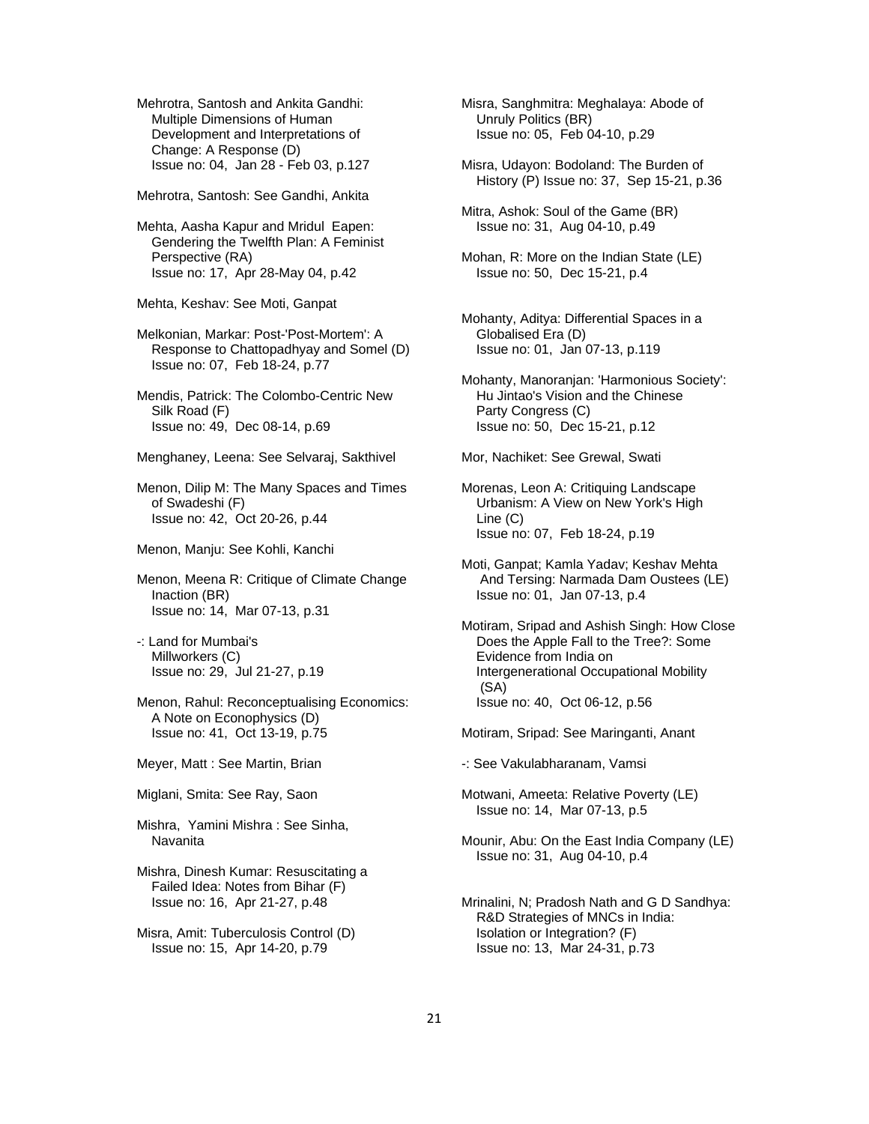Mehrotra, Santosh and Ankita Gandhi: Multiple Dimensions of Human Development and Interpretations of Change: A Response (D) Issue no: 04, Jan 28 - Feb 03, p.127

Mehrotra, Santosh: See Gandhi, Ankita

 Mehta, Aasha Kapur and Mridul Eapen: Gendering the Twelfth Plan: A Feminist Perspective (RA) Issue no: 17, Apr 28-May 04, p.42

Mehta, Keshav: See Moti, Ganpat

 Melkonian, Markar: Post-'Post-Mortem': A Response to Chattopadhyay and Somel (D) Issue no: 07, Feb 18-24, p.77

 Mendis, Patrick: The Colombo-Centric New Silk Road (F) Issue no: 49, Dec 08-14, p.69

Menghaney, Leena: See Selvaraj, Sakthivel

 Menon, Dilip M: The Many Spaces and Times of Swadeshi (F) Issue no: 42, Oct 20-26, p.44

Menon, Manju: See Kohli, Kanchi

 Menon, Meena R: Critique of Climate Change Inaction (BR) Issue no: 14, Mar 07-13, p.31

 -: Land for Mumbai's Millworkers (C) Issue no: 29, Jul 21-27, p.19

 Menon, Rahul: Reconceptualising Economics: A Note on Econophysics (D) Issue no: 41, Oct 13-19, p.75

Meyer, Matt : See Martin, Brian

Miglani, Smita: See Ray, Saon

 Mishra, Yamini Mishra : See Sinha, Navanita

 Mishra, Dinesh Kumar: Resuscitating a Failed Idea: Notes from Bihar (F) Issue no: 16, Apr 21-27, p.48

 Misra, Amit: Tuberculosis Control (D) Issue no: 15, Apr 14-20, p.79

 Misra, Sanghmitra: Meghalaya: Abode of Unruly Politics (BR) Issue no: 05, Feb 04-10, p.29

 Misra, Udayon: Bodoland: The Burden of History (P) Issue no: 37, Sep 15-21, p.36

 Mitra, Ashok: Soul of the Game (BR) Issue no: 31, Aug 04-10, p.49

 Mohan, R: More on the Indian State (LE) Issue no: 50, Dec 15-21, p.4

 Mohanty, Aditya: Differential Spaces in a Globalised Era (D) Issue no: 01, Jan 07-13, p.119

 Mohanty, Manoranjan: 'Harmonious Society': Hu Jintao's Vision and the Chinese Party Congress (C) Issue no: 50, Dec 15-21, p.12

Mor, Nachiket: See Grewal, Swati

 Morenas, Leon A: Critiquing Landscape Urbanism: A View on New York's High Line (C) Issue no: 07, Feb 18-24, p.19

 Moti, Ganpat; Kamla Yadav; Keshav Mehta And Tersing: Narmada Dam Oustees (LE) Issue no: 01, Jan 07-13, p.4

 Motiram, Sripad and Ashish Singh: How Close Does the Apple Fall to the Tree?: Some Evidence from India on Intergenerational Occupational Mobility (SA) Issue no: 40, Oct 06-12, p.56

Motiram, Sripad: See Maringanti, Anant

-: See Vakulabharanam, Vamsi

 Motwani, Ameeta: Relative Poverty (LE) Issue no: 14, Mar 07-13, p.5

 Mounir, Abu: On the East India Company (LE) Issue no: 31, Aug 04-10, p.4

 Mrinalini, N; Pradosh Nath and G D Sandhya: R&D Strategies of MNCs in India: Isolation or Integration? (F) Issue no: 13, Mar 24-31, p.73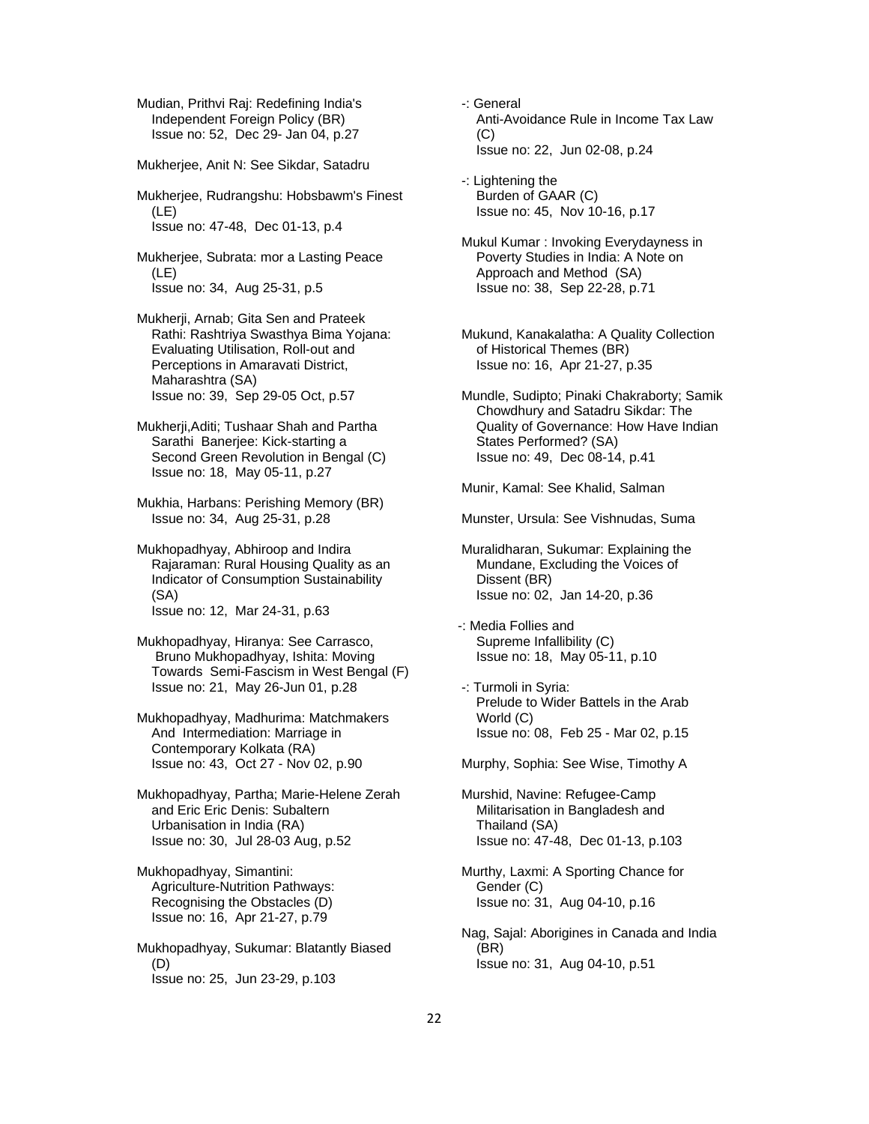Mudian, Prithvi Raj: Redefining India's Independent Foreign Policy (BR) Issue no: 52, Dec 29- Jan 04, p.27

Mukherjee, Anit N: See Sikdar, Satadru

 Mukherjee, Rudrangshu: Hobsbawm's Finest (LE) Issue no: 47-48, Dec 01-13, p.4

 Mukherjee, Subrata: mor a Lasting Peace (LE) Issue no: 34, Aug 25-31, p.5

 Mukherji, Arnab; Gita Sen and Prateek Rathi: Rashtriya Swasthya Bima Yojana: Evaluating Utilisation, Roll-out and Perceptions in Amaravati District, Maharashtra (SA) Issue no: 39, Sep 29-05 Oct, p.57

- Mukherji,Aditi; Tushaar Shah and Partha Sarathi Banerjee: Kick-starting a Second Green Revolution in Bengal (C) Issue no: 18, May 05-11, p.27
- Mukhia, Harbans: Perishing Memory (BR) Issue no: 34, Aug 25-31, p.28
- Mukhopadhyay, Abhiroop and Indira Rajaraman: Rural Housing Quality as an Indicator of Consumption Sustainability (SA) Issue no: 12, Mar 24-31, p.63

Mukhopadhyay, Hiranya: See Carrasco,

 Bruno Mukhopadhyay, Ishita: Moving Towards Semi-Fascism in West Bengal (F) Issue no: 21, May 26-Jun 01, p.28

 Mukhopadhyay, Madhurima: Matchmakers And Intermediation: Marriage in Contemporary Kolkata (RA) Issue no: 43, Oct 27 - Nov 02, p.90

 Mukhopadhyay, Partha; Marie-Helene Zerah and Eric Eric Denis: Subaltern Urbanisation in India (RA) Issue no: 30, Jul 28-03 Aug, p.52

 Mukhopadhyay, Simantini: Agriculture-Nutrition Pathways: Recognising the Obstacles (D) Issue no: 16, Apr 21-27, p.79

 Mukhopadhyay, Sukumar: Blatantly Biased (D) Issue no: 25, Jun 23-29, p.103

- -: General Anti-Avoidance Rule in Income Tax Law  $(C)$ Issue no: 22, Jun 02-08, p.24
- -: Lightening the Burden of GAAR (C) Issue no: 45, Nov 10-16, p.17
- Mukul Kumar : Invoking Everydayness in Poverty Studies in India: A Note on Approach and Method (SA) Issue no: 38, Sep 22-28, p.71
- Mukund, Kanakalatha: A Quality Collection of Historical Themes (BR) Issue no: 16, Apr 21-27, p.35
- Mundle, Sudipto; Pinaki Chakraborty; Samik Chowdhury and Satadru Sikdar: The Quality of Governance: How Have Indian States Performed? (SA) Issue no: 49, Dec 08-14, p.41

Munir, Kamal: See Khalid, Salman

- Munster, Ursula: See Vishnudas, Suma
- Muralidharan, Sukumar: Explaining the Mundane, Excluding the Voices of Dissent (BR) Issue no: 02, Jan 14-20, p.36
- -: Media Follies and Supreme Infallibility (C) Issue no: 18, May 05-11, p.10
- -: Turmoli in Syria: Prelude to Wider Battels in the Arab World (C) Issue no: 08, Feb 25 - Mar 02, p.15

Murphy, Sophia: See Wise, Timothy A

- Murshid, Navine: Refugee-Camp Militarisation in Bangladesh and Thailand (SA) Issue no: 47-48, Dec 01-13, p.103
- Murthy, Laxmi: A Sporting Chance for Gender (C) Issue no: 31, Aug 04-10, p.16
- Nag, Sajal: Aborigines in Canada and India (BR) Issue no: 31, Aug 04-10, p.51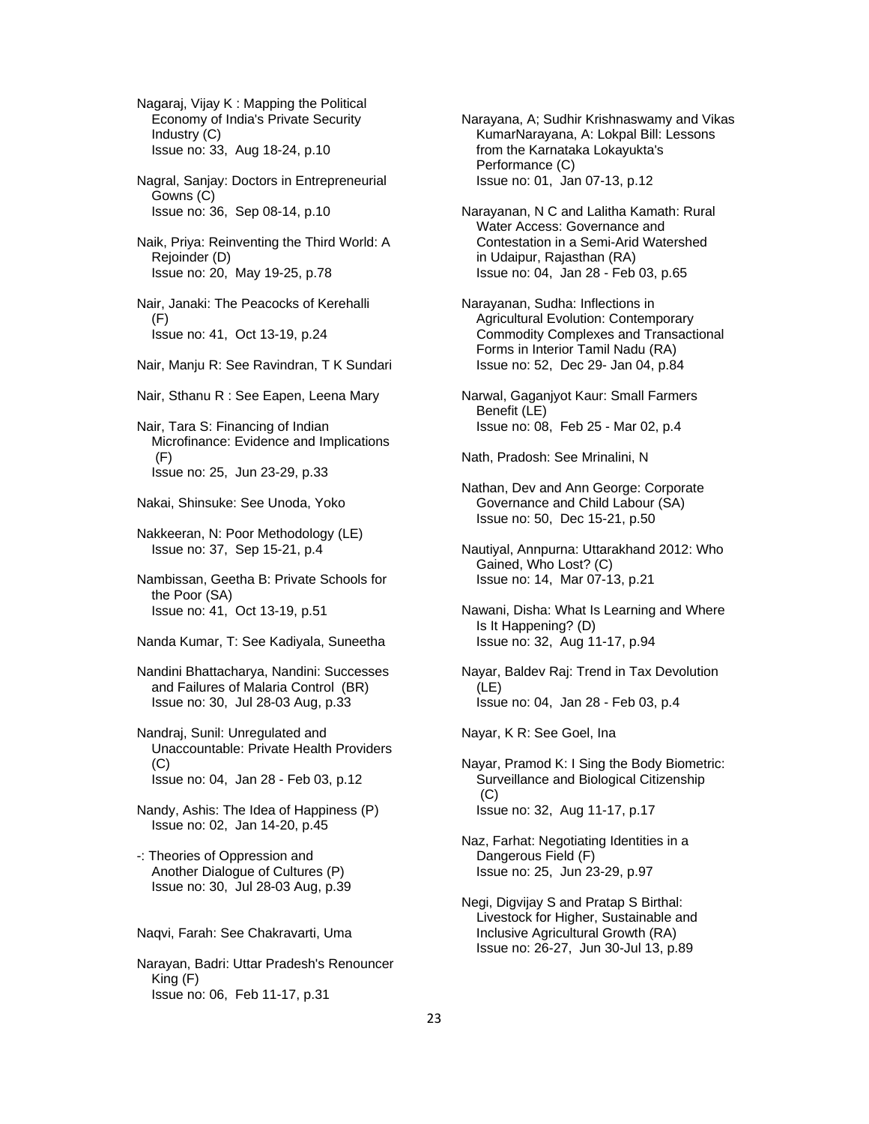Nagaraj, Vijay K : Mapping the Political Economy of India's Private Security Industry (C) Issue no: 33, Aug 18-24, p.10 Nagral, Sanjay: Doctors in Entrepreneurial Gowns (C) Issue no: 36, Sep 08-14, p.10 Naik, Priya: Reinventing the Third World: A Rejoinder (D) Issue no: 20, May 19-25, p.78 Nair, Janaki: The Peacocks of Kerehalli (F) Issue no: 41, Oct 13-19, p.24 Nair, Manju R: See Ravindran, T K Sundari Nair, Sthanu R : See Eapen, Leena Mary Nair, Tara S: Financing of Indian Microfinance: Evidence and Implications (F) Issue no: 25, Jun 23-29, p.33 Nakai, Shinsuke: See Unoda, Yoko Nakkeeran, N: Poor Methodology (LE) Issue no: 37, Sep 15-21, p.4 Nambissan, Geetha B: Private Schools for the Poor (SA) Issue no: 41, Oct 13-19, p.51 Nanda Kumar, T: See Kadiyala, Suneetha

 Nandini Bhattacharya, Nandini: Successes and Failures of Malaria Control (BR) Issue no: 30, Jul 28-03 Aug, p.33

 Nandraj, Sunil: Unregulated and Unaccountable: Private Health Providers (C) Issue no: 04, Jan 28 - Feb 03, p.12

 Nandy, Ashis: The Idea of Happiness (P) Issue no: 02, Jan 14-20, p.45

 -: Theories of Oppression and Another Dialogue of Cultures (P) Issue no: 30, Jul 28-03 Aug, p.39

Naqvi, Farah: See Chakravarti, Uma

 Narayan, Badri: Uttar Pradesh's Renouncer King (F) Issue no: 06, Feb 11-17, p.31

 Narayana, A; Sudhir Krishnaswamy and Vikas KumarNarayana, A: Lokpal Bill: Lessons from the Karnataka Lokayukta's Performance (C) Issue no: 01, Jan 07-13, p.12

 Narayanan, N C and Lalitha Kamath: Rural Water Access: Governance and Contestation in a Semi-Arid Watershed in Udaipur, Rajasthan (RA) Issue no: 04, Jan 28 - Feb 03, p.65

 Narayanan, Sudha: Inflections in Agricultural Evolution: Contemporary Commodity Complexes and Transactional Forms in Interior Tamil Nadu (RA) Issue no: 52, Dec 29- Jan 04, p.84

 Narwal, Gaganjyot Kaur: Small Farmers Benefit (LE) Issue no: 08, Feb 25 - Mar 02, p.4

Nath, Pradosh: See Mrinalini, N

 Nathan, Dev and Ann George: Corporate Governance and Child Labour (SA) Issue no: 50, Dec 15-21, p.50

 Nautiyal, Annpurna: Uttarakhand 2012: Who Gained, Who Lost? (C) Issue no: 14, Mar 07-13, p.21

 Nawani, Disha: What Is Learning and Where Is It Happening? (D) Issue no: 32, Aug 11-17, p.94

 Nayar, Baldev Raj: Trend in Tax Devolution (LE) Issue no: 04, Jan 28 - Feb 03, p.4

Nayar, K R: See Goel, Ina

 Nayar, Pramod K: I Sing the Body Biometric: Surveillance and Biological Citizenship (C) Issue no: 32, Aug 11-17, p.17

 Naz, Farhat: Negotiating Identities in a Dangerous Field (F) Issue no: 25, Jun 23-29, p.97

 Negi, Digvijay S and Pratap S Birthal: Livestock for Higher, Sustainable and Inclusive Agricultural Growth (RA) Issue no: 26-27, Jun 30-Jul 13, p.89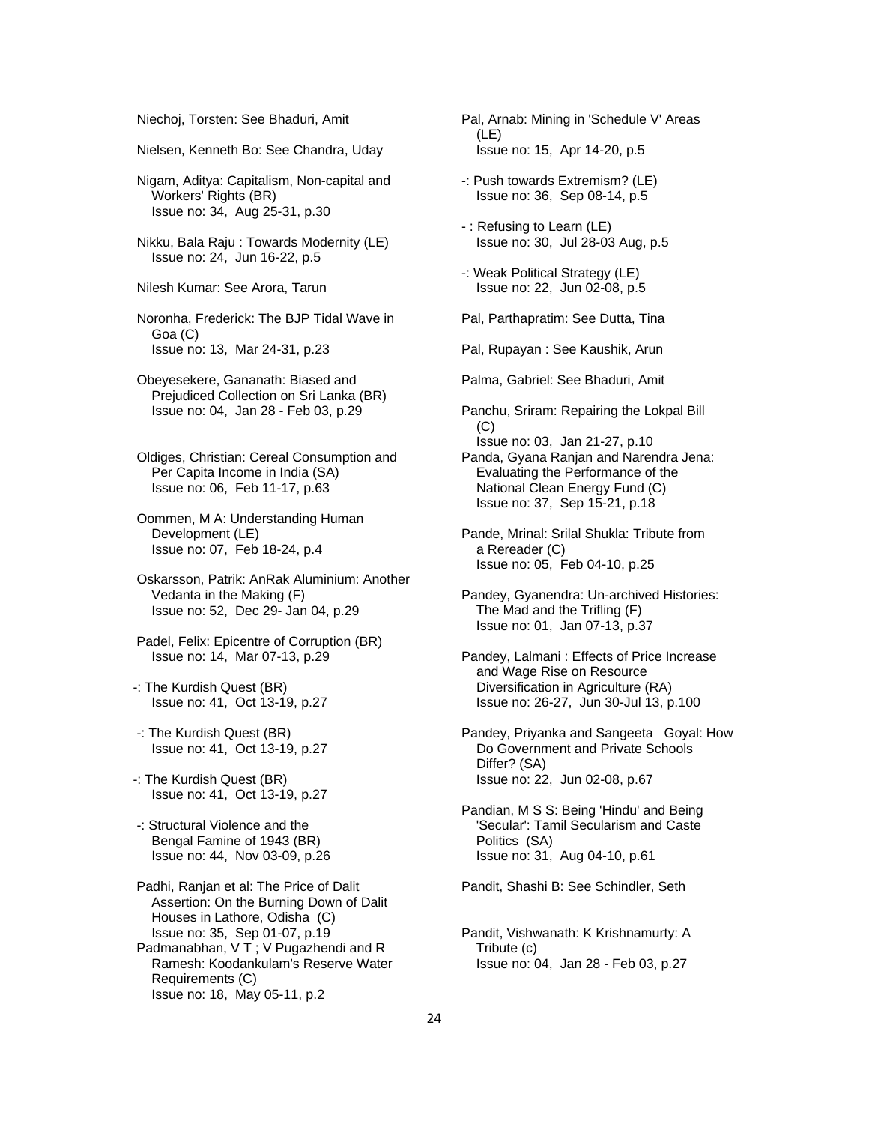Niechoj, Torsten: See Bhaduri, Amit

Nielsen, Kenneth Bo: See Chandra, Uday

 Nigam, Aditya: Capitalism, Non-capital and Workers' Rights (BR) Issue no: 34, Aug 25-31, p.30

 Nikku, Bala Raju : Towards Modernity (LE) Issue no: 24, Jun 16-22, p.5

Nilesh Kumar: See Arora, Tarun

 Noronha, Frederick: The BJP Tidal Wave in Goa (C) Issue no: 13, Mar 24-31, p.23

 Obeyesekere, Gananath: Biased and Prejudiced Collection on Sri Lanka (BR) Issue no: 04, Jan 28 - Feb 03, p.29

 Oldiges, Christian: Cereal Consumption and Per Capita Income in India (SA) Issue no: 06, Feb 11-17, p.63

 Oommen, M A: Understanding Human Development (LE) Issue no: 07, Feb 18-24, p.4

 Oskarsson, Patrik: AnRak Aluminium: Another Vedanta in the Making (F) Issue no: 52, Dec 29- Jan 04, p.29

 Padel, Felix: Epicentre of Corruption (BR) Issue no: 14, Mar 07-13, p.29

-: The Kurdish Quest (BR) Issue no: 41, Oct 13-19, p.27

 -: The Kurdish Quest (BR) Issue no: 41, Oct 13-19, p.27

-: The Kurdish Quest (BR) Issue no: 41, Oct 13-19, p.27

 -: Structural Violence and the Bengal Famine of 1943 (BR) Issue no: 44, Nov 03-09, p.26

 Padhi, Ranjan et al: The Price of Dalit Assertion: On the Burning Down of Dalit Houses in Lathore, Odisha (C) Issue no: 35, Sep 01-07, p.19 Padmanabhan, V T ; V Pugazhendi and R

 Ramesh: Koodankulam's Reserve Water Requirements (C) Issue no: 18, May 05-11, p.2

 Pal, Arnab: Mining in 'Schedule V' Areas (LE) Issue no: 15, Apr 14-20, p.5

 -: Push towards Extremism? (LE) Issue no: 36, Sep 08-14, p.5

 - : Refusing to Learn (LE) Issue no: 30, Jul 28-03 Aug, p.5

 -: Weak Political Strategy (LE) Issue no: 22, Jun 02-08, p.5

Pal, Parthapratim: See Dutta, Tina

Pal, Rupayan : See Kaushik, Arun

Palma, Gabriel: See Bhaduri, Amit

 Panchu, Sriram: Repairing the Lokpal Bill (C) Issue no: 03, Jan 21-27, p.10

 Panda, Gyana Ranjan and Narendra Jena: Evaluating the Performance of the National Clean Energy Fund (C) Issue no: 37, Sep 15-21, p.18

 Pande, Mrinal: Srilal Shukla: Tribute from a Rereader (C) Issue no: 05, Feb 04-10, p.25

 Pandey, Gyanendra: Un-archived Histories: The Mad and the Trifling (F) Issue no: 01, Jan 07-13, p.37

 Pandey, Lalmani : Effects of Price Increase and Wage Rise on Resource Diversification in Agriculture (RA) Issue no: 26-27, Jun 30-Jul 13, p.100

 Pandey, Priyanka and Sangeeta Goyal: How Do Government and Private Schools Differ? (SA) Issue no: 22, Jun 02-08, p.67

 Pandian, M S S: Being 'Hindu' and Being 'Secular': Tamil Secularism and Caste Politics (SA) Issue no: 31, Aug 04-10, p.61

Pandit, Shashi B: See Schindler, Seth

 Pandit, Vishwanath: K Krishnamurty: A Tribute (c) Issue no: 04, Jan 28 - Feb 03, p.27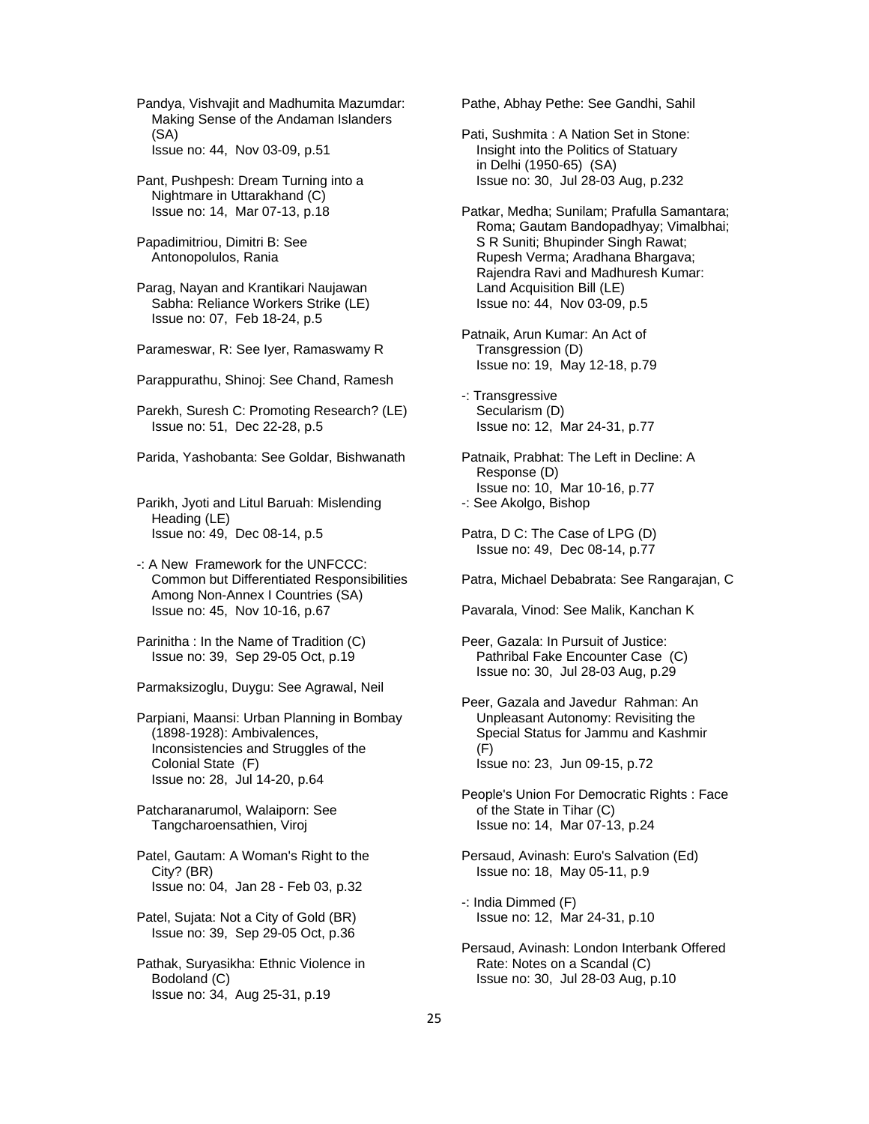Pandya, Vishvajit and Madhumita Mazumdar: Making Sense of the Andaman Islanders (SA) Issue no: 44, Nov 03-09, p.51

 Pant, Pushpesh: Dream Turning into a Nightmare in Uttarakhand (C) Issue no: 14, Mar 07-13, p.18

 Papadimitriou, Dimitri B: See Antonopolulos, Rania

 Parag, Nayan and Krantikari Naujawan Sabha: Reliance Workers Strike (LE) Issue no: 07, Feb 18-24, p.5

Parameswar, R: See Iyer, Ramaswamy R

Parappurathu, Shinoj: See Chand, Ramesh

 Parekh, Suresh C: Promoting Research? (LE) Issue no: 51, Dec 22-28, p.5

Parida, Yashobanta: See Goldar, Bishwanath

 Parikh, Jyoti and Litul Baruah: Mislending Heading (LE) Issue no: 49, Dec 08-14, p.5

 -: A New Framework for the UNFCCC: Common but Differentiated Responsibilities Among Non-Annex I Countries (SA) Issue no: 45, Nov 10-16, p.67

 Parinitha : In the Name of Tradition (C) Issue no: 39, Sep 29-05 Oct, p.19

Parmaksizoglu, Duygu: See Agrawal, Neil

 Parpiani, Maansi: Urban Planning in Bombay (1898-1928): Ambivalences, Inconsistencies and Struggles of the Colonial State (F) Issue no: 28, Jul 14-20, p.64

 Patcharanarumol, Walaiporn: See Tangcharoensathien, Viroj

 Patel, Gautam: A Woman's Right to the City? (BR) Issue no: 04, Jan 28 - Feb 03, p.32

 Patel, Sujata: Not a City of Gold (BR) Issue no: 39, Sep 29-05 Oct, p.36

 Pathak, Suryasikha: Ethnic Violence in Bodoland (C) Issue no: 34, Aug 25-31, p.19

Pathe, Abhay Pethe: See Gandhi, Sahil

 Pati, Sushmita : A Nation Set in Stone: Insight into the Politics of Statuary in Delhi (1950-65) (SA) Issue no: 30, Jul 28-03 Aug, p.232

 Patkar, Medha; Sunilam; Prafulla Samantara; Roma; Gautam Bandopadhyay; Vimalbhai; S R Suniti; Bhupinder Singh Rawat; Rupesh Verma; Aradhana Bhargava; Rajendra Ravi and Madhuresh Kumar: Land Acquisition Bill (LE) Issue no: 44, Nov 03-09, p.5

 Patnaik, Arun Kumar: An Act of Transgression (D) Issue no: 19, May 12-18, p.79

 -: Transgressive Secularism (D) Issue no: 12, Mar 24-31, p.77

 Patnaik, Prabhat: The Left in Decline: A Response (D) Issue no: 10, Mar 10-16, p.77 -: See Akolgo, Bishop

 Patra, D C: The Case of LPG (D) Issue no: 49, Dec 08-14, p.77

Patra, Michael Debabrata: See Rangarajan, C

Pavarala, Vinod: See Malik, Kanchan K

 Peer, Gazala: In Pursuit of Justice: Pathribal Fake Encounter Case (C) Issue no: 30, Jul 28-03 Aug, p.29

 Peer, Gazala and Javedur Rahman: An Unpleasant Autonomy: Revisiting the Special Status for Jammu and Kashmir (F) Issue no: 23, Jun 09-15, p.72

 People's Union For Democratic Rights : Face of the State in Tihar (C) Issue no: 14, Mar 07-13, p.24

 Persaud, Avinash: Euro's Salvation (Ed) Issue no: 18, May 05-11, p.9

 -: India Dimmed (F) Issue no: 12, Mar 24-31, p.10

 Persaud, Avinash: London Interbank Offered Rate: Notes on a Scandal (C) Issue no: 30, Jul 28-03 Aug, p.10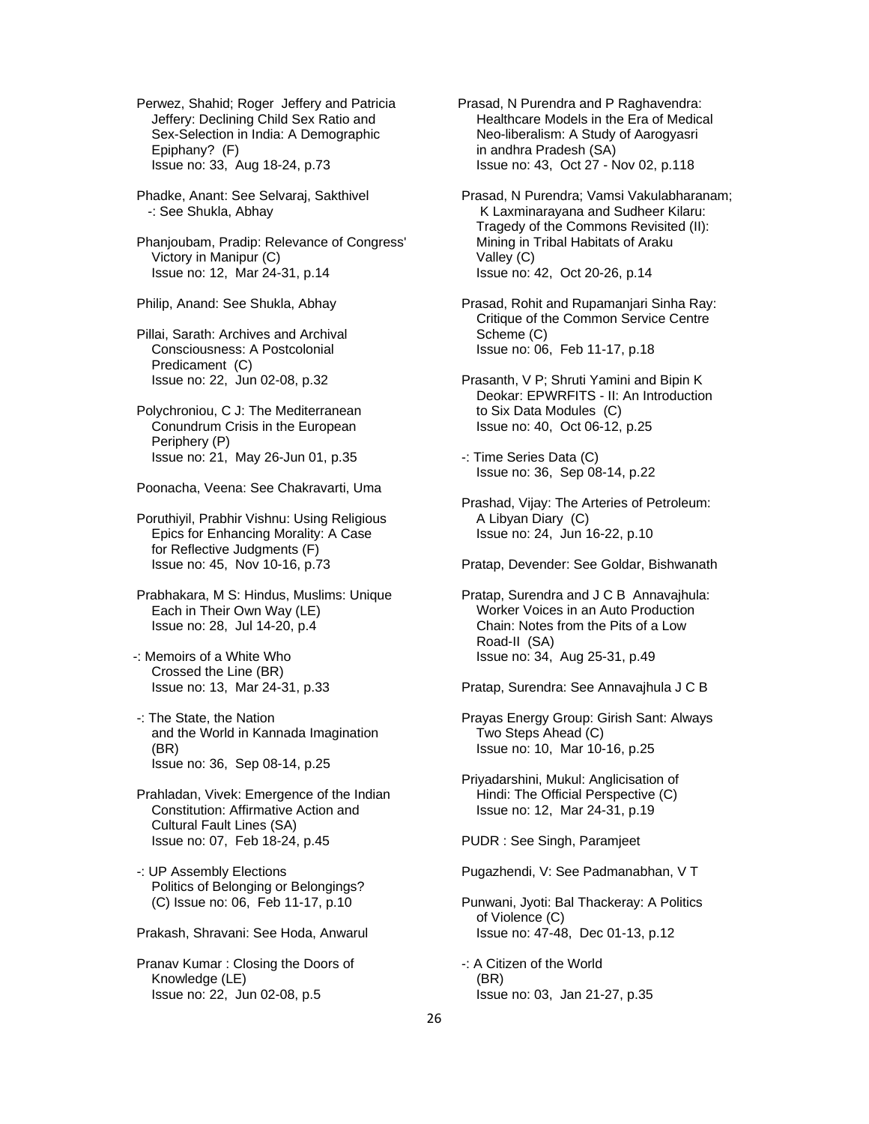Perwez, Shahid; Roger Jeffery and Patricia Jeffery: Declining Child Sex Ratio and Sex-Selection in India: A Demographic Epiphany? (F) Issue no: 33, Aug 18-24, p.73

 Phadke, Anant: See Selvaraj, Sakthivel -: See Shukla, Abhay

 Phanjoubam, Pradip: Relevance of Congress' Victory in Manipur (C) Issue no: 12, Mar 24-31, p.14

Philip, Anand: See Shukla, Abhay

 Pillai, Sarath: Archives and Archival Consciousness: A Postcolonial Predicament (C) Issue no: 22, Jun 02-08, p.32

 Polychroniou, C J: The Mediterranean Conundrum Crisis in the European Periphery (P) Issue no: 21, May 26-Jun 01, p.35

Poonacha, Veena: See Chakravarti, Uma

- Poruthiyil, Prabhir Vishnu: Using Religious Epics for Enhancing Morality: A Case for Reflective Judgments (F) Issue no: 45, Nov 10-16, p.73
- Prabhakara, M S: Hindus, Muslims: Unique Each in Their Own Way (LE) Issue no: 28, Jul 14-20, p.4
- -: Memoirs of a White Who Crossed the Line (BR) Issue no: 13, Mar 24-31, p.33
- -: The State, the Nation and the World in Kannada Imagination (BR) Issue no: 36, Sep 08-14, p.25
- Prahladan, Vivek: Emergence of the Indian Constitution: Affirmative Action and Cultural Fault Lines (SA) Issue no: 07, Feb 18-24, p.45
- -: UP Assembly Elections Politics of Belonging or Belongings? (C) Issue no: 06, Feb 11-17, p.10

Prakash, Shravani: See Hoda, Anwarul

 Pranav Kumar : Closing the Doors of Knowledge (LE) Issue no: 22, Jun 02-08, p.5

- Prasad, N Purendra and P Raghavendra: Healthcare Models in the Era of Medical Neo-liberalism: A Study of Aarogyasri in andhra Pradesh (SA) Issue no: 43, Oct 27 - Nov 02, p.118
- Prasad, N Purendra; Vamsi Vakulabharanam; K Laxminarayana and Sudheer Kilaru: Tragedy of the Commons Revisited (II): Mining in Tribal Habitats of Araku Valley (C) Issue no: 42, Oct 20-26, p.14
- Prasad, Rohit and Rupamanjari Sinha Ray: Critique of the Common Service Centre Scheme (C) Issue no: 06, Feb 11-17, p.18
- Prasanth, V P; Shruti Yamini and Bipin K Deokar: EPWRFITS - II: An Introduction to Six Data Modules (C) Issue no: 40, Oct 06-12, p.25
- -: Time Series Data (C) Issue no: 36, Sep 08-14, p.22
- Prashad, Vijay: The Arteries of Petroleum: A Libyan Diary (C) Issue no: 24, Jun 16-22, p.10
- Pratap, Devender: See Goldar, Bishwanath
- Pratap, Surendra and J C B Annavajhula: Worker Voices in an Auto Production Chain: Notes from the Pits of a Low Road-II (SA) Issue no: 34, Aug 25-31, p.49
- Pratap, Surendra: See Annavajhula J C B
- Prayas Energy Group: Girish Sant: Always Two Steps Ahead (C) Issue no: 10, Mar 10-16, p.25
- Priyadarshini, Mukul: Anglicisation of Hindi: The Official Perspective (C) Issue no: 12, Mar 24-31, p.19

PUDR : See Singh, Paramjeet

- Pugazhendi, V: See Padmanabhan, V T
- Punwani, Jyoti: Bal Thackeray: A Politics of Violence (C) Issue no: 47-48, Dec 01-13, p.12
- -: A Citizen of the World (BR) Issue no: 03, Jan 21-27, p.35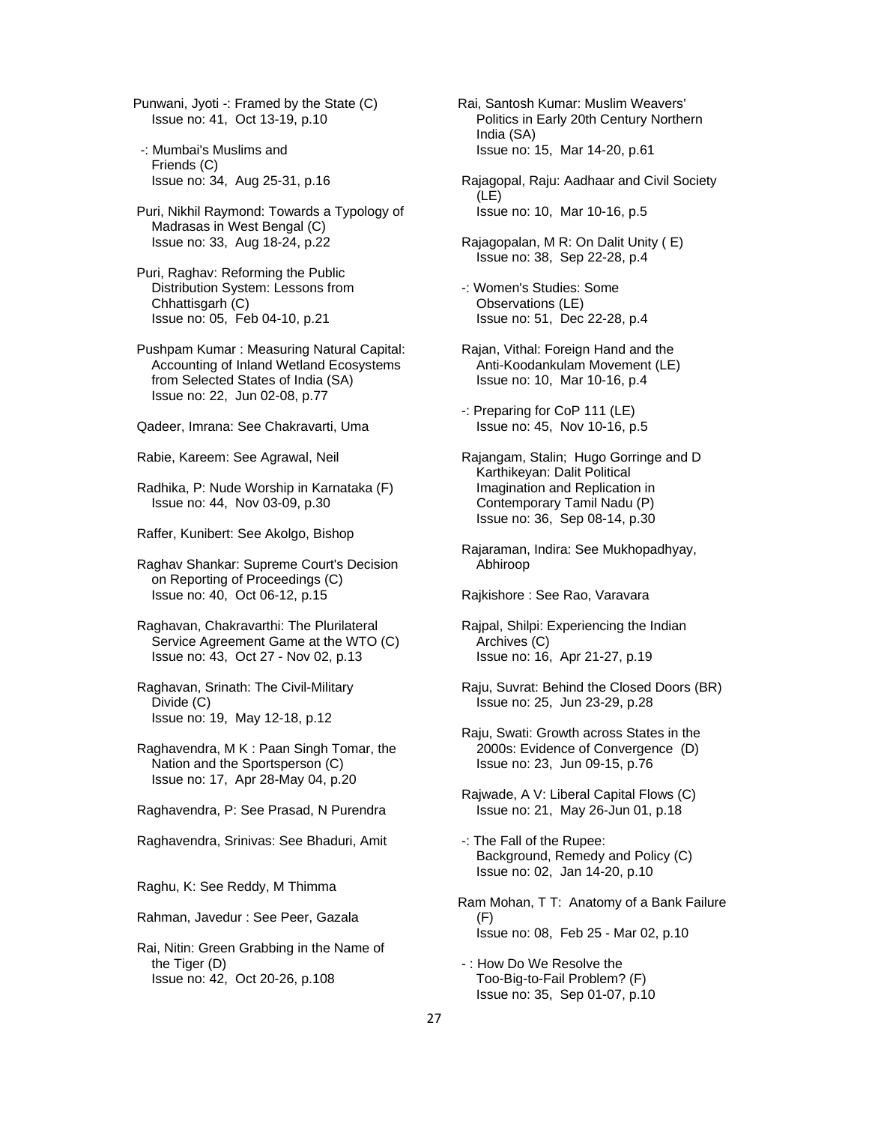Punwani, Jyoti -: Framed by the State (C) Issue no: 41, Oct 13-19, p.10

- -: Mumbai's Muslims and Friends (C) Issue no: 34, Aug 25-31, p.16
- Puri, Nikhil Raymond: Towards a Typology of Madrasas in West Bengal (C) Issue no: 33, Aug 18-24, p.22
- Puri, Raghav: Reforming the Public Distribution System: Lessons from Chhattisgarh (C) Issue no: 05, Feb 04-10, p.21
- Pushpam Kumar : Measuring Natural Capital: Accounting of Inland Wetland Ecosystems from Selected States of India (SA) Issue no: 22, Jun 02-08, p.77

Qadeer, Imrana: See Chakravarti, Uma

Rabie, Kareem: See Agrawal, Neil

- Radhika, P: Nude Worship in Karnataka (F) Issue no: 44, Nov 03-09, p.30
- Raffer, Kunibert: See Akolgo, Bishop

 Raghav Shankar: Supreme Court's Decision on Reporting of Proceedings (C) Issue no: 40, Oct 06-12, p.15

- Raghavan, Chakravarthi: The Plurilateral Service Agreement Game at the WTO (C) Issue no: 43, Oct 27 - Nov 02, p.13
- Raghavan, Srinath: The Civil-Military Divide (C) Issue no: 19, May 12-18, p.12
- Raghavendra, M K : Paan Singh Tomar, the Nation and the Sportsperson (C) Issue no: 17, Apr 28-May 04, p.20

Raghavendra, P: See Prasad, N Purendra

Raghavendra, Srinivas: See Bhaduri, Amit

Raghu, K: See Reddy, M Thimma

Rahman, Javedur : See Peer, Gazala

 Rai, Nitin: Green Grabbing in the Name of the Tiger (D) Issue no: 42, Oct 20-26, p.108

- Rai, Santosh Kumar: Muslim Weavers' Politics in Early 20th Century Northern India (SA) Issue no: 15, Mar 14-20, p.61
- Rajagopal, Raju: Aadhaar and Civil Society (LE) Issue no: 10, Mar 10-16, p.5
- Rajagopalan, M R: On Dalit Unity ( E) Issue no: 38, Sep 22-28, p.4
- -: Women's Studies: Some Observations (LE) Issue no: 51, Dec 22-28, p.4
- Rajan, Vithal: Foreign Hand and the Anti-Koodankulam Movement (LE) Issue no: 10, Mar 10-16, p.4
- -: Preparing for CoP 111 (LE) Issue no: 45, Nov 10-16, p.5
- Rajangam, Stalin; Hugo Gorringe and D Karthikeyan: Dalit Political Imagination and Replication in Contemporary Tamil Nadu (P) Issue no: 36, Sep 08-14, p.30
- Rajaraman, Indira: See Mukhopadhyay, Abhiroop
- Rajkishore : See Rao, Varavara
- Rajpal, Shilpi: Experiencing the Indian Archives (C) Issue no: 16, Apr 21-27, p.19
- Raju, Suvrat: Behind the Closed Doors (BR) Issue no: 25, Jun 23-29, p.28
- Raju, Swati: Growth across States in the 2000s: Evidence of Convergence (D) Issue no: 23, Jun 09-15, p.76
- Rajwade, A V: Liberal Capital Flows (C) Issue no: 21, May 26-Jun 01, p.18
- -: The Fall of the Rupee: Background, Remedy and Policy (C) Issue no: 02, Jan 14-20, p.10
- Ram Mohan, T T: Anatomy of a Bank Failure (F) Issue no: 08, Feb 25 - Mar 02, p.10
- : How Do We Resolve the Too-Big-to-Fail Problem? (F) Issue no: 35, Sep 01-07, p.10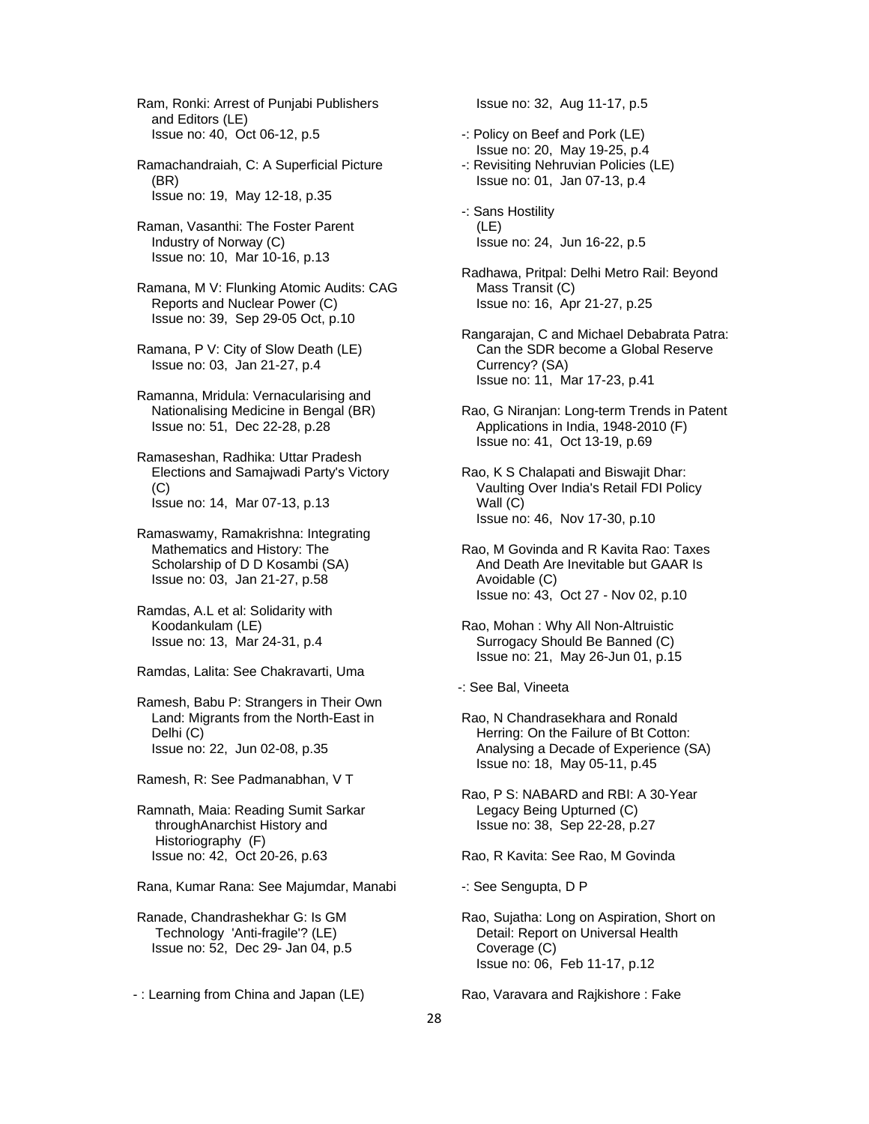Ram, Ronki: Arrest of Punjabi Publishers and Editors (LE) Issue no: 40, Oct 06-12, p.5

 Ramachandraiah, C: A Superficial Picture (BR) Issue no: 19, May 12-18, p.35

 Raman, Vasanthi: The Foster Parent Industry of Norway (C) Issue no: 10, Mar 10-16, p.13

 Ramana, M V: Flunking Atomic Audits: CAG Reports and Nuclear Power (C) Issue no: 39, Sep 29-05 Oct, p.10

 Ramana, P V: City of Slow Death (LE) Issue no: 03, Jan 21-27, p.4

 Ramanna, Mridula: Vernacularising and Nationalising Medicine in Bengal (BR) Issue no: 51, Dec 22-28, p.28

 Ramaseshan, Radhika: Uttar Pradesh Elections and Samajwadi Party's Victory (C) Issue no: 14, Mar 07-13, p.13

 Ramaswamy, Ramakrishna: Integrating Mathematics and History: The Scholarship of D D Kosambi (SA) Issue no: 03, Jan 21-27, p.58

 Ramdas, A.L et al: Solidarity with Koodankulam (LE) Issue no: 13, Mar 24-31, p.4

Ramdas, Lalita: See Chakravarti, Uma

 Ramesh, Babu P: Strangers in Their Own Land: Migrants from the North-East in Delhi (C) Issue no: 22, Jun 02-08, p.35

Ramesh, R: See Padmanabhan, V T

 Ramnath, Maia: Reading Sumit Sarkar throughAnarchist History and Historiography (F) Issue no: 42, Oct 20-26, p.63

Rana, Kumar Rana: See Majumdar, Manabi

 Ranade, Chandrashekhar G: Is GM Technology 'Anti-fragile'? (LE) Issue no: 52, Dec 29- Jan 04, p.5

- : Learning from China and Japan (LE)

Issue no: 32, Aug 11-17, p.5

 -: Policy on Beef and Pork (LE) Issue no: 20, May 19-25, p.4 -: Revisiting Nehruvian Policies (LE)

Issue no: 01, Jan 07-13, p.4

 -: Sans Hostility (LE) Issue no: 24, Jun 16-22, p.5

 Radhawa, Pritpal: Delhi Metro Rail: Beyond Mass Transit (C) Issue no: 16, Apr 21-27, p.25

 Rangarajan, C and Michael Debabrata Patra: Can the SDR become a Global Reserve Currency? (SA) Issue no: 11, Mar 17-23, p.41

 Rao, G Niranjan: Long-term Trends in Patent Applications in India, 1948-2010 (F) Issue no: 41, Oct 13-19, p.69

 Rao, K S Chalapati and Biswajit Dhar: Vaulting Over India's Retail FDI Policy Wall (C) Issue no: 46, Nov 17-30, p.10

 Rao, M Govinda and R Kavita Rao: Taxes And Death Are Inevitable but GAAR Is Avoidable (C) Issue no: 43, Oct 27 - Nov 02, p.10

 Rao, Mohan : Why All Non-Altruistic Surrogacy Should Be Banned (C) Issue no: 21, May 26-Jun 01, p.15

-: See Bal, Vineeta

 Rao, N Chandrasekhara and Ronald Herring: On the Failure of Bt Cotton: Analysing a Decade of Experience (SA) Issue no: 18, May 05-11, p.45

 Rao, P S: NABARD and RBI: A 30-Year Legacy Being Upturned (C) Issue no: 38, Sep 22-28, p.27

Rao, R Kavita: See Rao, M Govinda

-: See Sengupta, D P

 Rao, Sujatha: Long on Aspiration, Short on Detail: Report on Universal Health Coverage (C) Issue no: 06, Feb 11-17, p.12

Rao, Varavara and Rajkishore : Fake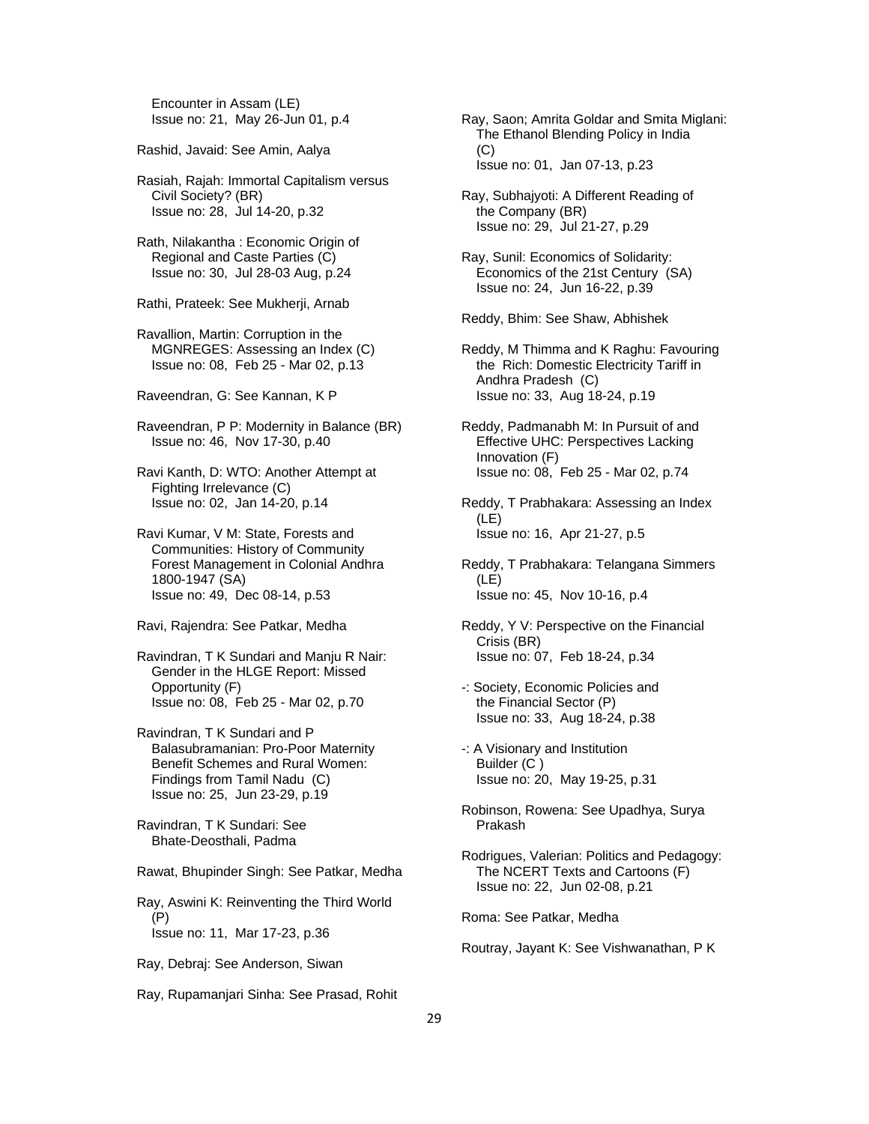Encounter in Assam (LE) Issue no: 21, May 26-Jun 01, p.4

Rashid, Javaid: See Amin, Aalya

 Rasiah, Rajah: Immortal Capitalism versus Civil Society? (BR) Issue no: 28, Jul 14-20, p.32

 Rath, Nilakantha : Economic Origin of Regional and Caste Parties (C) Issue no: 30, Jul 28-03 Aug, p.24

Rathi, Prateek: See Mukherji, Arnab

 Ravallion, Martin: Corruption in the MGNREGES: Assessing an Index (C) Issue no: 08, Feb 25 - Mar 02, p.13

Raveendran, G: See Kannan, K P

 Raveendran, P P: Modernity in Balance (BR) Issue no: 46, Nov 17-30, p.40

 Ravi Kanth, D: WTO: Another Attempt at Fighting Irrelevance (C) Issue no: 02, Jan 14-20, p.14

 Ravi Kumar, V M: State, Forests and Communities: History of Community Forest Management in Colonial Andhra 1800-1947 (SA) Issue no: 49, Dec 08-14, p.53

Ravi, Rajendra: See Patkar, Medha

 Ravindran, T K Sundari and Manju R Nair: Gender in the HLGE Report: Missed Opportunity (F) Issue no: 08, Feb 25 - Mar 02, p.70

 Ravindran, T K Sundari and P Balasubramanian: Pro-Poor Maternity Benefit Schemes and Rural Women: Findings from Tamil Nadu (C) Issue no: 25, Jun 23-29, p.19

 Ravindran, T K Sundari: See Bhate-Deosthali, Padma

Rawat, Bhupinder Singh: See Patkar, Medha

 Ray, Aswini K: Reinventing the Third World (P) Issue no: 11, Mar 17-23, p.36

Ray, Debraj: See Anderson, Siwan

Ray, Rupamanjari Sinha: See Prasad, Rohit

 Ray, Saon; Amrita Goldar and Smita Miglani: The Ethanol Blending Policy in India  $(C)$ Issue no: 01, Jan 07-13, p.23

 Ray, Subhajyoti: A Different Reading of the Company (BR) Issue no: 29, Jul 21-27, p.29

 Ray, Sunil: Economics of Solidarity: Economics of the 21st Century (SA) Issue no: 24, Jun 16-22, p.39

Reddy, Bhim: See Shaw, Abhishek

 Reddy, M Thimma and K Raghu: Favouring the Rich: Domestic Electricity Tariff in Andhra Pradesh (C) Issue no: 33, Aug 18-24, p.19

 Reddy, Padmanabh M: In Pursuit of and Effective UHC: Perspectives Lacking Innovation (F) Issue no: 08, Feb 25 - Mar 02, p.74

 Reddy, T Prabhakara: Assessing an Index (LE) Issue no: 16, Apr 21-27, p.5

 Reddy, T Prabhakara: Telangana Simmers (LE) Issue no: 45, Nov 10-16, p.4

 Reddy, Y V: Perspective on the Financial Crisis (BR) Issue no: 07, Feb 18-24, p.34

- -: Society, Economic Policies and the Financial Sector (P) Issue no: 33, Aug 18-24, p.38
- -: A Visionary and Institution Builder (C ) Issue no: 20, May 19-25, p.31
- Robinson, Rowena: See Upadhya, Surya Prakash
- Rodrigues, Valerian: Politics and Pedagogy: The NCERT Texts and Cartoons (F) Issue no: 22, Jun 02-08, p.21

Roma: See Patkar, Medha

Routray, Jayant K: See Vishwanathan, P K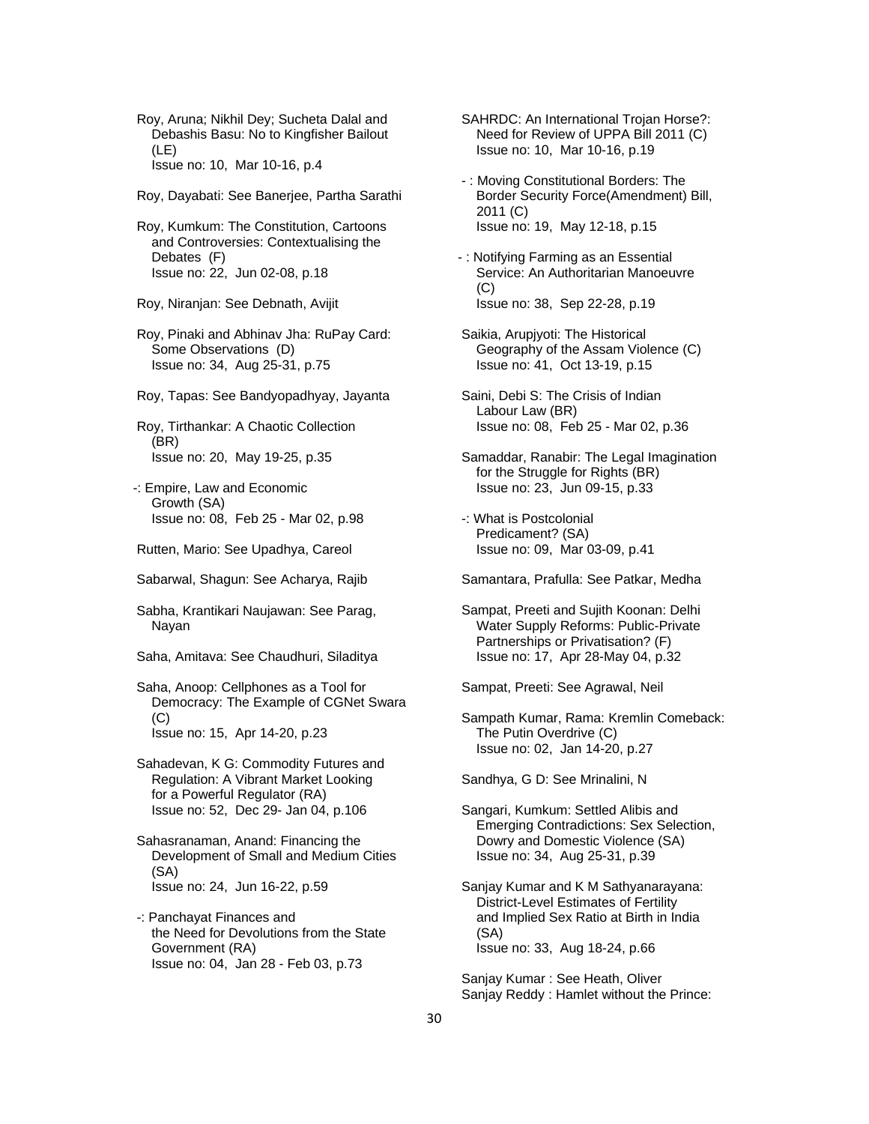- Roy, Aruna; Nikhil Dey; Sucheta Dalal and Debashis Basu: No to Kingfisher Bailout (LE) Issue no: 10, Mar 10-16, p.4
- Roy, Dayabati: See Banerjee, Partha Sarathi
- Roy, Kumkum: The Constitution, Cartoons and Controversies: Contextualising the Debates (F) Issue no: 22, Jun 02-08, p.18
- Roy, Niranjan: See Debnath, Avijit
- Roy, Pinaki and Abhinav Jha: RuPay Card: Some Observations (D) Issue no: 34, Aug 25-31, p.75
- Roy, Tapas: See Bandyopadhyay, Jayanta
- Roy, Tirthankar: A Chaotic Collection (BR) Issue no: 20, May 19-25, p.35
- -: Empire, Law and Economic Growth (SA) Issue no: 08, Feb 25 - Mar 02, p.98
- Rutten, Mario: See Upadhya, Careol
- Sabarwal, Shagun: See Acharya, Rajib
- Sabha, Krantikari Naujawan: See Parag, Nayan
- Saha, Amitava: See Chaudhuri, Siladitya
- Saha, Anoop: Cellphones as a Tool for Democracy: The Example of CGNet Swara (C) Issue no: 15, Apr 14-20, p.23
- Sahadevan, K G: Commodity Futures and Regulation: A Vibrant Market Looking for a Powerful Regulator (RA) Issue no: 52, Dec 29- Jan 04, p.106
- Sahasranaman, Anand: Financing the Development of Small and Medium Cities (SA) Issue no: 24, Jun 16-22, p.59
- -: Panchayat Finances and the Need for Devolutions from the State Government (RA) Issue no: 04, Jan 28 - Feb 03, p.73
- SAHRDC: An International Trojan Horse?: Need for Review of UPPA Bill 2011 (C) Issue no: 10, Mar 10-16, p.19
- : Moving Constitutional Borders: The Border Security Force(Amendment) Bill, 2011 (C) Issue no: 19, May 12-18, p.15
- : Notifying Farming as an Essential Service: An Authoritarian Manoeuvre (C) Issue no: 38, Sep 22-28, p.19
- Saikia, Arupjyoti: The Historical Geography of the Assam Violence (C) Issue no: 41, Oct 13-19, p.15
- Saini, Debi S: The Crisis of Indian Labour Law (BR) Issue no: 08, Feb 25 - Mar 02, p.36
- Samaddar, Ranabir: The Legal Imagination for the Struggle for Rights (BR) Issue no: 23, Jun 09-15, p.33
- -: What is Postcolonial Predicament? (SA) Issue no: 09, Mar 03-09, p.41
- Samantara, Prafulla: See Patkar, Medha
- Sampat, Preeti and Sujith Koonan: Delhi Water Supply Reforms: Public-Private Partnerships or Privatisation? (F) Issue no: 17, Apr 28-May 04, p.32

Sampat, Preeti: See Agrawal, Neil

 Sampath Kumar, Rama: Kremlin Comeback: The Putin Overdrive (C) Issue no: 02, Jan 14-20, p.27

Sandhya, G D: See Mrinalini, N

- Sangari, Kumkum: Settled Alibis and Emerging Contradictions: Sex Selection, Dowry and Domestic Violence (SA) Issue no: 34, Aug 25-31, p.39
- Sanjay Kumar and K M Sathyanarayana: District-Level Estimates of Fertility and Implied Sex Ratio at Birth in India (SA) Issue no: 33, Aug 18-24, p.66

 Sanjay Kumar : See Heath, Oliver Sanjay Reddy : Hamlet without the Prince: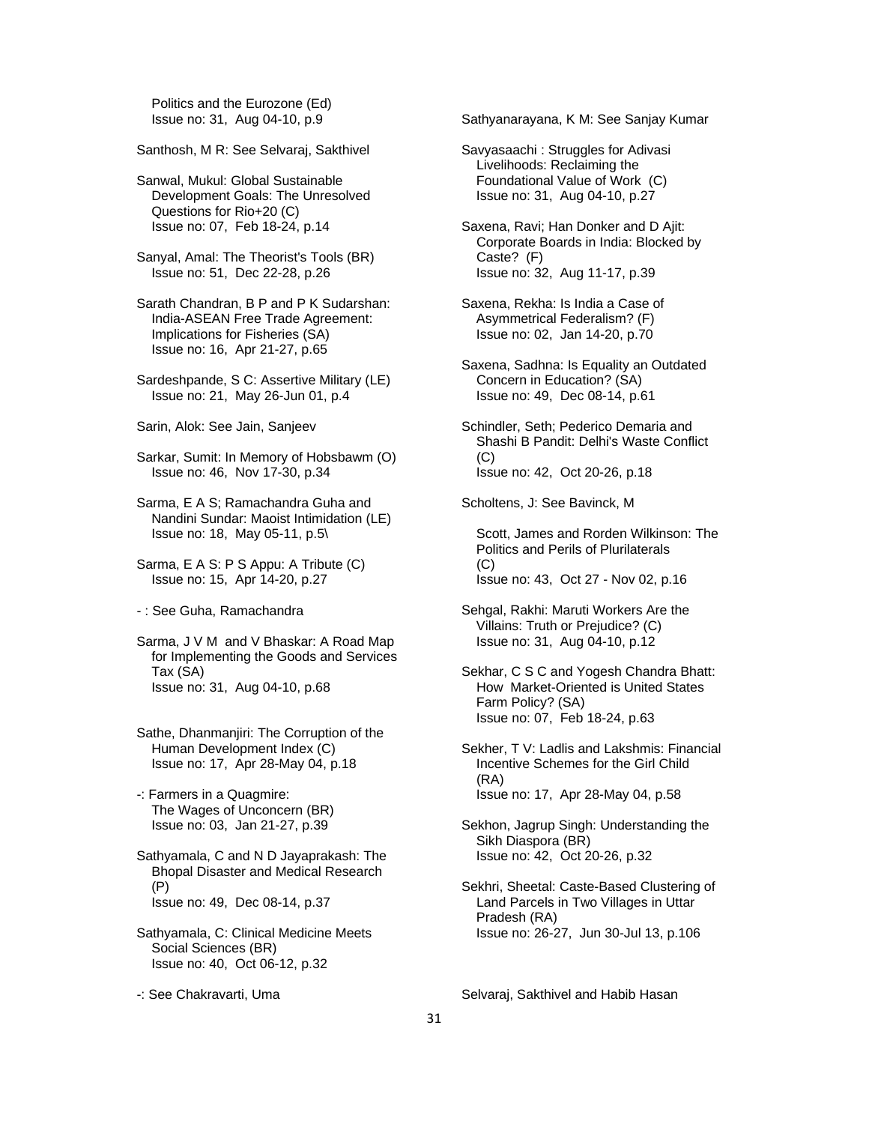Politics and the Eurozone (Ed) Issue no: 31, Aug 04-10, p.9

Santhosh, M R: See Selvaraj, Sakthivel

 Sanwal, Mukul: Global Sustainable Development Goals: The Unresolved Questions for Rio+20 (C) Issue no: 07, Feb 18-24, p.14

 Sanyal, Amal: The Theorist's Tools (BR) Issue no: 51, Dec 22-28, p.26

 Sarath Chandran, B P and P K Sudarshan: India-ASEAN Free Trade Agreement: Implications for Fisheries (SA) Issue no: 16, Apr 21-27, p.65

 Sardeshpande, S C: Assertive Military (LE) Issue no: 21, May 26-Jun 01, p.4

Sarin, Alok: See Jain, Sanjeev

 Sarkar, Sumit: In Memory of Hobsbawm (O) Issue no: 46, Nov 17-30, p.34

 Sarma, E A S; Ramachandra Guha and Nandini Sundar: Maoist Intimidation (LE) Issue no: 18, May 05-11, p.5\

 Sarma, E A S: P S Appu: A Tribute (C) Issue no: 15, Apr 14-20, p.27

- : See Guha, Ramachandra

 Sarma, J V M and V Bhaskar: A Road Map for Implementing the Goods and Services Tax (SA) Issue no: 31, Aug 04-10, p.68

 Sathe, Dhanmanjiri: The Corruption of the Human Development Index (C) Issue no: 17, Apr 28-May 04, p.18

 -: Farmers in a Quagmire: The Wages of Unconcern (BR) Issue no: 03, Jan 21-27, p.39

 Sathyamala, C and N D Jayaprakash: The Bhopal Disaster and Medical Research (P) Issue no: 49, Dec 08-14, p.37

 Sathyamala, C: Clinical Medicine Meets Social Sciences (BR) Issue no: 40, Oct 06-12, p.32

-: See Chakravarti, Uma

Sathyanarayana, K M: See Sanjay Kumar

 Savyasaachi : Struggles for Adivasi Livelihoods: Reclaiming the Foundational Value of Work (C) Issue no: 31, Aug 04-10, p.27

 Saxena, Ravi; Han Donker and D Ajit: Corporate Boards in India: Blocked by Caste? (F) Issue no: 32, Aug 11-17, p.39

 Saxena, Rekha: Is India a Case of Asymmetrical Federalism? (F) Issue no: 02, Jan 14-20, p.70

 Saxena, Sadhna: Is Equality an Outdated Concern in Education? (SA) Issue no: 49, Dec 08-14, p.61

 Schindler, Seth; Pederico Demaria and Shashi B Pandit: Delhi's Waste Conflict (C) Issue no: 42, Oct 20-26, p.18

Scholtens, J: See Bavinck, M

 Scott, James and Rorden Wilkinson: The Politics and Perils of Plurilaterals  $(C)$ Issue no: 43, Oct 27 - Nov 02, p.16

 Sehgal, Rakhi: Maruti Workers Are the Villains: Truth or Prejudice? (C) Issue no: 31, Aug 04-10, p.12

 Sekhar, C S C and Yogesh Chandra Bhatt: How Market-Oriented is United States Farm Policy? (SA) Issue no: 07, Feb 18-24, p.63

 Sekher, T V: Ladlis and Lakshmis: Financial Incentive Schemes for the Girl Child (RA) Issue no: 17, Apr 28-May 04, p.58

 Sekhon, Jagrup Singh: Understanding the Sikh Diaspora (BR) Issue no: 42, Oct 20-26, p.32

 Sekhri, Sheetal: Caste-Based Clustering of Land Parcels in Two Villages in Uttar Pradesh (RA) Issue no: 26-27, Jun 30-Jul 13, p.106

Selvaraj, Sakthivel and Habib Hasan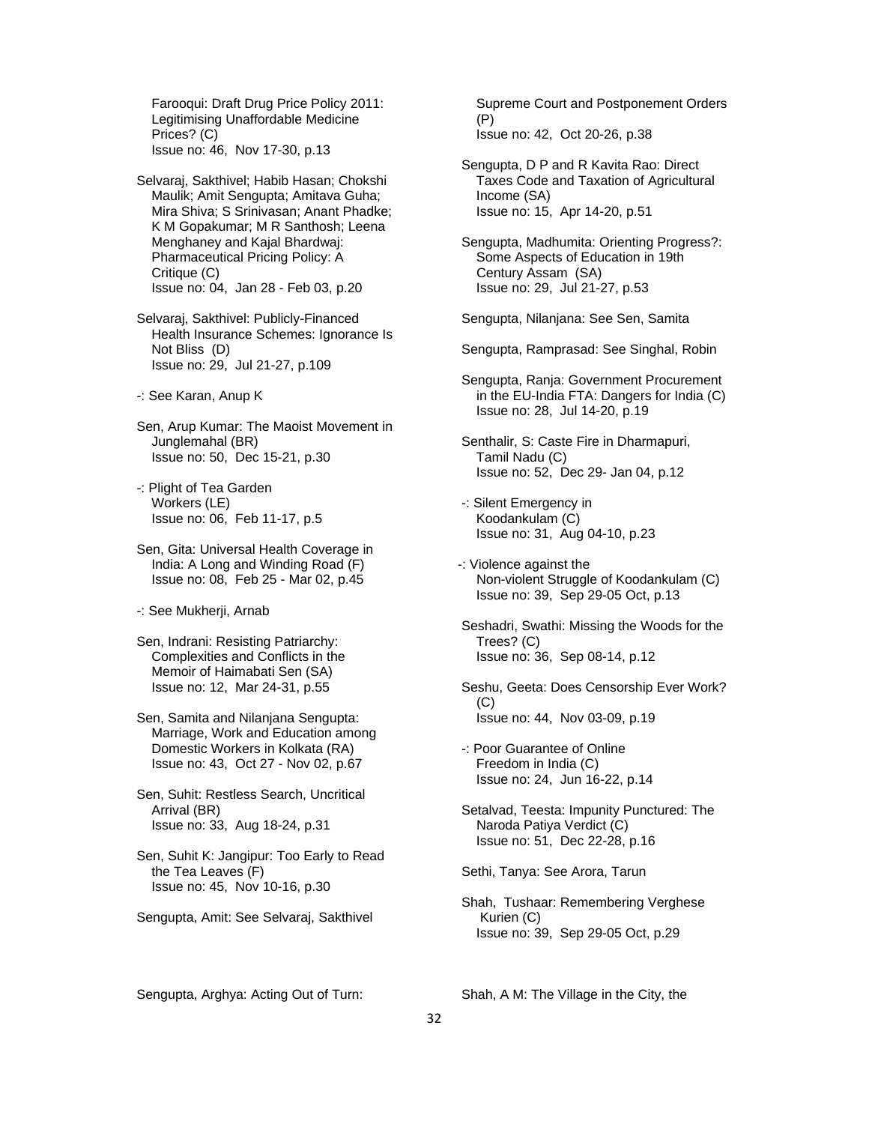Farooqui: Draft Drug Price Policy 2011: Legitimising Unaffordable Medicine Prices? (C) Issue no: 46, Nov 17-30, p.13

 Selvaraj, Sakthivel; Habib Hasan; Chokshi Maulik; Amit Sengupta; Amitava Guha; Mira Shiva; S Srinivasan; Anant Phadke; K M Gopakumar; M R Santhosh; Leena Menghaney and Kajal Bhardwaj: Pharmaceutical Pricing Policy: A Critique (C) Issue no: 04, Jan 28 - Feb 03, p.20

 Selvaraj, Sakthivel: Publicly-Financed Health Insurance Schemes: Ignorance Is Not Bliss (D) Issue no: 29, Jul 21-27, p.109

- -: See Karan, Anup K
- Sen, Arup Kumar: The Maoist Movement in Junglemahal (BR) Issue no: 50, Dec 15-21, p.30
- -: Plight of Tea Garden Workers (LE) Issue no: 06, Feb 11-17, p.5

 Sen, Gita: Universal Health Coverage in India: A Long and Winding Road (F) Issue no: 08, Feb 25 - Mar 02, p.45

-: See Mukherji, Arnab

 Sen, Indrani: Resisting Patriarchy: Complexities and Conflicts in the Memoir of Haimabati Sen (SA) Issue no: 12, Mar 24-31, p.55

 Sen, Samita and Nilanjana Sengupta: Marriage, Work and Education among Domestic Workers in Kolkata (RA) Issue no: 43, Oct 27 - Nov 02, p.67

 Sen, Suhit: Restless Search, Uncritical Arrival (BR) Issue no: 33, Aug 18-24, p.31

 Sen, Suhit K: Jangipur: Too Early to Read the Tea Leaves (F) Issue no: 45, Nov 10-16, p.30

Sengupta, Amit: See Selvaraj, Sakthivel

 Supreme Court and Postponement Orders (P) Issue no: 42, Oct 20-26, p.38

- Sengupta, D P and R Kavita Rao: Direct Taxes Code and Taxation of Agricultural Income (SA) Issue no: 15, Apr 14-20, p.51
- Sengupta, Madhumita: Orienting Progress?: Some Aspects of Education in 19th Century Assam (SA) Issue no: 29, Jul 21-27, p.53

Sengupta, Nilanjana: See Sen, Samita

Sengupta, Ramprasad: See Singhal, Robin

- Sengupta, Ranja: Government Procurement in the EU-India FTA: Dangers for India (C) Issue no: 28, Jul 14-20, p.19
- Senthalir, S: Caste Fire in Dharmapuri, Tamil Nadu (C) Issue no: 52, Dec 29- Jan 04, p.12
- -: Silent Emergency in Koodankulam (C) Issue no: 31, Aug 04-10, p.23
- -: Violence against the Non-violent Struggle of Koodankulam (C) Issue no: 39, Sep 29-05 Oct, p.13
- Seshadri, Swathi: Missing the Woods for the Trees? (C) Issue no: 36, Sep 08-14, p.12
- Seshu, Geeta: Does Censorship Ever Work? (C) Issue no: 44, Nov 03-09, p.19
- -: Poor Guarantee of Online Freedom in India (C) Issue no: 24, Jun 16-22, p.14
- Setalvad, Teesta: Impunity Punctured: The Naroda Patiya Verdict (C) Issue no: 51, Dec 22-28, p.16

Sethi, Tanya: See Arora, Tarun

 Shah, Tushaar: Remembering Verghese Kurien (C) Issue no: 39, Sep 29-05 Oct, p.29

Sengupta, Arghya: Acting Out of Turn:

Shah, A M: The Village in the City, the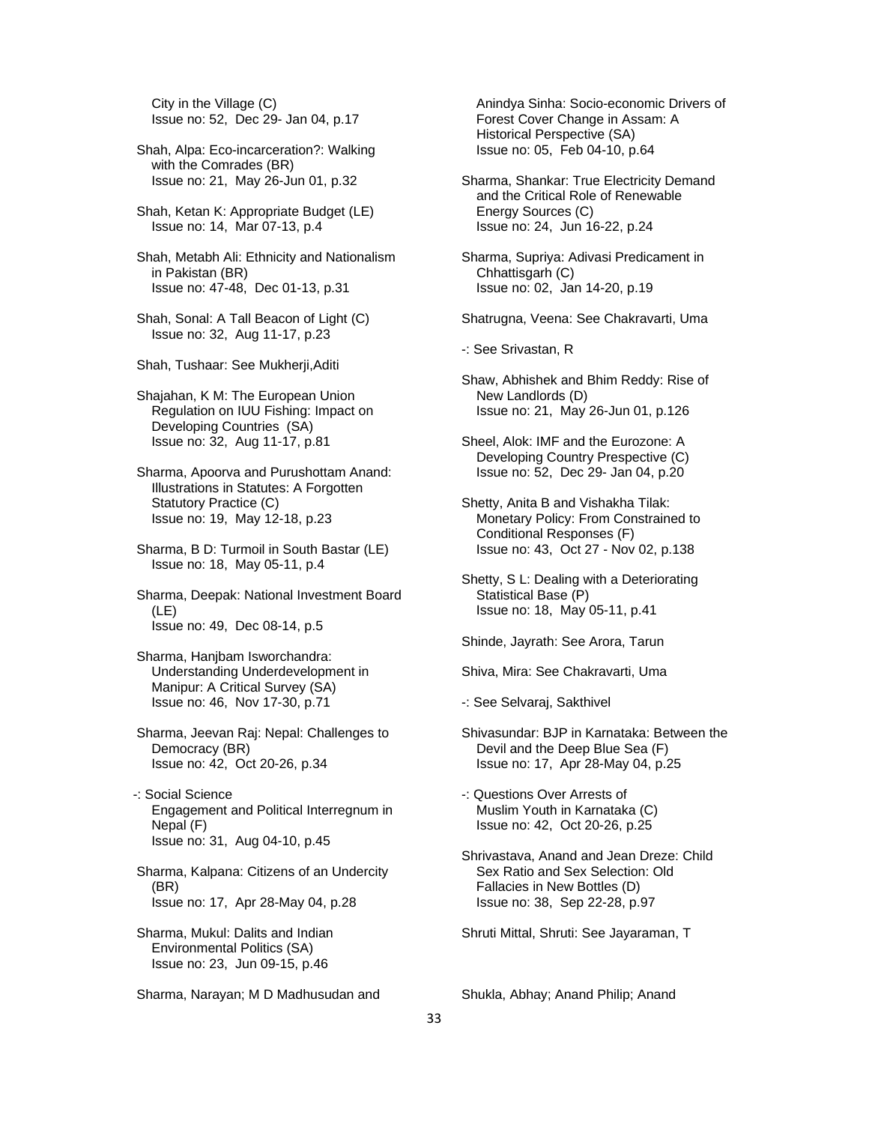City in the Village (C) Issue no: 52, Dec 29- Jan 04, p.17

- Shah, Alpa: Eco-incarceration?: Walking with the Comrades (BR) Issue no: 21, May 26-Jun 01, p.32
- Shah, Ketan K: Appropriate Budget (LE) Issue no: 14, Mar 07-13, p.4
- Shah, Metabh Ali: Ethnicity and Nationalism in Pakistan (BR) Issue no: 47-48, Dec 01-13, p.31
- Shah, Sonal: A Tall Beacon of Light (C) Issue no: 32, Aug 11-17, p.23
- Shah, Tushaar: See Mukherji,Aditi
- Shajahan, K M: The European Union Regulation on IUU Fishing: Impact on Developing Countries (SA) Issue no: 32, Aug 11-17, p.81
- Sharma, Apoorva and Purushottam Anand: Illustrations in Statutes: A Forgotten Statutory Practice (C) Issue no: 19, May 12-18, p.23
- Sharma, B D: Turmoil in South Bastar (LE) Issue no: 18, May 05-11, p.4
- Sharma, Deepak: National Investment Board (LE) Issue no: 49, Dec 08-14, p.5
- Sharma, Hanjbam Isworchandra: Understanding Underdevelopment in Manipur: A Critical Survey (SA) Issue no: 46, Nov 17-30, p.71
- Sharma, Jeevan Raj: Nepal: Challenges to Democracy (BR) Issue no: 42, Oct 20-26, p.34
- -: Social Science Engagement and Political Interregnum in Nepal (F) Issue no: 31, Aug 04-10, p.45
- Sharma, Kalpana: Citizens of an Undercity (BR) Issue no: 17, Apr 28-May 04, p.28
- Sharma, Mukul: Dalits and Indian Environmental Politics (SA) Issue no: 23, Jun 09-15, p.46

Sharma, Narayan; M D Madhusudan and

 Anindya Sinha: Socio-economic Drivers of Forest Cover Change in Assam: A Historical Perspective (SA) Issue no: 05, Feb 04-10, p.64

 Sharma, Shankar: True Electricity Demand and the Critical Role of Renewable Energy Sources (C) Issue no: 24, Jun 16-22, p.24

 Sharma, Supriya: Adivasi Predicament in Chhattisgarh (C) Issue no: 02, Jan 14-20, p.19

- Shatrugna, Veena: See Chakravarti, Uma
- -: See Srivastan, R
- Shaw, Abhishek and Bhim Reddy: Rise of New Landlords (D) Issue no: 21, May 26-Jun 01, p.126
- Sheel, Alok: IMF and the Eurozone: A Developing Country Prespective (C) Issue no: 52, Dec 29- Jan 04, p.20
- Shetty, Anita B and Vishakha Tilak: Monetary Policy: From Constrained to Conditional Responses (F) Issue no: 43, Oct 27 - Nov 02, p.138
- Shetty, S L: Dealing with a Deteriorating Statistical Base (P) Issue no: 18, May 05-11, p.41
- Shinde, Jayrath: See Arora, Tarun
- Shiva, Mira: See Chakravarti, Uma
- -: See Selvaraj, Sakthivel
- Shivasundar: BJP in Karnataka: Between the Devil and the Deep Blue Sea (F) Issue no: 17, Apr 28-May 04, p.25
- -: Questions Over Arrests of Muslim Youth in Karnataka (C) Issue no: 42, Oct 20-26, p.25
- Shrivastava, Anand and Jean Dreze: Child Sex Ratio and Sex Selection: Old Fallacies in New Bottles (D) Issue no: 38, Sep 22-28, p.97

Shruti Mittal, Shruti: See Jayaraman, T

Shukla, Abhay; Anand Philip; Anand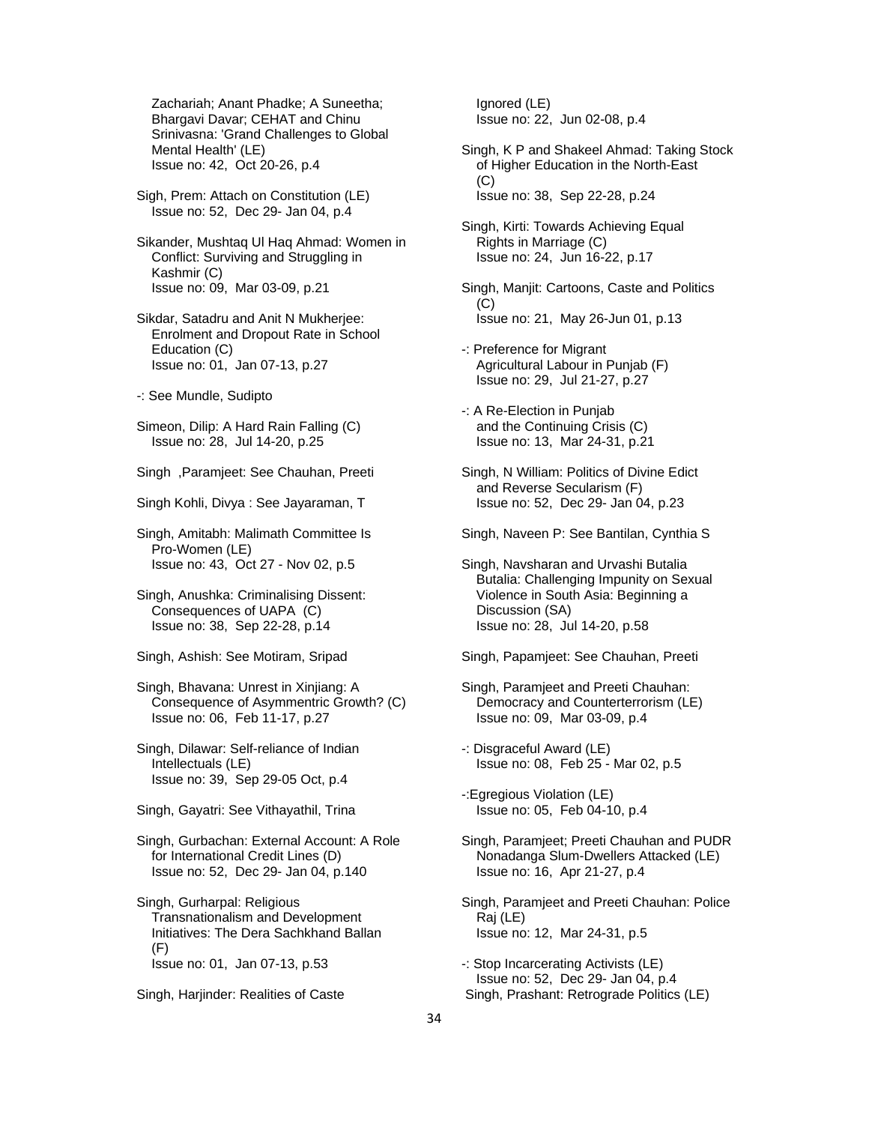Zachariah; Anant Phadke; A Suneetha; Bhargavi Davar; CEHAT and Chinu Srinivasna: 'Grand Challenges to Global Mental Health' (LE) Issue no: 42, Oct 20-26, p.4

 Sigh, Prem: Attach on Constitution (LE) Issue no: 52, Dec 29- Jan 04, p.4

 Sikander, Mushtaq Ul Haq Ahmad: Women in Conflict: Surviving and Struggling in Kashmir (C) Issue no: 09, Mar 03-09, p.21

 Sikdar, Satadru and Anit N Mukherjee: Enrolment and Dropout Rate in School Education (C) Issue no: 01, Jan 07-13, p.27

-: See Mundle, Sudipto

 Simeon, Dilip: A Hard Rain Falling (C) Issue no: 28, Jul 14-20, p.25

Singh ,Paramjeet: See Chauhan, Preeti

Singh Kohli, Divya : See Jayaraman, T

 Singh, Amitabh: Malimath Committee Is Pro-Women (LE) Issue no: 43, Oct 27 - Nov 02, p.5

 Singh, Anushka: Criminalising Dissent: Consequences of UAPA (C) Issue no: 38, Sep 22-28, p.14

Singh, Ashish: See Motiram, Sripad

 Singh, Bhavana: Unrest in Xinjiang: A Consequence of Asymmentric Growth? (C) Issue no: 06, Feb 11-17, p.27

 Singh, Dilawar: Self-reliance of Indian Intellectuals (LE) Issue no: 39, Sep 29-05 Oct, p.4

Singh, Gayatri: See Vithayathil, Trina

 Singh, Gurbachan: External Account: A Role for International Credit Lines (D) Issue no: 52, Dec 29- Jan 04, p.140

 Singh, Gurharpal: Religious Transnationalism and Development Initiatives: The Dera Sachkhand Ballan  $(F)$ Issue no: 01, Jan 07-13, p.53

Singh, Harjinder: Realities of Caste

 Ignored (LE) Issue no: 22, Jun 02-08, p.4

 Singh, K P and Shakeel Ahmad: Taking Stock of Higher Education in the North-East (C) Issue no: 38, Sep 22-28, p.24

 Singh, Kirti: Towards Achieving Equal Rights in Marriage (C) Issue no: 24, Jun 16-22, p.17

 Singh, Manjit: Cartoons, Caste and Politics  $(C)$ Issue no: 21, May 26-Jun 01, p.13

 -: Preference for Migrant Agricultural Labour in Punjab (F) Issue no: 29, Jul 21-27, p.27

 -: A Re-Election in Punjab and the Continuing Crisis (C) Issue no: 13, Mar 24-31, p.21

 Singh, N William: Politics of Divine Edict and Reverse Secularism (F) Issue no: 52, Dec 29- Jan 04, p.23

Singh, Naveen P: See Bantilan, Cynthia S

 Singh, Navsharan and Urvashi Butalia Butalia: Challenging Impunity on Sexual Violence in South Asia: Beginning a Discussion (SA) Issue no: 28, Jul 14-20, p.58

Singh, Papamjeet: See Chauhan, Preeti

 Singh, Paramjeet and Preeti Chauhan: Democracy and Counterterrorism (LE) Issue no: 09, Mar 03-09, p.4

 -: Disgraceful Award (LE) Issue no: 08, Feb 25 - Mar 02, p.5

 -:Egregious Violation (LE) Issue no: 05, Feb 04-10, p.4

 Singh, Paramjeet; Preeti Chauhan and PUDR Nonadanga Slum-Dwellers Attacked (LE) Issue no: 16, Apr 21-27, p.4

 Singh, Paramjeet and Preeti Chauhan: Police Raj (LE) Issue no: 12, Mar 24-31, p.5

 -: Stop Incarcerating Activists (LE) Issue no: 52, Dec 29- Jan 04, p.4 Singh, Prashant: Retrograde Politics (LE)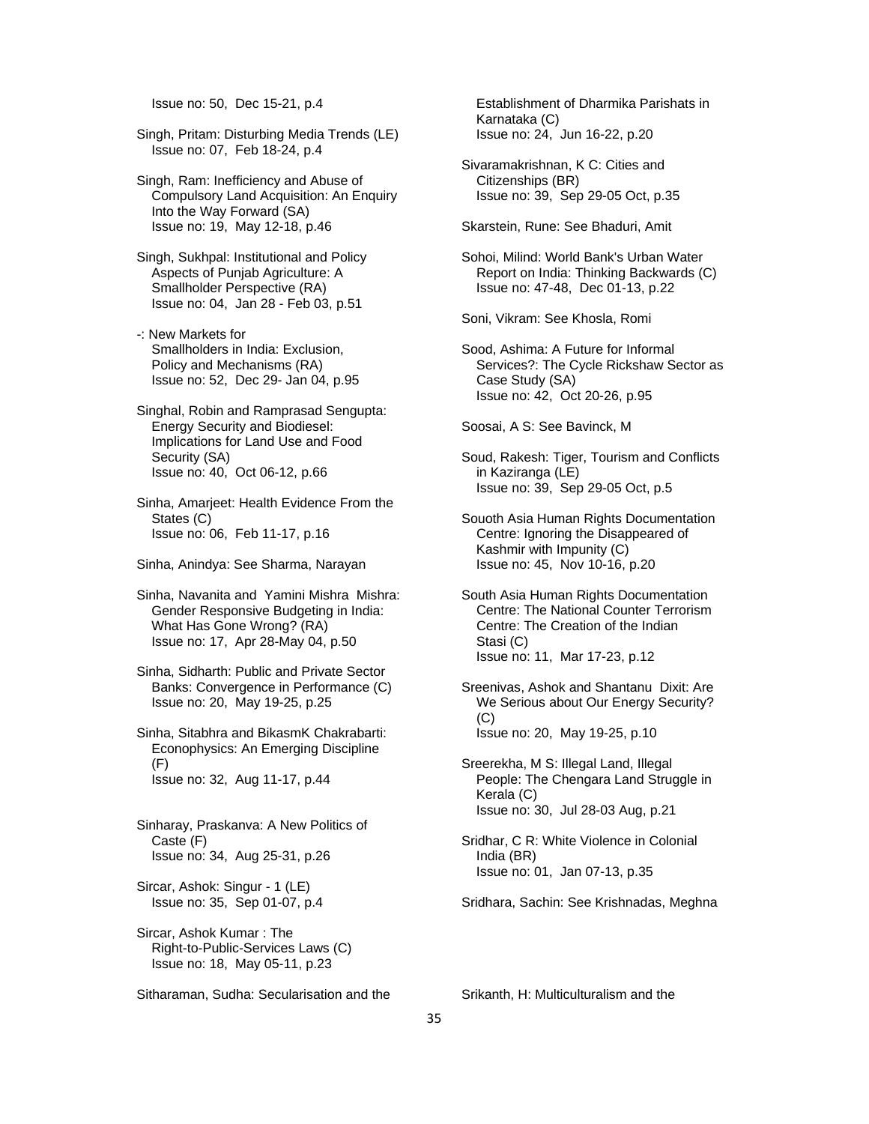Issue no: 50, Dec 15-21, p.4

 Singh, Pritam: Disturbing Media Trends (LE) Issue no: 07, Feb 18-24, p.4

 Singh, Ram: Inefficiency and Abuse of Compulsory Land Acquisition: An Enquiry Into the Way Forward (SA) Issue no: 19, May 12-18, p.46

 Singh, Sukhpal: Institutional and Policy Aspects of Punjab Agriculture: A Smallholder Perspective (RA) Issue no: 04, Jan 28 - Feb 03, p.51

 -: New Markets for Smallholders in India: Exclusion, Policy and Mechanisms (RA) Issue no: 52, Dec 29- Jan 04, p.95

 Singhal, Robin and Ramprasad Sengupta: Energy Security and Biodiesel: Implications for Land Use and Food Security (SA) Issue no: 40, Oct 06-12, p.66

 Sinha, Amarjeet: Health Evidence From the States (C) Issue no: 06, Feb 11-17, p.16

Sinha, Anindya: See Sharma, Narayan

 Sinha, Navanita and Yamini Mishra Mishra: Gender Responsive Budgeting in India: What Has Gone Wrong? (RA) Issue no: 17, Apr 28-May 04, p.50

 Sinha, Sidharth: Public and Private Sector Banks: Convergence in Performance (C) Issue no: 20, May 19-25, p.25

 Sinha, Sitabhra and BikasmK Chakrabarti: Econophysics: An Emerging Discipline (F) Issue no: 32, Aug 11-17, p.44

 Sinharay, Praskanva: A New Politics of Caste (F) Issue no: 34, Aug 25-31, p.26

 Sircar, Ashok: Singur - 1 (LE) Issue no: 35, Sep 01-07, p.4

 Sircar, Ashok Kumar : The Right-to-Public-Services Laws (C) Issue no: 18, May 05-11, p.23

 Establishment of Dharmika Parishats in Karnataka (C) Issue no: 24, Jun 16-22, p.20

 Sivaramakrishnan, K C: Cities and Citizenships (BR) Issue no: 39, Sep 29-05 Oct, p.35

Skarstein, Rune: See Bhaduri, Amit

 Sohoi, Milind: World Bank's Urban Water Report on India: Thinking Backwards (C) Issue no: 47-48, Dec 01-13, p.22

Soni, Vikram: See Khosla, Romi

 Sood, Ashima: A Future for Informal Services?: The Cycle Rickshaw Sector as Case Study (SA) Issue no: 42, Oct 20-26, p.95

Soosai, A S: See Bavinck, M

 Soud, Rakesh: Tiger, Tourism and Conflicts in Kaziranga (LE) Issue no: 39, Sep 29-05 Oct, p.5

 Souoth Asia Human Rights Documentation Centre: Ignoring the Disappeared of Kashmir with Impunity (C) Issue no: 45, Nov 10-16, p.20

 South Asia Human Rights Documentation Centre: The National Counter Terrorism Centre: The Creation of the Indian Stasi (C) Issue no: 11, Mar 17-23, p.12

- Sreenivas, Ashok and Shantanu Dixit: Are We Serious about Our Energy Security? (C) Issue no: 20, May 19-25, p.10
- Sreerekha, M S: Illegal Land, Illegal People: The Chengara Land Struggle in Kerala (C) Issue no: 30, Jul 28-03 Aug, p.21
- Sridhar, C R: White Violence in Colonial India (BR) Issue no: 01, Jan 07-13, p.35

Sridhara, Sachin: See Krishnadas, Meghna

Srikanth, H: Multiculturalism and the

Sitharaman, Sudha: Secularisation and the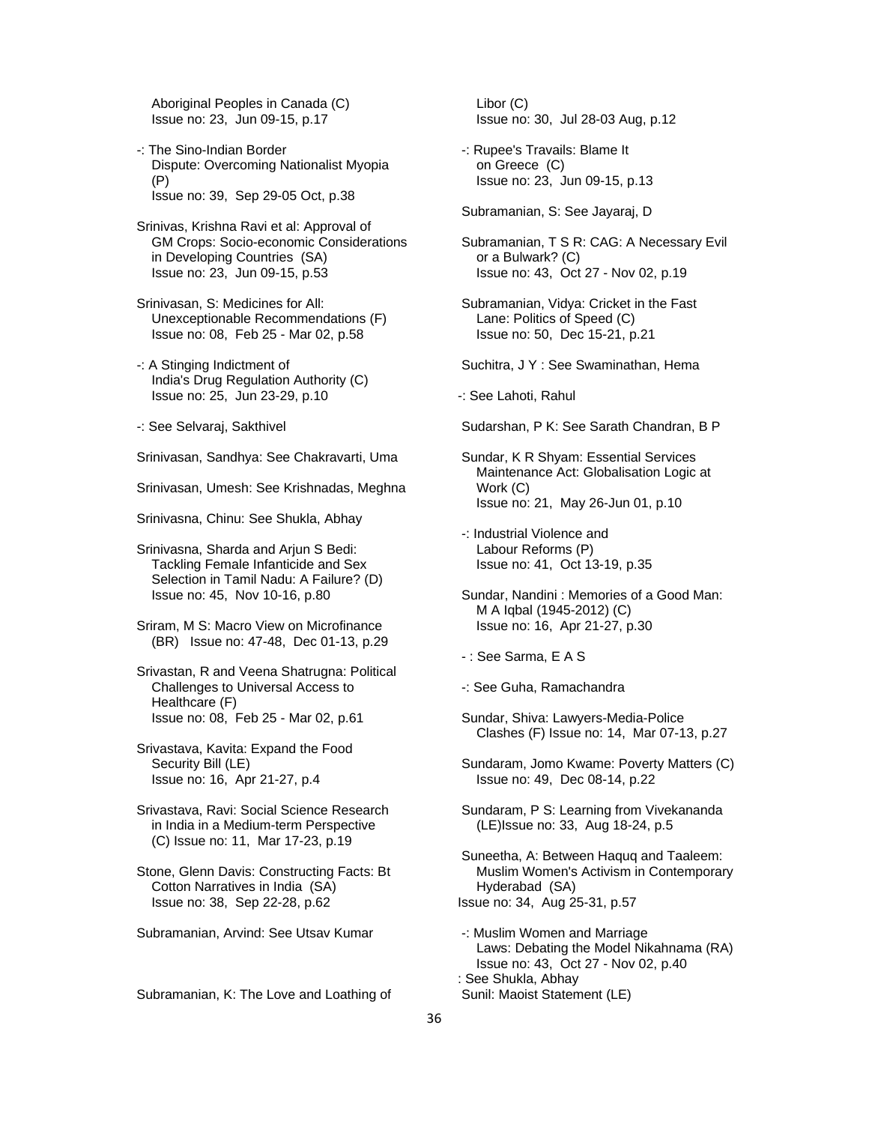Aboriginal Peoples in Canada (C) Issue no: 23, Jun 09-15, p.17

- -: The Sino-Indian Border Dispute: Overcoming Nationalist Myopia (P) Issue no: 39, Sep 29-05 Oct, p.38
- Srinivas, Krishna Ravi et al: Approval of GM Crops: Socio-economic Considerations in Developing Countries (SA) Issue no: 23, Jun 09-15, p.53
- Srinivasan, S: Medicines for All: Unexceptionable Recommendations (F) Issue no: 08, Feb 25 - Mar 02, p.58
- -: A Stinging Indictment of India's Drug Regulation Authority (C) Issue no: 25, Jun 23-29, p.10
- -: See Selvaraj, Sakthivel

Srinivasan, Sandhya: See Chakravarti, Uma

Srinivasan, Umesh: See Krishnadas, Meghna

- Srinivasna, Chinu: See Shukla, Abhay
- Srinivasna, Sharda and Arjun S Bedi: Tackling Female Infanticide and Sex Selection in Tamil Nadu: A Failure? (D) Issue no: 45, Nov 10-16, p.80
- Sriram, M S: Macro View on Microfinance (BR) Issue no: 47-48, Dec 01-13, p.29
- Srivastan, R and Veena Shatrugna: Political Challenges to Universal Access to Healthcare (F) Issue no: 08, Feb 25 - Mar 02, p.61
- Srivastava, Kavita: Expand the Food Security Bill (LE) Issue no: 16, Apr 21-27, p.4
- Srivastava, Ravi: Social Science Research in India in a Medium-term Perspective (C) Issue no: 11, Mar 17-23, p.19
- Stone, Glenn Davis: Constructing Facts: Bt Cotton Narratives in India (SA) Issue no: 38, Sep 22-28, p.62
- Subramanian, Arvind: See Utsav Kumar

Subramanian, K: The Love and Loathing of

 Libor (C) Issue no: 30, Jul 28-03 Aug, p.12

- -: Rupee's Travails: Blame It on Greece (C) Issue no: 23, Jun 09-15, p.13
- Subramanian, S: See Jayaraj, D
- Subramanian, T S R: CAG: A Necessary Evil or a Bulwark? (C) Issue no: 43, Oct 27 - Nov 02, p.19
- Subramanian, Vidya: Cricket in the Fast Lane: Politics of Speed (C) Issue no: 50, Dec 15-21, p.21
- Suchitra, J Y : See Swaminathan, Hema
- -: See Lahoti, Rahul
- Sudarshan, P K: See Sarath Chandran, B P
- Sundar, K R Shyam: Essential Services Maintenance Act: Globalisation Logic at Work (C) Issue no: 21, May 26-Jun 01, p.10
- -: Industrial Violence and Labour Reforms (P) Issue no: 41, Oct 13-19, p.35
- Sundar, Nandini : Memories of a Good Man: M A Iqbal (1945-2012) (C) Issue no: 16, Apr 21-27, p.30
- : See Sarma, E A S
- -: See Guha, Ramachandra
- Sundar, Shiva: Lawyers-Media-Police Clashes (F) Issue no: 14, Mar 07-13, p.27
- Sundaram, Jomo Kwame: Poverty Matters (C) Issue no: 49, Dec 08-14, p.22
- Sundaram, P S: Learning from Vivekananda (LE)Issue no: 33, Aug 18-24, p.5
- Suneetha, A: Between Haquq and Taaleem: Muslim Women's Activism in Contemporary Hyderabad (SA) Issue no: 34, Aug 25-31, p.57
- -: Muslim Women and Marriage Laws: Debating the Model Nikahnama (RA) Issue no: 43, Oct 27 - Nov 02, p.40 : See Shukla, Abhay Sunil: Maoist Statement (LE)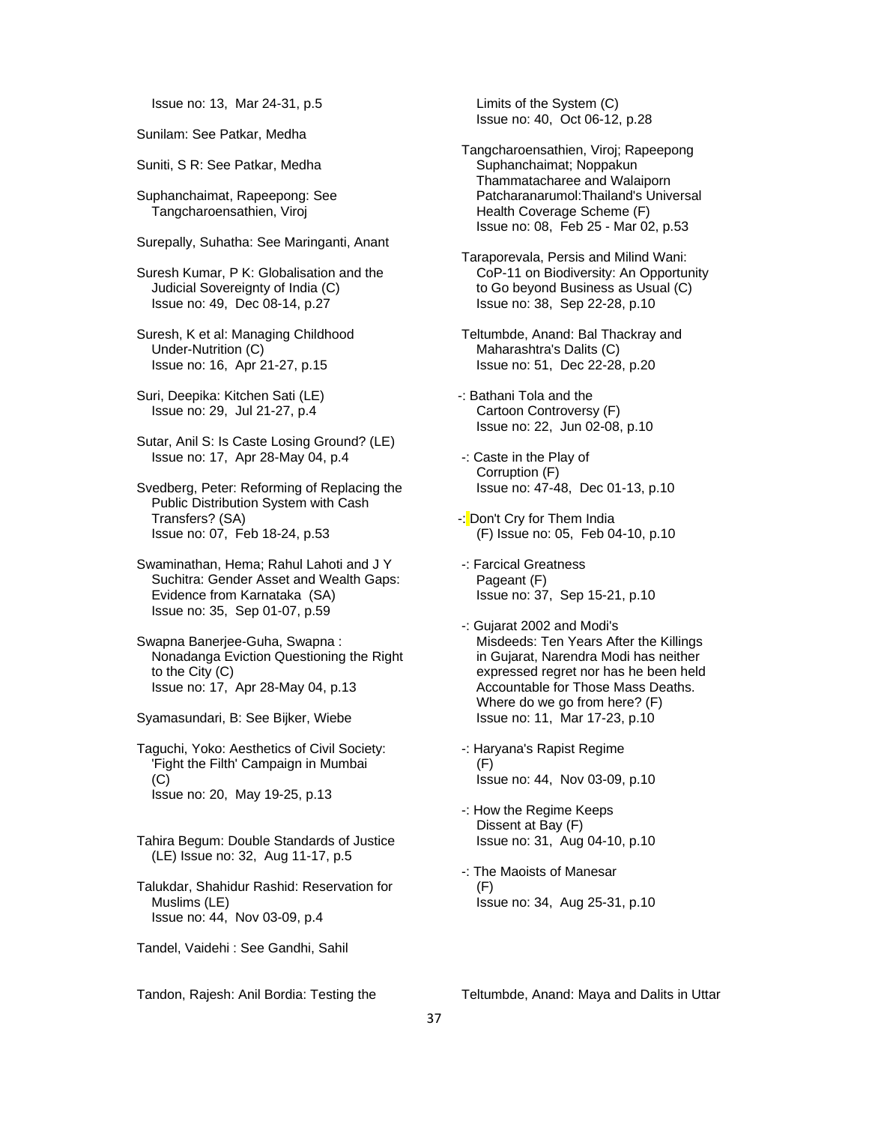Issue no: 13, Mar 24-31, p.5

Sunilam: See Patkar, Medha

Suniti, S R: See Patkar, Medha

 Suphanchaimat, Rapeepong: See Tangcharoensathien, Viroj

Surepally, Suhatha: See Maringanti, Anant

 Suresh Kumar, P K: Globalisation and the Judicial Sovereignty of India (C) Issue no: 49, Dec 08-14, p.27

 Suresh, K et al: Managing Childhood Under-Nutrition (C) Issue no: 16, Apr 21-27, p.15

 Suri, Deepika: Kitchen Sati (LE) Issue no: 29, Jul 21-27, p.4

 Sutar, Anil S: Is Caste Losing Ground? (LE) Issue no: 17, Apr 28-May 04, p.4

 Svedberg, Peter: Reforming of Replacing the Public Distribution System with Cash Transfers? (SA) Issue no: 07, Feb 18-24, p.53

 Swaminathan, Hema; Rahul Lahoti and J Y Suchitra: Gender Asset and Wealth Gaps: Evidence from Karnataka (SA) Issue no: 35, Sep 01-07, p.59

 Swapna Banerjee-Guha, Swapna : Nonadanga Eviction Questioning the Right to the City (C) Issue no: 17, Apr 28-May 04, p.13

Syamasundari, B: See Bijker, Wiebe

 Taguchi, Yoko: Aesthetics of Civil Society: 'Fight the Filth' Campaign in Mumbai (C) Issue no: 20, May 19-25, p.13

 Tahira Begum: Double Standards of Justice (LE) Issue no: 32, Aug 11-17, p.5

 Talukdar, Shahidur Rashid: Reservation for Muslims (LE) Issue no: 44, Nov 03-09, p.4

Tandel, Vaidehi : See Gandhi, Sahil

 Limits of the System (C) Issue no: 40, Oct 06-12, p.28

 Tangcharoensathien, Viroj; Rapeepong Suphanchaimat; Noppakun Thammatacharee and Walaiporn Patcharanarumol:Thailand's Universal Health Coverage Scheme (F) Issue no: 08, Feb 25 - Mar 02, p.53

 Taraporevala, Persis and Milind Wani: CoP-11 on Biodiversity: An Opportunity to Go beyond Business as Usual (C) Issue no: 38, Sep 22-28, p.10

 Teltumbde, Anand: Bal Thackray and Maharashtra's Dalits (C) Issue no: 51, Dec 22-28, p.20

-: Bathani Tola and the Cartoon Controversy (F) Issue no: 22, Jun 02-08, p.10

 -: Caste in the Play of Corruption (F) Issue no: 47-48, Dec 01-13, p.10

-: Don't Cry for Them India (F) Issue no: 05, Feb 04-10, p.10

 -: Farcical Greatness Pageant (F) Issue no: 37, Sep 15-21, p.10

 -: Gujarat 2002 and Modi's Misdeeds: Ten Years After the Killings in Gujarat, Narendra Modi has neither expressed regret nor has he been held Accountable for Those Mass Deaths. Where do we go from here? (F) Issue no: 11, Mar 17-23, p.10

 -: Haryana's Rapist Regime (F) Issue no: 44, Nov 03-09, p.10

 -: How the Regime Keeps Dissent at Bay (F) Issue no: 31, Aug 04-10, p.10

 -: The Maoists of Manesar (F) Issue no: 34, Aug 25-31, p.10

Tandon, Rajesh: Anil Bordia: Testing the

Teltumbde, Anand: Maya and Dalits in Uttar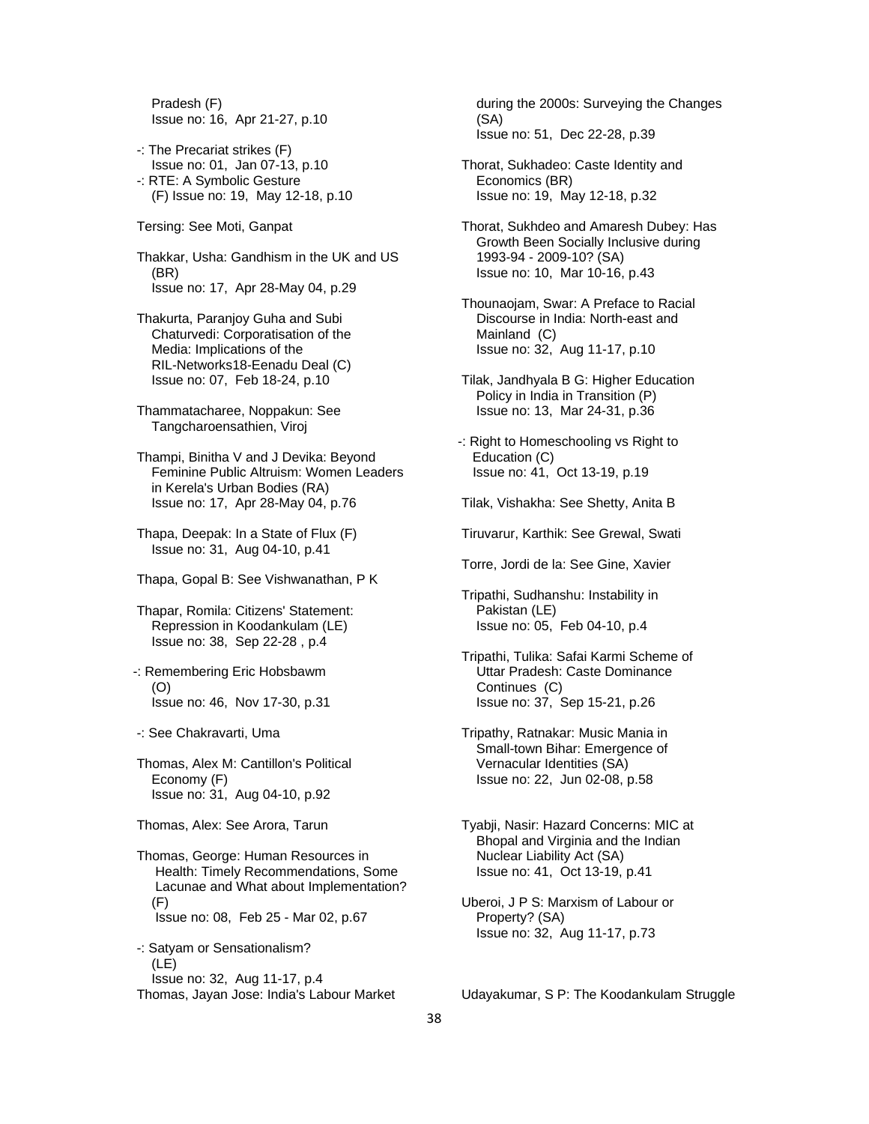Pradesh (F) Issue no: 16, Apr 21-27, p.10

- -: The Precariat strikes (F) Issue no: 01, Jan 07-13, p.10 -: RTE: A Symbolic Gesture (F) Issue no: 19, May 12-18, p.10
- Tersing: See Moti, Ganpat

 Thakkar, Usha: Gandhism in the UK and US (BR) Issue no: 17, Apr 28-May 04, p.29

- Thakurta, Paranjoy Guha and Subi Chaturvedi: Corporatisation of the Media: Implications of the RIL-Networks18-Eenadu Deal (C) Issue no: 07, Feb 18-24, p.10
- Thammatacharee, Noppakun: See Tangcharoensathien, Viroj
- Thampi, Binitha V and J Devika: Beyond Feminine Public Altruism: Women Leaders in Kerela's Urban Bodies (RA) Issue no: 17, Apr 28-May 04, p.76
- Thapa, Deepak: In a State of Flux (F) Issue no: 31, Aug 04-10, p.41
- Thapa, Gopal B: See Vishwanathan, P K
- Thapar, Romila: Citizens' Statement: Repression in Koodankulam (LE) Issue no: 38, Sep 22-28 , p.4
- -: Remembering Eric Hobsbawm (O) Issue no: 46, Nov 17-30, p.31
- -: See Chakravarti, Uma
- Thomas, Alex M: Cantillon's Political Economy (F) Issue no: 31, Aug 04-10, p.92
- Thomas, Alex: See Arora, Tarun
- Thomas, George: Human Resources in Health: Timely Recommendations, Some Lacunae and What about Implementation? (F) Issue no: 08, Feb 25 - Mar 02, p.67
- -: Satyam or Sensationalism? (LE) Issue no: 32, Aug 11-17, p.4 Thomas, Jayan Jose: India's Labour Market

 during the 2000s: Surveying the Changes (SA) Issue no: 51, Dec 22-28, p.39

- Thorat, Sukhadeo: Caste Identity and Economics (BR) Issue no: 19, May 12-18, p.32
- Thorat, Sukhdeo and Amaresh Dubey: Has Growth Been Socially Inclusive during 1993-94 - 2009-10? (SA) Issue no: 10, Mar 10-16, p.43
- Thounaojam, Swar: A Preface to Racial Discourse in India: North-east and Mainland (C) Issue no: 32, Aug 11-17, p.10
- Tilak, Jandhyala B G: Higher Education Policy in India in Transition (P) Issue no: 13, Mar 24-31, p.36
- -: Right to Homeschooling vs Right to Education (C) Issue no: 41, Oct 13-19, p.19
- Tilak, Vishakha: See Shetty, Anita B
- Tiruvarur, Karthik: See Grewal, Swati
- Torre, Jordi de la: See Gine, Xavier
- Tripathi, Sudhanshu: Instability in Pakistan (LE) Issue no: 05, Feb 04-10, p.4
- Tripathi, Tulika: Safai Karmi Scheme of Uttar Pradesh: Caste Dominance Continues (C) Issue no: 37, Sep 15-21, p.26
- Tripathy, Ratnakar: Music Mania in Small-town Bihar: Emergence of Vernacular Identities (SA) Issue no: 22, Jun 02-08, p.58
- Tyabji, Nasir: Hazard Concerns: MIC at Bhopal and Virginia and the Indian Nuclear Liability Act (SA) Issue no: 41, Oct 13-19, p.41
- Uberoi, J P S: Marxism of Labour or Property? (SA) Issue no: 32, Aug 11-17, p.73

Udayakumar, S P: The Koodankulam Struggle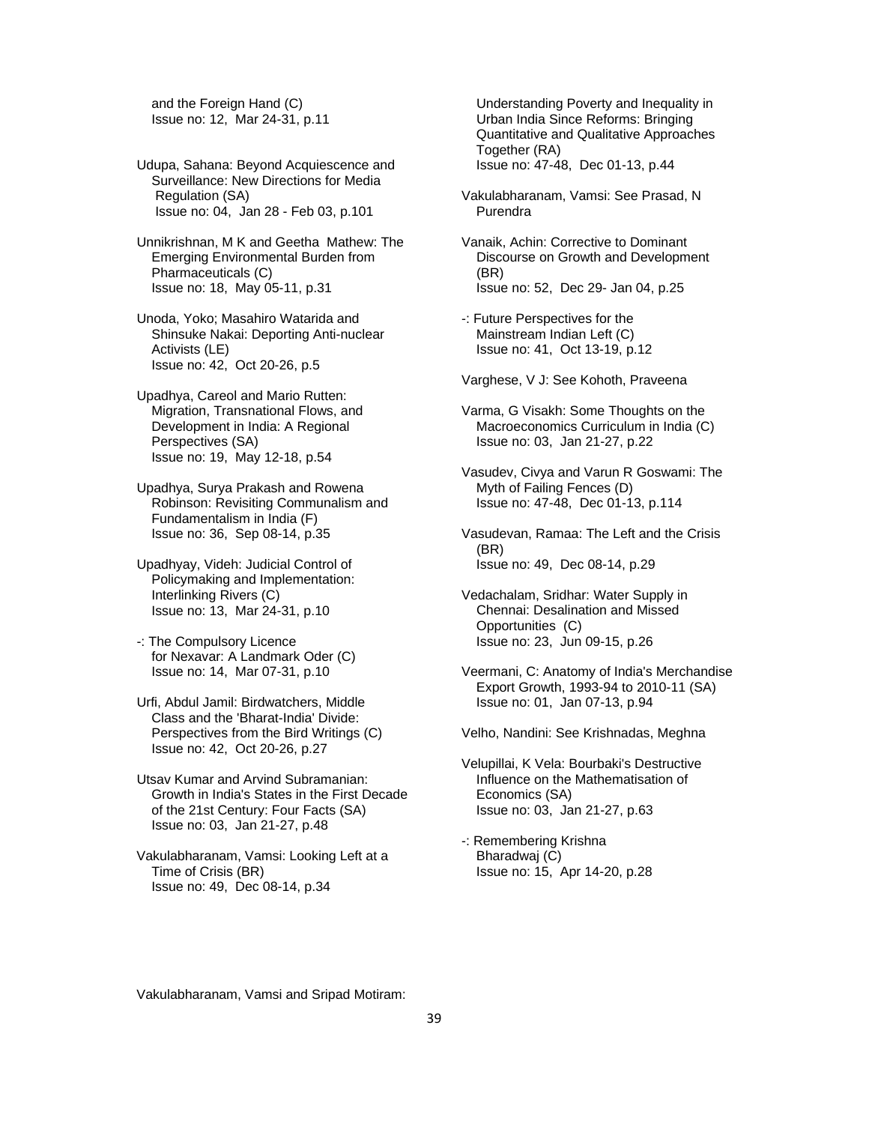and the Foreign Hand (C) Issue no: 12, Mar 24-31, p.11

- Udupa, Sahana: Beyond Acquiescence and Surveillance: New Directions for Media Regulation (SA) Issue no: 04, Jan 28 - Feb 03, p.101
- Unnikrishnan, M K and Geetha Mathew: The Emerging Environmental Burden from Pharmaceuticals (C) Issue no: 18, May 05-11, p.31
- Unoda, Yoko; Masahiro Watarida and Shinsuke Nakai: Deporting Anti-nuclear Activists (LE) Issue no: 42, Oct 20-26, p.5
- Upadhya, Careol and Mario Rutten: Migration, Transnational Flows, and Development in India: A Regional Perspectives (SA) Issue no: 19, May 12-18, p.54
- Upadhya, Surya Prakash and Rowena Robinson: Revisiting Communalism and Fundamentalism in India (F) Issue no: 36, Sep 08-14, p.35
- Upadhyay, Videh: Judicial Control of Policymaking and Implementation: Interlinking Rivers (C) Issue no: 13, Mar 24-31, p.10
- -: The Compulsory Licence for Nexavar: A Landmark Oder (C) Issue no: 14, Mar 07-31, p.10
- Urfi, Abdul Jamil: Birdwatchers, Middle Class and the 'Bharat-India' Divide: Perspectives from the Bird Writings (C) Issue no: 42, Oct 20-26, p.27
- Utsav Kumar and Arvind Subramanian: Growth in India's States in the First Decade of the 21st Century: Four Facts (SA) Issue no: 03, Jan 21-27, p.48
- Vakulabharanam, Vamsi: Looking Left at a Time of Crisis (BR) Issue no: 49, Dec 08-14, p.34

 Understanding Poverty and Inequality in Urban India Since Reforms: Bringing Quantitative and Qualitative Approaches Together (RA) Issue no: 47-48, Dec 01-13, p.44

- Vakulabharanam, Vamsi: See Prasad, N Purendra
- Vanaik, Achin: Corrective to Dominant Discourse on Growth and Development (BR) Issue no: 52, Dec 29- Jan 04, p.25
- -: Future Perspectives for the Mainstream Indian Left (C) Issue no: 41, Oct 13-19, p.12

Varghese, V J: See Kohoth, Praveena

- Varma, G Visakh: Some Thoughts on the Macroeconomics Curriculum in India (C) Issue no: 03, Jan 21-27, p.22
- Vasudev, Civya and Varun R Goswami: The Myth of Failing Fences (D) Issue no: 47-48, Dec 01-13, p.114
- Vasudevan, Ramaa: The Left and the Crisis (BR) Issue no: 49, Dec 08-14, p.29
- Vedachalam, Sridhar: Water Supply in Chennai: Desalination and Missed Opportunities (C) Issue no: 23, Jun 09-15, p.26
- Veermani, C: Anatomy of India's Merchandise Export Growth, 1993-94 to 2010-11 (SA) Issue no: 01, Jan 07-13, p.94
- Velho, Nandini: See Krishnadas, Meghna
- Velupillai, K Vela: Bourbaki's Destructive Influence on the Mathematisation of Economics (SA) Issue no: 03, Jan 21-27, p.63
- -: Remembering Krishna Bharadwaj (C) Issue no: 15, Apr 14-20, p.28

Vakulabharanam, Vamsi and Sripad Motiram: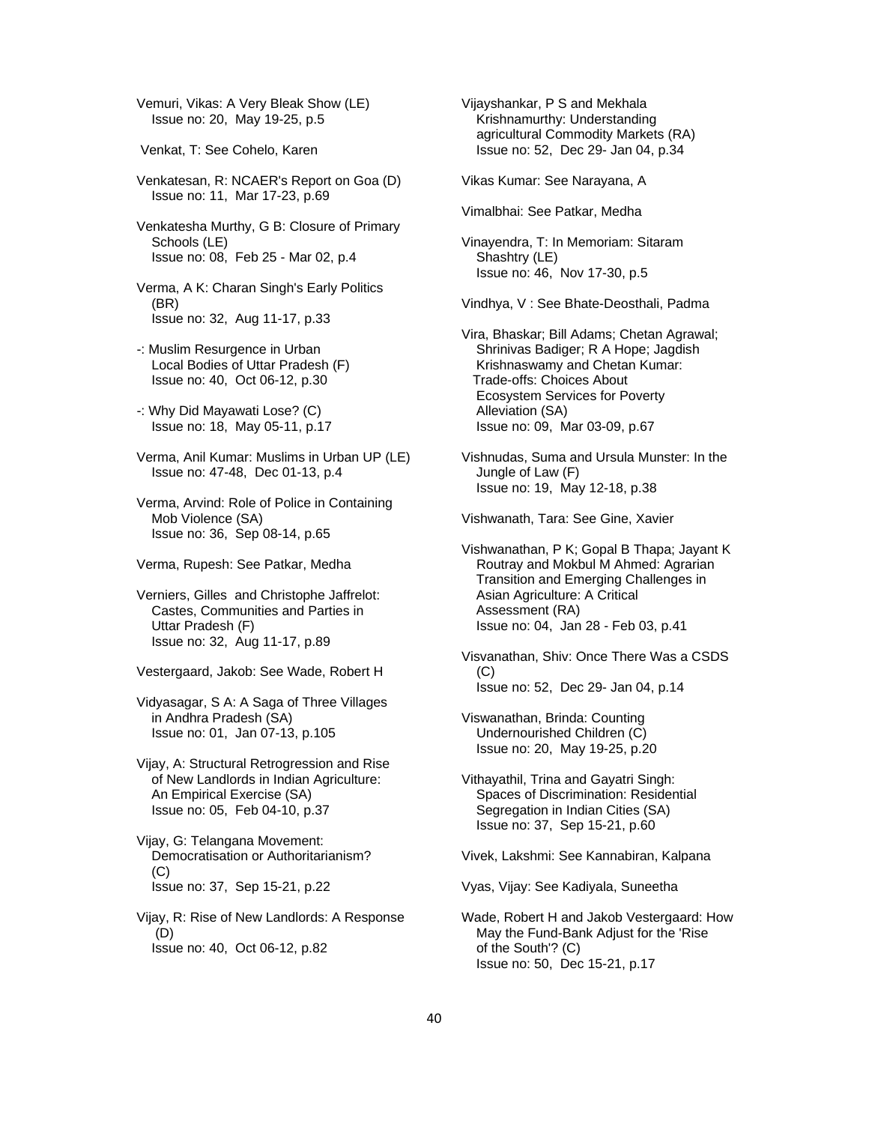Vemuri, Vikas: A Very Bleak Show (LE) Issue no: 20, May 19-25, p.5

- Venkat, T: See Cohelo, Karen
- Venkatesan, R: NCAER's Report on Goa (D) Issue no: 11, Mar 17-23, p.69
- Venkatesha Murthy, G B: Closure of Primary Schools (LE) Issue no: 08, Feb 25 - Mar 02, p.4

 Verma, A K: Charan Singh's Early Politics (BR) Issue no: 32, Aug 11-17, p.33

- -: Muslim Resurgence in Urban Local Bodies of Uttar Pradesh (F) Issue no: 40, Oct 06-12, p.30
- -: Why Did Mayawati Lose? (C) Issue no: 18, May 05-11, p.17
- Verma, Anil Kumar: Muslims in Urban UP (LE) Issue no: 47-48, Dec 01-13, p.4
- Verma, Arvind: Role of Police in Containing Mob Violence (SA) Issue no: 36, Sep 08-14, p.65
- Verma, Rupesh: See Patkar, Medha
- Verniers, Gilles and Christophe Jaffrelot: Castes, Communities and Parties in Uttar Pradesh (F) Issue no: 32, Aug 11-17, p.89
- Vestergaard, Jakob: See Wade, Robert H
- Vidyasagar, S A: A Saga of Three Villages in Andhra Pradesh (SA) Issue no: 01, Jan 07-13, p.105
- Vijay, A: Structural Retrogression and Rise of New Landlords in Indian Agriculture: An Empirical Exercise (SA) Issue no: 05, Feb 04-10, p.37
- Vijay, G: Telangana Movement: Democratisation or Authoritarianism?  $(C)$ Issue no: 37, Sep 15-21, p.22
- Vijay, R: Rise of New Landlords: A Response (D) Issue no: 40, Oct 06-12, p.82

 Vijayshankar, P S and Mekhala Krishnamurthy: Understanding agricultural Commodity Markets (RA) Issue no: 52, Dec 29- Jan 04, p.34

Vikas Kumar: See Narayana, A

Vimalbhai: See Patkar, Medha

 Vinayendra, T: In Memoriam: Sitaram Shashtry (LE) Issue no: 46, Nov 17-30, p.5

Vindhya, V : See Bhate-Deosthali, Padma

 Vira, Bhaskar; Bill Adams; Chetan Agrawal; Shrinivas Badiger; R A Hope; Jagdish Krishnaswamy and Chetan Kumar: Trade-offs: Choices About Ecosystem Services for Poverty Alleviation (SA) Issue no: 09, Mar 03-09, p.67

 Vishnudas, Suma and Ursula Munster: In the Jungle of Law (F) Issue no: 19, May 12-18, p.38

Vishwanath, Tara: See Gine, Xavier

- Vishwanathan, P K; Gopal B Thapa; Jayant K Routray and Mokbul M Ahmed: Agrarian Transition and Emerging Challenges in Asian Agriculture: A Critical Assessment (RA) Issue no: 04, Jan 28 - Feb 03, p.41
- Visvanathan, Shiv: Once There Was a CSDS (C) Issue no: 52, Dec 29- Jan 04, p.14
- Viswanathan, Brinda: Counting Undernourished Children (C) Issue no: 20, May 19-25, p.20
- Vithayathil, Trina and Gayatri Singh: Spaces of Discrimination: Residential Segregation in Indian Cities (SA) Issue no: 37, Sep 15-21, p.60
- Vivek, Lakshmi: See Kannabiran, Kalpana

Vyas, Vijay: See Kadiyala, Suneetha

 Wade, Robert H and Jakob Vestergaard: How May the Fund-Bank Adjust for the 'Rise of the South'? (C) Issue no: 50, Dec 15-21, p.17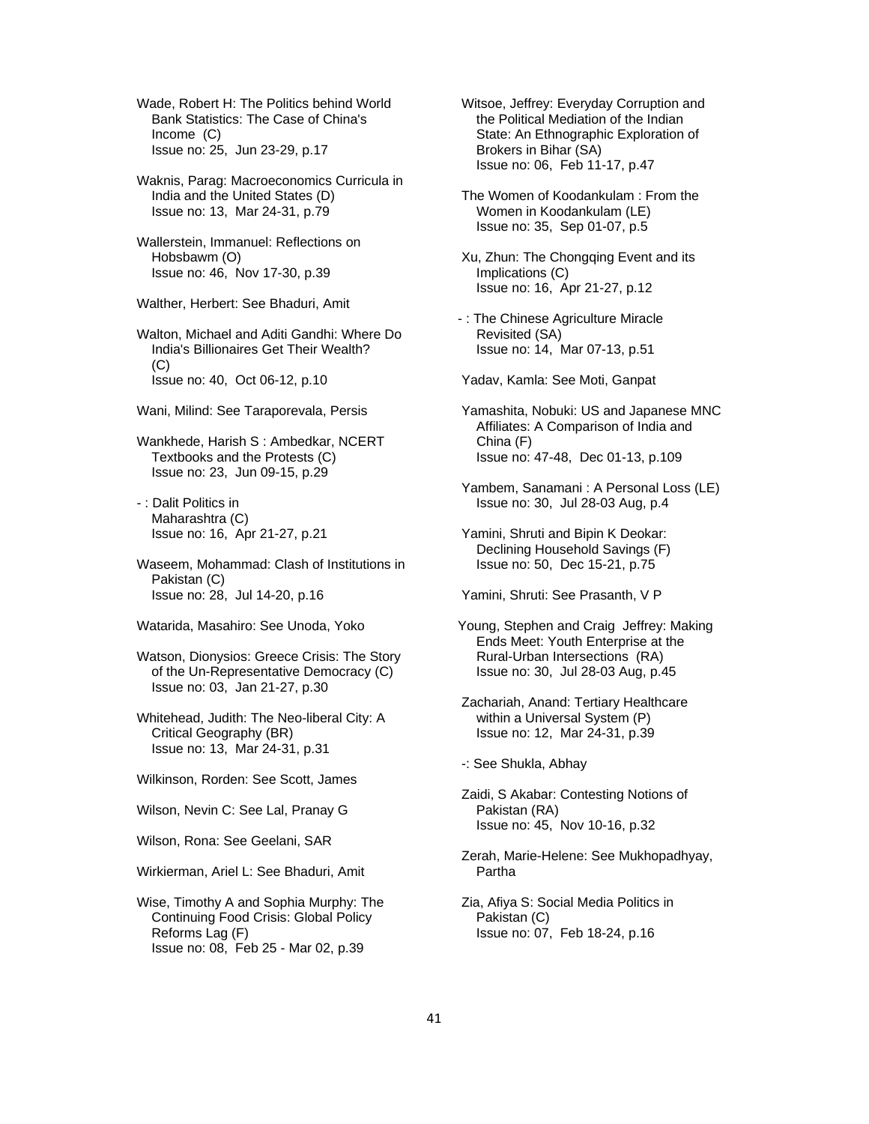Wade, Robert H: The Politics behind World Bank Statistics: The Case of China's Income (C) Issue no: 25, Jun 23-29, p.17

 Waknis, Parag: Macroeconomics Curricula in India and the United States (D) Issue no: 13, Mar 24-31, p.79

 Wallerstein, Immanuel: Reflections on Hobsbawm (O) Issue no: 46, Nov 17-30, p.39

Walther, Herbert: See Bhaduri, Amit

 Walton, Michael and Aditi Gandhi: Where Do India's Billionaires Get Their Wealth? (C) Issue no: 40, Oct 06-12, p.10

Wani, Milind: See Taraporevala, Persis

 Wankhede, Harish S : Ambedkar, NCERT Textbooks and the Protests (C) Issue no: 23, Jun 09-15, p.29

 - : Dalit Politics in Maharashtra (C) Issue no: 16, Apr 21-27, p.21

 Waseem, Mohammad: Clash of Institutions in Pakistan (C) Issue no: 28, Jul 14-20, p.16

Watarida, Masahiro: See Unoda, Yoko

 Watson, Dionysios: Greece Crisis: The Story of the Un-Representative Democracy (C) Issue no: 03, Jan 21-27, p.30

 Whitehead, Judith: The Neo-liberal City: A Critical Geography (BR) Issue no: 13, Mar 24-31, p.31

Wilkinson, Rorden: See Scott, James

Wilson, Nevin C: See Lal, Pranay G

Wilson, Rona: See Geelani, SAR

Wirkierman, Ariel L: See Bhaduri, Amit

 Wise, Timothy A and Sophia Murphy: The Continuing Food Crisis: Global Policy Reforms Lag (F) Issue no: 08, Feb 25 - Mar 02, p.39

 Witsoe, Jeffrey: Everyday Corruption and the Political Mediation of the Indian State: An Ethnographic Exploration of Brokers in Bihar (SA) Issue no: 06, Feb 11-17, p.47

 The Women of Koodankulam : From the Women in Koodankulam (LE) Issue no: 35, Sep 01-07, p.5

 Xu, Zhun: The Chongqing Event and its Implications (C) Issue no: 16, Apr 21-27, p.12

- : The Chinese Agriculture Miracle Revisited (SA) Issue no: 14, Mar 07-13, p.51

Yadav, Kamla: See Moti, Ganpat

 Yamashita, Nobuki: US and Japanese MNC Affiliates: A Comparison of India and China (F) Issue no: 47-48, Dec 01-13, p.109

 Yambem, Sanamani : A Personal Loss (LE) Issue no: 30, Jul 28-03 Aug, p.4

 Yamini, Shruti and Bipin K Deokar: Declining Household Savings (F) Issue no: 50, Dec 15-21, p.75

Yamini, Shruti: See Prasanth, V P

Young, Stephen and Craig Jeffrey: Making Ends Meet: Youth Enterprise at the Rural-Urban Intersections (RA) Issue no: 30, Jul 28-03 Aug, p.45

 Zachariah, Anand: Tertiary Healthcare within a Universal System (P) Issue no: 12, Mar 24-31, p.39

-: See Shukla, Abhay

 Zaidi, S Akabar: Contesting Notions of Pakistan (RA) Issue no: 45, Nov 10-16, p.32

 Zerah, Marie-Helene: See Mukhopadhyay, Partha

 Zia, Afiya S: Social Media Politics in Pakistan (C) Issue no: 07, Feb 18-24, p.16